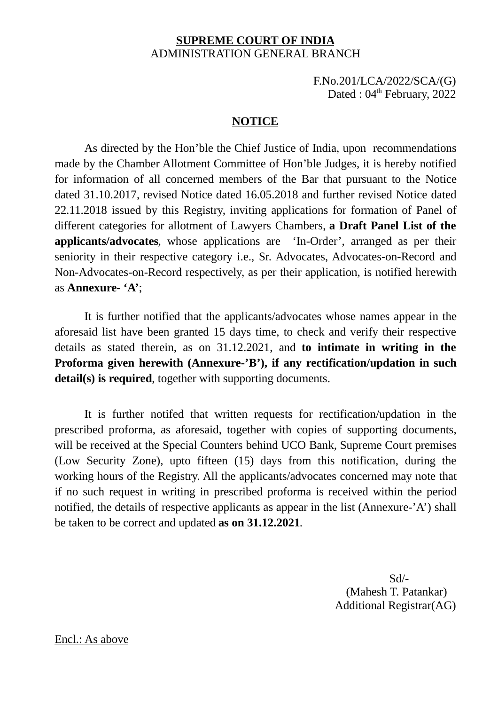# **SUPREME COURT OF INDIA** ADMINISTRATION GENERAL BRANCH

F.No.201/LCA/2022/SCA/(G) Dated : 04<sup>th</sup> February, 2022

## **NOTICE**

As directed by the Hon'ble the Chief Justice of India, upon recommendations made by the Chamber Allotment Committee of Hon'ble Judges, it is hereby notified for information of all concerned members of the Bar that pursuant to the Notice dated 31.10.2017, revised Notice dated 16.05.2018 and further revised Notice dated 22.11.2018 issued by this Registry, inviting applications for formation of Panel of different categories for allotment of Lawyers Chambers, **a Draft Panel List of the applicants/advocates**, whose applications are 'In-Order', arranged as per their seniority in their respective category i.e., Sr. Advocates, Advocates-on-Record and Non-Advocates-on-Record respectively, as per their application, is notified herewith as **Annexure- 'A'**;

It is further notified that the applicants/advocates whose names appear in the aforesaid list have been granted 15 days time, to check and verify their respective details as stated therein, as on 31.12.2021, and **to intimate in writing in the Proforma given herewith (Annexure-'B'), if any rectification/updation in such detail(s) is required**, together with supporting documents.

It is further notifed that written requests for rectification/updation in the prescribed proforma, as aforesaid, together with copies of supporting documents, will be received at the Special Counters behind UCO Bank, Supreme Court premises (Low Security Zone), upto fifteen (15) days from this notification, during the working hours of the Registry. All the applicants/advocates concerned may note that if no such request in writing in prescribed proforma is received within the period notified, the details of respective applicants as appear in the list (Annexure-'A') shall be taken to be correct and updated **as on 31.12.2021**.

> Sd/- (Mahesh T. Patankar) Additional Registrar(AG)

Encl.: As above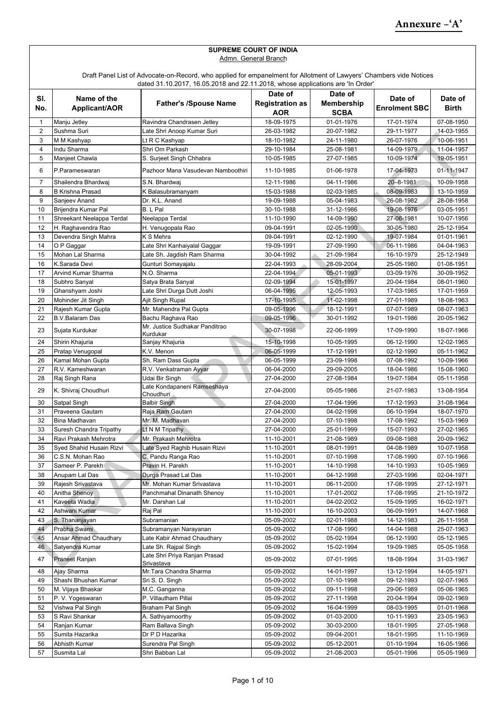|                | <b>SUPREME COURT OF INDIA</b>                                                                                                                                                                         |                                             |                        |                   |                      |              |  |  |
|----------------|-------------------------------------------------------------------------------------------------------------------------------------------------------------------------------------------------------|---------------------------------------------|------------------------|-------------------|----------------------|--------------|--|--|
|                | Admn. General Branch                                                                                                                                                                                  |                                             |                        |                   |                      |              |  |  |
|                |                                                                                                                                                                                                       |                                             |                        |                   |                      |              |  |  |
|                | Draft Panel List of Advocate-on-Record, who applied for empanelment for Allotment of Lawyers' Chambers vide Notices<br>dated 31.10.2017, 16.05.2018 and 22.11.2018, whose applications are 'In Order' |                                             |                        |                   |                      |              |  |  |
|                | Date of<br>Date of                                                                                                                                                                                    |                                             |                        |                   |                      |              |  |  |
| SI.            | Name of the                                                                                                                                                                                           |                                             |                        |                   | Date of              | Date of      |  |  |
| No.            | Applicant/AOR                                                                                                                                                                                         | <b>Father's /Spouse Name</b>                | <b>Registration as</b> | <b>Membership</b> | <b>Enrolment SBC</b> | <b>Birth</b> |  |  |
|                |                                                                                                                                                                                                       |                                             | AOR                    | <b>SCBA</b>       |                      |              |  |  |
| $\mathbf{1}$   | Manju Jetley                                                                                                                                                                                          | Ravindra Chandrasen Jetley                  | 18-09-1975             | 01-01-1976        | 17-01-1974           | 07-08-1950   |  |  |
| $\overline{2}$ | Sushma Suri                                                                                                                                                                                           | Late Shri Anoop Kumar Suri                  | 26-03-1982             | 20-07-1982        | 29-11-1977           | 14-03-1955   |  |  |
| 3              | M M Kashyap                                                                                                                                                                                           | Lt R C Kashyap                              | 18-10-1982             | 24-11-1980        | 26-07-1976           | 10-06-1951   |  |  |
| 4              | Indu Sharma                                                                                                                                                                                           | Shri Om Parkash                             | 29-10-1984             | 25-08-1981        | 14-09-1979           | 11-04-1957   |  |  |
| 5              | Manjeet Chawla                                                                                                                                                                                        | S. Surjeet Singh Chhabra                    | 10-05-1985             | 27-07-1985        | 10-09-1974           | 19-05-1951   |  |  |
| 6              | P.Parameswaran                                                                                                                                                                                        | Pazhoor Mana Vasudevan Namboothiri          | 11-10-1985             | 01-06-1978        | 17-04-1973           | 01-11-1947   |  |  |
| 7              | Shailendra Bhardwai                                                                                                                                                                                   | S.N. Bhardwai                               | 12-11-1986             | 04-11-1986        | 20-8-1981            | 10-09-1958   |  |  |
| 8              | <b>B Krishna Prasad</b>                                                                                                                                                                               | K Balasubramanyam                           | 15-03-1988             | 02-03-1985        | 08-09-1983           | 13-10-1959   |  |  |
| 9              | Sanjeev Anand                                                                                                                                                                                         | Dr. K.L. Anand                              | 19-09-1988             | 05-04-1983        | 26-08-1982           | 28-08-1958   |  |  |
| 10             | Brijendra Kumar Pal                                                                                                                                                                                   | B. L Pal                                    | 30-10-1988             | 31-12-1986        | 19-08-1976           | 03-05-1951   |  |  |
| 11             | Shreekant Neelappa Terdal                                                                                                                                                                             | Neelappa Terdal                             | 11-10-1990             | 14-09-1990        | 27-06-1981           | 10-07-1956   |  |  |
| 12             | H. Raghavendra Rao                                                                                                                                                                                    | H. Venugopala Rao                           | 09-04-1991             | 02-05-1990        | 30-05-1980           | 25-12-1954   |  |  |
| 13             | Devendra Singh Mahra                                                                                                                                                                                  | K S Mehra                                   | 09-04-1991             | 02-12-1990        | 19-07-1984           | 01-01-1961   |  |  |
| 14             | O P Gaggar                                                                                                                                                                                            | Late Shri Kanhaiyalal Gaggar                | 19-09-1991             | 27-09-1990        | 06-11-1986           | 04-04-1963   |  |  |
| 15             | Mohan Lal Sharma                                                                                                                                                                                      | Late Sh. Jagdish Ram Sharma                 | 30-04-1992             | 21-09-1984        | 16-10-1979           | 25-12-1949   |  |  |
| 16             | K.Sarada Devi                                                                                                                                                                                         | Gunturi Somayajalu                          | 22-04-1993             | 28-09-2004        | 25-05-1980           | 01-08-1951   |  |  |
| 17             | Arvind Kumar Sharma                                                                                                                                                                                   | N.O. Sharma                                 | 22-04-1994             | 05-01-1993        | 03-09-1976           | 30-09-1952   |  |  |
| 18             | Subhro Sanyal                                                                                                                                                                                         | Satya Brata Sanyal                          | 02-09-1994             | 15-01-1997        | 20-04-1984           | 08-01-1960   |  |  |
| 19             | Ghanshyam Joshi                                                                                                                                                                                       | Late Shri Durga Dutt Joshi                  | 06-04-1995             | 12-05-1993        | 17-03-1985           | 17-01-1959   |  |  |
| 20             | Mohinder Jit Singh                                                                                                                                                                                    | Ajit Singh Rupal                            | 17-10-1995             | 11-02-1998        | 27-01-1989           | 18-08-1963   |  |  |
| 21             | Rajesh Kumar Gupta                                                                                                                                                                                    | Mr. Mahendra Pal Gupta                      | 09-05-1996             | 18-12-1991        | 07-07-1989           | 08-07-1963   |  |  |
| 22             | <b>B.V.Balaram Das</b>                                                                                                                                                                                | Bachu Raghava Rao                           | 09-05-1996             | 30-01-1992        | 19-01-1986           | 20-05-1962   |  |  |
| 23             | Sujata Kurdukar                                                                                                                                                                                       | Mr. Justice Sudhakar Panditrao<br>Kurdukar  | 30-07-1998             | 22-06-1999        | 17-09-1990           | 18-07-1966   |  |  |
| 24             | Shirin Khajuria                                                                                                                                                                                       | Sanjay Khajuria                             | 15-10-1998             | 10-05-1995        | 06-12-1990           | 12-02-1965   |  |  |
| 25             | Pratap Venugopal                                                                                                                                                                                      | K.V. Menon                                  | 06-05-1999             | 17-12-1991        | 02-12-1990           | 05-11-1962   |  |  |
| 26             | Kamal Mohan Gupta                                                                                                                                                                                     | Sh. Ram Dass Gupta                          | 06-05-1999             | 23-09-1998        | 07-08-1992           | 10-09-1966   |  |  |
| 27             | R.V. Kameshwaran                                                                                                                                                                                      | R.V. Venkatraman Ayyar                      | 06-04-2000             | 29-09-2005        | 18-04-1986           | 15-08-1960   |  |  |
| 28             | Raj Singh Rana                                                                                                                                                                                        | Udai Bir Singh                              | 27-04-2000             | 27-08-1984        | 19-07-1984           | 05-11-1958   |  |  |
| 29             | K. Shivraj Choudhuri                                                                                                                                                                                  | Late Kondapaneni Ramseshaya<br>Choudhuri    | 27-04-2000             | 05-05-1986        | 21-07-1983           | 13-08-1954   |  |  |
| 30             | Satpal Singh                                                                                                                                                                                          | Balbir Singh                                | 27-04-2000             | 17-04-1996        | 17-12-1993           | 31-08-1964   |  |  |
| 31             | Praveena Gautam                                                                                                                                                                                       | Raja Ram Gautam                             | 27-04-2000             | 04-02-1998        | 06-10-1994           | 18-07-1970   |  |  |
| 32             | Bina Madhavan                                                                                                                                                                                         | Mr. M. Madhavan                             | 27-04-2000             | 07-10-1998        | 17-08-1992           | 15-03-1969   |  |  |
| 33             | Suresh Chandra Tripathy                                                                                                                                                                               | Lt N M Tripathy                             | 27-04-2000             | 25-01-1999        | 15-07-1993           | 27-02-1965   |  |  |
| 34             | Ravi Prakash Mehrotra                                                                                                                                                                                 | Mr. Prakash Mehrotra                        | 11-10-2001             | 21-08-1989        | 09-08-1988           | 20-09-1962   |  |  |
| 35             | Syed Shahid Husain Rizvi                                                                                                                                                                              | Late Syed Raghib Husain Rizvi               | 11-10-2001             | 08-01-1991        | 04-08-1989           | 10-07-1958   |  |  |
| 36             | C.S.N. Mohan Rao                                                                                                                                                                                      | C. Pandu Ranga Rao                          | 11-10-2001             | 07-10-1998        | 17-08-1990           | 07-10-1966   |  |  |
| 37             | Sameer P. Parekh                                                                                                                                                                                      | Pravin H. Parekh                            | 11-10-2001             | 14-10-1998        | 14-10-1993           | 10-05-1969   |  |  |
| 38             | Anupam Lal Das                                                                                                                                                                                        | Durga Prasad Lal Das                        | 11-10-2001             | 04-12-1998        | 27-03-1996           | 02-04-1971   |  |  |
| 39             | Rajesh Srivastava                                                                                                                                                                                     | Mr. Mohan Kumar Srivastava                  | 11-10-2001             | 06-11-2000        | 17-08-1995           | 27-12-1971   |  |  |
| 40             | Anitha Shenoy                                                                                                                                                                                         | Panchmahal Dinanath Shenoy                  | 11-10-2001             | 17-01-2002        | 17-08-1995           | 21-10-1972   |  |  |
| 41             | Kaveeta Wadia                                                                                                                                                                                         | Mr. Darshan Lal                             | 11-10-2001             | 04-02-2002        | 15-09-1995           | 16-02-1971   |  |  |
| 42             | Ashwani Kumar                                                                                                                                                                                         | Raj Pal                                     | 11-10-2001             | 16-10-2003        | 06-09-1991           | 14-07-1968   |  |  |
| 43             | S. Thananjayan                                                                                                                                                                                        | Subramanian                                 | 05-09-2002             | 02-01-1988        | 14-12-1983           | 26-11-1958   |  |  |
| 44             | Prabha Swami                                                                                                                                                                                          | Subramanyan Narayanan                       | 05-09-2002             | 17-08-1990        | 14-04-1988           | 25-07-1963   |  |  |
| 45             | Ansar Ahmad Chaudhary                                                                                                                                                                                 | Late Kabir Ahmad Chaudhary                  | 05-09-2002             | 05-02-1994        | 06-12-1990           | 05-12-1965   |  |  |
| 46             | Satyendra Kumar                                                                                                                                                                                       | Late Sh. Rajpal Singh                       | 05-09-2002             | 15-02-1994        | 19-09-1985           | 05-05-1958   |  |  |
| 47             | Praneet Ranjan                                                                                                                                                                                        | Late Shri Priya Ranjan Prasad<br>Srivastava | 05-09-2002             | 07-01-1995        | 18-08-1994           | 31-03-1967   |  |  |
| 48             | Ajay Sharma                                                                                                                                                                                           | Mr.Tara Chandra Sharma                      | 05-09-2002             | 14-01-1997        | 13-12-1994           | 14-05-1971   |  |  |
| 49             | Shashi Bhushan Kumar                                                                                                                                                                                  | Sri S. D. Singh                             | 05-09-2002             | 07-10-1998        | 09-12-1993           | 02-07-1965   |  |  |
| 50             | M. Vijaya Bhaskar                                                                                                                                                                                     | M.C. Ganganna                               | 05-09-2002             | 09-11-1998        | 29-06-1989           | 05-06-1965   |  |  |
| 51             | P.V. Yogeswaran                                                                                                                                                                                       | P. Villautham Pillai                        | 05-09-2002             | 27-11-1998        | 20-04-1994           | 09-02-1969   |  |  |
| 52             | Vishwa Pal Singh                                                                                                                                                                                      | Braham Pal Singh                            | 05-09-2002             | 16-04-1999        | 08-03-1995           | 01-01-1968   |  |  |
| 53             | S Ravi Shankar                                                                                                                                                                                        | A. Sathiyamoorthy                           | 05-09-2002             | 01-03-2000        | 10-11-1993           | 23-05-1963   |  |  |
| 54             | Ranjan Kumar                                                                                                                                                                                          | Ram Ballava Singh                           | 05-09-2002             | 30-03-2000        | 18-01-1995           | 27-05-1968   |  |  |
| 55             | Sumita Hazarika                                                                                                                                                                                       | Dr P D Hazarika                             | 05-09-2002             | 09-04-2001        | 18-01-1995           | 11-10-1969   |  |  |
| 56             | Abhisth Kumar                                                                                                                                                                                         | Surendra Pal Singh                          | 05-09-2002             | 05-12-2001        | 01-10-1994           | 16-05-1966   |  |  |
| 57             | Susmita Lal                                                                                                                                                                                           | Shri Babban Lal                             | 05-09-2002             | 21-08-2003        | 05-01-1996           | 05-05-1969   |  |  |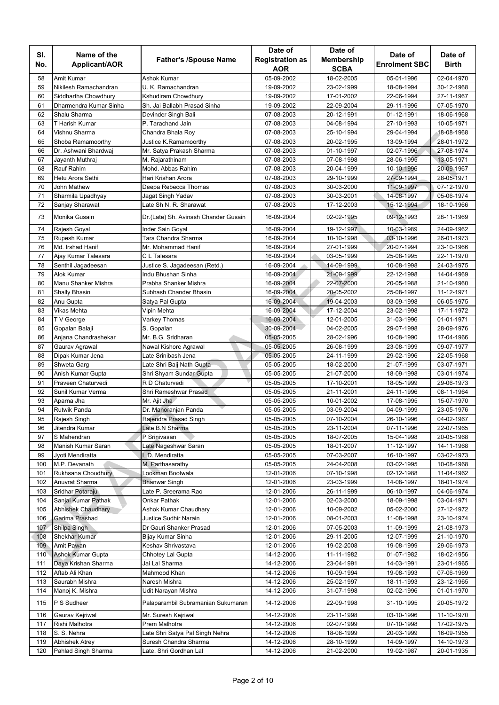| SI.        | Name of the                       |                                                          | Date of                  | Date of                  | Date of                  | Date of                  |
|------------|-----------------------------------|----------------------------------------------------------|--------------------------|--------------------------|--------------------------|--------------------------|
| No.        | Applicant/AOR                     | <b>Father's /Spouse Name</b>                             | <b>Registration as</b>   | <b>Membership</b>        | <b>Enrolment SBC</b>     | <b>Birth</b>             |
|            |                                   |                                                          | AOR                      | <b>SCBA</b>              |                          |                          |
| 58         | Amit Kumar                        | Ashok Kumar                                              | 05-09-2002               | 18-02-2005               | 05-01-1996               | 02-04-1970               |
| 59         | Nikilesh Ramachandran             | U. K. Ramachandran                                       | 19-09-2002               | 23-02-1999               | 18-08-1994               | 30-12-1968               |
| 60         | Siddhartha Chowdhury              | Kshudiram Chowdhury                                      | 19-09-2002               | 17-01-2002               | 22-06-1994               | 27-11-1967               |
| 61         | Dharmendra Kumar Sinha            | Sh. Jai Ballabh Prasad Sinha                             | 19-09-2002               | 22-09-2004               | 29-11-1996               | 07-05-1970               |
| 62<br>63   | Shalu Sharma<br>T Harish Kumar    | Devinder Singh Bali<br>P. Tarachand Jain                 | 07-08-2003               | 20-12-1991               | 01-12-1991<br>27-10-1993 | 18-06-1968<br>10-05-1971 |
| 64         | Vishnu Sharma                     | Chandra Bhala Roy                                        | 07-08-2003<br>07-08-2003 | 04-08-1994<br>25-10-1994 | 29-04-1994               | 18-08-1968               |
| 65         | Shoba Ramamoorthy                 | Justice K.Ramamoorthy                                    | 07-08-2003               | 20-02-1995               | 13-09-1994               | 28-01-1972               |
| 66         | Dr. Ashwani Bhardwaj              | Mr. Satya Prakash Sharma                                 | 07-08-2003               | 01-10-1997               | 02-07-1996               | 27-08-1974               |
| 67         | Jayanth Muthraj                   | M. Rajarathinam                                          | 07-08-2003               | 07-08-1998               | 28-06-1995               | 13-05-1971               |
| 68         | Rauf Rahim                        | Mohd. Abbas Rahim                                        | 07-08-2003               | 20-04-1999               | 10-10-1996               | 20-09-1967               |
| 69         | Hetu Arora Sethi                  | Hari Krishan Arora                                       | 07-08-2003               | 29-10-1999               | 27-09-1994               | 28-05-1971               |
| 70         | John Mathew                       | Deepa Rebecca Thomas                                     | 07-08-2003               | 30-03-2000               | 11-09-1997               | 07-12-1970               |
| 71         | Sharmila Upadhyay                 | Jagat Singh Yadav                                        | 07-08-2003               | 30-03-2001               | 14-08-1997               | 05-06-1974               |
| 72         | Sanjay Sharawat                   | Late Sh N. R. Sharawat                                   | 07-08-2003               | 17-12-2003               | 15-12-1994               | 18-10-1966               |
| 73         | Monika Gusain                     | Dr. (Late) Sh. Avinash Chander Gusain                    | 16-09-2004               | 02-02-1995               | 09-12-1993               | 28-11-1969               |
| 74         | Rajesh Goyal                      | Inder Sain Goyal                                         | 16-09-2004               | 19-12-1997               | 10-03-1989               | 24-09-1962               |
| 75         | Rupesh Kumar                      | Tara Chandra Sharma                                      | 16-09-2004               | 10-10-1998               | 03-10-1996               | 26-01-1973               |
| 76         | Md. Irshad Hanif                  | Mr. Mohammad Hanif                                       | 16-09-2004               | 27-01-1999               | 20-07-1994               | 23-10-1966               |
| 77         | Ajay Kumar Talesara               | C L Talesara                                             | 16-09-2004               | 03-05-1999               | 25-08-1995               | 22-11-1970               |
| 78         | Senthil Jagadeesan                | Justice S. Jagadeesan (Retd.)                            | 16-09-2004               | 14-09-1999               | 10-08-1998               | 24-03-1975               |
| 79         | Alok Kumar                        | Indu Bhushan Sinha                                       | 16-09-2004               | 21-09-1999               | 22-12-1998               | 14-04-1969               |
| 80         | Manu Shanker Mishra               | Prabha Shanker Mishra                                    | 16-09-2004               | 22-07-2000               | 20-05-1988               | 21-10-1960               |
| 81<br>82   | <b>Shally Bhasin</b>              | Subhash Chander Bhasin                                   | 16-09-2004<br>16-09-2004 | 20-05-2002               | 25-08-1997<br>03-09-1998 | 11-12-1971<br>06-05-1975 |
| 83         | Anu Gupta<br>Vikas Mehta          | Satya Pal Gupta<br>Vipin Mehta                           | 16-09-2004               | 19-04-2003<br>17-12-2004 | 23-02-1998               | 17-11-1972               |
| 84         | T V George                        | Varkey Thomas                                            | 16-09-2004               | 12-01-2005               | 31-03-1996               | 01-01-1971               |
| 85         | Gopalan Balaji                    | S. Gopalan                                               | 30-09-2004               | 04-02-2005               | 29-07-1998               | 28-09-1976               |
| 86         | Anjana Chandrashekar              | Mr. B.G. Sridharan                                       | 05-05-2005               | 28-02-1996               | 10-08-1990               | 17-04-1966               |
| 87         | Gaurav Agrawal                    | Nawal Kishore Agrawal                                    | 05-05-2005               | 26-08-1999               | 23-08-1999               | 09-07-1977               |
| 88         | Dipak Kumar Jena                  | Late Srinibash Jena                                      | 05-05-2005               | 24-11-1999               | 29-02-1996               | 22-05-1968               |
| 89         | Shweta Garg                       | Late Shri Baij Nath Gupta                                | 05-05-2005               | 18-02-2000               | 21-07-1999               | 03-07-1971               |
| 90         | Anish Kumar Gupta                 | Shri Shyam Sundar Gupta                                  | 05-05-2005               | 21-07-2000               | 18-09-1998               | 03-01-1974               |
| 91         | Praveen Chaturvedi                | R D Chaturvedi                                           | 05-05-2005               | 17-10-2001               | 18-05-1999               | 29-06-1973               |
| 92         | Sunil Kumar Verma                 | Shri Rameshwar Prasad                                    | 05-05-2005               | 21-11-2001               | 24-11-1996               | 08-11-1964               |
| 93         | Aparna Jha                        | Mr. Ajit Jha                                             | 05-05-2005               | 10-01-2002               | 17-08-1995               | 15-07-1970               |
| 94         | Rutwik Panda                      | Dr. Manoranjan Panda                                     | 05-05-2005               | 03-09-2004               | 04-09-1999               | 23-05-1976               |
| 95         | Rajesh Singh                      | Rajendra Prasad Singh                                    | 05-05-2005               | 07-10-2004               | 26-10-1996               | 04-02-1967               |
| 96         | Jitendra Kumar                    | Late B.N Sharma                                          | 05-05-2005               | 23-11-2004               | 07-11-1996               | 22-07-1965               |
| 97         | S Mahendran                       | P Srinivasan                                             | 05-05-2005               | 18-07-2005               | 15-04-1998               | 20-05-1968               |
| 98<br>99   | Manish Kumar Saran                | Late Nageshwar Saran<br>L.D. Mendiratta                  | 05-05-2005               | 18-01-2007               | 11-12-1997               | 14-11-1968               |
| 100        | Jyoti Mendiratta<br>M.P. Devanath | M. Parthasarathy                                         | 05-05-2005<br>05-05-2005 | 07-03-2007<br>24-04-2008 | 16-10-1997<br>03-02-1995 | 03-02-1973<br>10-08-1968 |
| 101        | Rukhsana Choudhury                | Lookman Bootwala                                         | 12-01-2006               | 07-10-1998               | 02-12-1988               | 11-04-1962               |
| 102        | Anuvrat Sharma                    | <b>Bhanwar Singh</b>                                     | 12-01-2006               | 23-03-1999               | 14-08-1997               | 18-01-1974               |
| 103        | Sridhar Potaraju                  | Late P. Sreerama Rao                                     | 12-01-2006               | 26-11-1999               | 06-10-1997               | 04-06-1974               |
| 104        | Sanjai Kumar Pathak               | Onkar Pathak                                             | 12-01-2006               | 02-03-2000               | 18-09-1998               | 03-04-1971               |
| 105        | <b>Abhishek Chaudhary</b>         | Ashok Kumar Chaudhary                                    | 12-01-2006               | 10-09-2002               | 05-02-2000               | 27-12-1972               |
| 106        | Garima Prashad                    | Justice Sudhir Narain                                    | 12-01-2006               | 08-01-2003               | 11-08-1998               | 23-10-1974               |
| 107        | Shilpa Singh                      | Dr Gauri Shanker Prasad                                  | 12-01-2006               | 07-05-2003               | 11-09-1999               | 21-08-1973               |
| 108        | Shekhar Kumar                     | Bijay Kumar Sinha                                        | 12-01-2006               | 29-11-2005               | 12-07-1999               | 21-10-1970               |
| 109        | Amit Pawan                        | Keshav Shrivastava                                       | 12-01-2006               | 19-02-2008               | 19-08-1999               | 29-06-1973               |
| 110        | <b>Ashok Kumar Gupta</b>          | Chhotey Lal Gupta                                        | 14-12-2006               | 11-11-1982               | 01-07-1982               | 18-02-1956               |
| 111        | Daya Krishan Sharma               | Jai Lal Sharma                                           | 14-12-2006               | 23-04-1991               | 14-03-1991               | 23-01-1965               |
| 112        | Aftab Ali Khan                    | Mahmood Khan                                             | 14-12-2006               | 10-09-1994               | 19-08-1993               | 07-06-1969               |
| 113        | Saurabh Mishra                    | Naresh Mishra                                            | 14-12-2006               | 25-02-1997               | 18-11-1993               | 23-12-1965               |
| 114        | Manoj K. Mishra                   | Udit Narayan Mishra                                      | 14-12-2006               | 31-07-1998               | 02-02-1996               | 01-01-1970               |
| 115        | P S Sudheer                       | Palaparambil Subramanian Sukumaran                       | 14-12-2006               | 22-09-1998               | 31-10-1995               | 20-05-1972               |
| 116        | Gaurav Kejriwal                   | Mr. Suresh Kejriwal                                      | 14-12-2006               | 23-11-1998               | 03-10-1996               | 11-10-1970               |
| 117        | Rishi Malhotra                    | Prem Malhotra                                            | 14-12-2006               | 02-07-1999               | 07-10-1998               | 17-02-1975               |
| 118<br>119 | S. S. Nehra<br>Abhishek Atrey     | Late Shri Satya Pal Singh Nehra<br>Suresh Chandra Sharma | 14-12-2006               | 18-08-1999               | 20-03-1999               | 16-09-1955               |
| 120        | Pahlad Singh Sharma               | Late. Shri Gordhan Lal                                   | 14-12-2006<br>14-12-2006 | 28-10-1999<br>21-02-2000 | 14-09-1997<br>19-02-1987 | 14-10-1973<br>20-01-1935 |
|            |                                   |                                                          |                          |                          |                          |                          |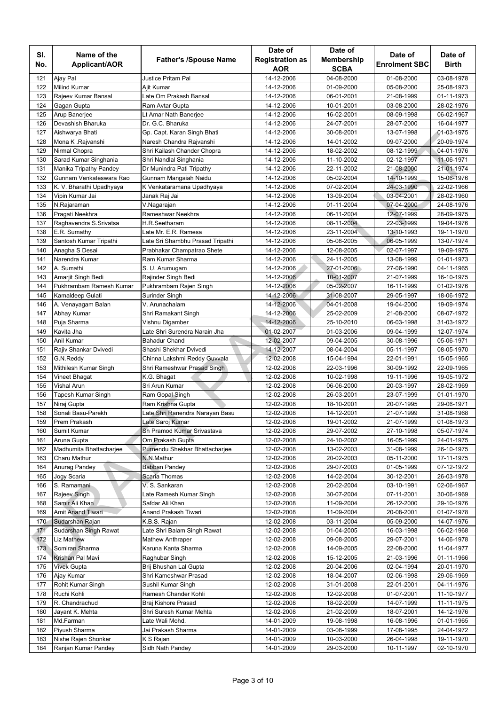|            |                                         |                                  | Date of                  | Date of                  |                          |                          |
|------------|-----------------------------------------|----------------------------------|--------------------------|--------------------------|--------------------------|--------------------------|
| SI.        | Name of the                             | <b>Father's /Spouse Name</b>     | <b>Registration as</b>   | <b>Membership</b>        | Date of                  | Date of                  |
| No.        | Applicant/AOR                           |                                  | <b>AOR</b>               | <b>SCBA</b>              | <b>Enrolment SBC</b>     | <b>Birth</b>             |
| 121        | Ajay Pal                                | <b>Justice Pritam Pal</b>        | 14-12-2006               | 04-08-2000               | 01-08-2000               | 03-08-1978               |
| 122        | <b>Milind Kumar</b>                     | Ajit Kumar                       | 14-12-2006               | 01-09-2000               | 05-08-2000               | 25-08-1973               |
| 123        | Rajeev Kumar Bansal                     | Late Om Prakash Bansal           | 14-12-2006               | 06-01-2001               | 21-08-1999               | 01-11-1973               |
| 124        | Gagan Gupta                             | Ram Avtar Gupta                  | 14-12-2006               | 10-01-2001               | 03-08-2000               | 28-02-1976               |
| 125        | Arup Banerjee                           | Lt Amar Nath Banerjee            | 14-12-2006               | 16-02-2001               | 08-09-1998               | 06-02-1967               |
| 126        | Devashish Bharuka                       | Dr. G.C. Bharuka                 | 14-12-2006               | 24-07-2001               | 28-07-2000               | 16-04-1977               |
| 127        | Aishwarya Bhati                         | Gp. Capt. Karan Singh Bhati      | 14-12-2006               | 30-08-2001               | 13-07-1998               | 01-03-1975               |
| 128        | Mona K .Rajvanshi                       | Naresh Chandra Rajvanshi         | 14-12-2006               | 14-01-2002               | 09-07-2000               | 20-09-1974               |
| 129        | Nirmal Chopra                           | Shri Kailash Chander Chopra      | 14-12-2006               | 18-02-2002               | 08-12-1999               | 04-01-1976               |
| 130        | Sarad Kumar Singhania                   | Shri Nandlal Singhania           | 14-12-2006               | 11-10-2002               | 02-12-1997               | 11-06-1971               |
| 131        | Manika Tripathy Pandey                  | Dr Munindra Pati Tripathy        | 14-12-2006               | 22-11-2002               | 21-08-2000               | 21-01-1974               |
| 132        | Gunnam Venkateswara Rao                 | Gunnam Mangaiah Naidu            | 14-12-2006               | 05-02-2004               | 14-10-1999               | 15-06-1976               |
| 133        | K. V. Bharathi Upadhyaya                | K Venkataramana Upadhyaya        | 14-12-2006               | 07-02-2004               | 24-03-1990               | 22-02-1966               |
| 134        | Vipin Kumar Jai                         | Janak Raj Jai                    | 14-12-2006               | 13-09-2004               | 03-04-2001               | 28-02-1960               |
| 135        | N.Rajaraman                             | V.Nagarajan                      | 14-12-2006               | 01-11-2004               | 07-04-2000               | 24-08-1976               |
| 136        | Pragati Neekhra                         | Rameshwar Neekhra                | 14-12-2006               | 06-11-2004               | 12-07-1999               | 28-09-1975               |
| 137        | Raghavendra S.Srivatsa                  | H.R.Seetharam                    | 14-12-2006               | 08-11-2004               | 22-03-1999               | 19-04-1976               |
| 138        | E.R. Sumathy                            | Late Mr. E.R. Ramesa             | 14-12-2006               | 23-11-2004               | 13-10-1993               | 19-11-1970               |
| 139        | Santosh Kumar Tripathi                  | Late Sri Shambhu Prasad Tripathi | 14-12-2006               | 05-08-2005               | 06-05-1999               | 13-07-1974               |
| 140        | Anagha S Desai                          | Prabhakar Champatrao Shete       | 14-12-2006               | 12-08-2005               | 02-07-1997               | 19-09-1975               |
| 141        | Narendra Kumar                          | Ram Kumar Sharma                 | 14-12-2006               | 24-11-2005               | 13-08-1999               | 01-01-1973               |
| 142        | A. Sumathi                              | S. U. Arumugam                   | 14-12-2006               | 27-01-2006               | 27-06-1990               | 04-11-1965               |
| 143        | Amarjit Singh Bedi                      | Rajinder Singh Bedi              | 14-12-2006               | 10-01-2007               | 21-07-1999               | 16-10-1975               |
| 144        | Pukhrambam Ramesh Kumar                 | Pukhrambam Rajen Singh           | 14-12-2006               | 05-02-2007               | 16-11-1999               | 01-02-1976               |
| 145        | Kamaldeep Gulati                        | Surinder Singh                   | 14-12-2006               | 31-08-2007               | 29-05-1997               | 18-06-1972               |
| 146        | A. Venayagam Balan                      | V. Arunachalam                   | 14-12-2006               | 04-01-2008               | 19-04-2000               | 19-09-1974               |
| 147        | Abhay Kumar                             | Shri Ramakant Singh              | 14-12-2006               | 25-02-2009               | 21-08-2000               | 08-07-1972               |
| 148        | Puja Sharma                             | Vishnu Digamber                  | 14-12-2006               | 25-10-2010               | 06-03-1998               | 31-03-1972               |
| 149        | Kavita Jha                              | Late Shri Surendra Narain Jha    | 01-02-2007               | 01-03-2006               | 09-04-1999               | 12-07-1974               |
| 150        | Anil Kumar                              | <b>Bahadur Chand</b>             | 12-02-2007               | 09-04-2005               | 30-08-1996               | 05-06-1971               |
| 151        | Rajiv Shankar Dvivedi                   | Shashi Shekhar Dvivedi           | 14-12-2007               | 08-04-2004               | 05-11-1997               | 08-05-1970               |
| 152        | G.N.Reddy                               | Chinna Lakshmi Reddy Guvvala     | 12-02-2008               | 15-04-1994               | 22-01-1991               | 15-05-1965               |
| 153        | Mithilesh Kumar Singh                   | Shri Rameshwar Prasad Singh      | 12-02-2008               | 22-03-1996               | 30-09-1992               | 22-09-1965               |
| 154        | Vineet Bhagat                           | K.G. Bhagat                      | 12-02-2008               | 10-02-1998               | 19-11-1996               | 19-05-1972               |
| 155        | <b>Vishal Arun</b>                      | Sri Arun Kumar                   | 12-02-2008               | 06-06-2000               | 20-03-1997               | 28-02-1969               |
| 156        | Tapesh Kumar Singh                      | Ram Gopal Singh                  | 12-02-2008               | 26-03-2001               | 23-07-1999               | 01-01-1970               |
| 157        | Niraj Gupta                             | Ram Krishna Gupta                | 12-02-2008               | 18-10-2001               | 20-07-1995               | 29-06-1971               |
| 158        | Sonali Basu-Parekh                      | Late Shri Ranendra Narayan Basu  | 12-02-2008               | 14-12-2001               | 21-07-1999               | 31-08-1968               |
| 159        | Prem Prakash                            | Late Saroj Kumar                 | 12-02-2008               | 19-01-2002               | 21-07-1999               | 01-08-1973               |
| 160        | Sumit Kumar                             | Sh Pramod Kumar Srivastava       | 12-02-2008               | 29-07-2002               | 27-10-1998               | 05-07-1974               |
| 161        | Aruna Gupta                             | Om Prakash Gupta                 | 12-02-2008               | 24-10-2002               | 16-05-1999               | 24-01-1975               |
| 162        | Madhumita Bhattacharjee<br>Charu Mathur | Purnendu Shekhar Bhattacharjee   | 12-02-2008               | 13-02-2003               | 31-08-1999               | 26-10-1975               |
| 163        |                                         | N.N.Mathur                       | 12-02-2008               | 20-02-2003               | 05-11-2000               | 17-11-1975               |
| 164        | Anurag Pandey                           | <b>Babban Pandey</b>             | 12-02-2008               | 29-07-2003               | 01-05-1999               | 07-12-1972               |
| 165<br>166 | Jogy Scaria<br>S. Ramamani              | Scaria Thomas<br>V. S. Sankaran  | 12-02-2008<br>12-02-2008 | 14-02-2004<br>20-02-2004 | 30-12-2001<br>03-10-1991 | 26-03-1978               |
| 167        | Rajeev Singh                            | Late Ramesh Kumar Singh          | 12-02-2008               | 30-07-2004               | 07-11-2001               | 02-06-1967<br>30-06-1969 |
| 168        | Samir Ali Khan                          | Safdar Ali Khan                  | 12-02-2008               | 11-09-2004               | 26-12-2000               | 29-10-1976               |
| 169        | <b>Amit Anand Tiwari</b>                | Anand Prakash Tiwari             | 12-02-2008               | 11-09-2004               | 20-08-2001               | 01-07-1978               |
| 170        | Sudarshan Rajan                         | K.B.S. Rajan                     | 12-02-2008               | 03-11-2004               | 05-09-2000               | 14-07-1976               |
| 171        | Sudarshan Singh Rawat                   | Late Shri Balam Singh Rawat      | 12-02-2008               | 01-04-2005               | 16-03-1998               | 06-02-1968               |
| 172        | Liz Mathew                              | <b>Mathew Anthraper</b>          | 12-02-2008               | 09-08-2005               | 29-07-2001               | 14-06-1978               |
| 173        | Somiran Sharma                          | Karuna Kanta Sharma              | 12-02-2008               | 14-09-2005               | 22-08-2000               | 11-04-1977               |
| 174        | Krishan Pal Mavi                        | Raghubar Singh                   | 12-02-2008               | 15-12-2005               | 21-03-1996               | 01-11-1966               |
| 175        | Vivek Gupta                             | Brij Bhushan Lal Gupta           | 12-02-2008               | 20-04-2006               | 02-04-1994               | 20-01-1970               |
| 176        | Ajay Kumar                              | Shri Kameshwar Prasad            | 12-02-2008               | 18-04-2007               | 02-06-1998               | 29-06-1969               |
| 177        | Rohit Kumar Singh                       | Sushil Kumar Singh               | 12-02-2008               | 31-01-2008               | 22-01-2001               | 04-11-1976               |
| 178        | Ruchi Kohli                             | Ramesh Chander Kohli             | 12-02-2008               | 12-02-2008               | 01-07-2001               | 11-10-1977               |
| 179        | R. Chandrachud                          | Braj Kishore Prasad              | 12-02-2008               | 18-02-2009               | 14-07-1999               | 11-11-1975               |
| 180        | Jayant K. Mehta                         | Shri Suresh Kumar Mehta          | 12-02-2008               | 21-02-2009               | 18-07-2001               | 14-12-1976               |
| 181        | Md.Farman                               | Late Wali Mohd.                  | 14-01-2009               | 19-08-1998               | 16-08-1996               | 01-01-1965               |
| 182        | Piyush Sharma                           | Jai Prakash Sharma               | 14-01-2009               | 03-08-1999               | 17-08-1995               | 24-04-1972               |
| 183        | Nishe Rajen Shonker                     | K S Rajan                        | 14-01-2009               | 10-03-2000               | 26-04-1998               | 19-11-1970               |
| 184        | Ranjan Kumar Pandey                     | Sidh Nath Pandey                 | 14-01-2009               | 29-03-2000               | 10-11-1997               | 02-10-1970               |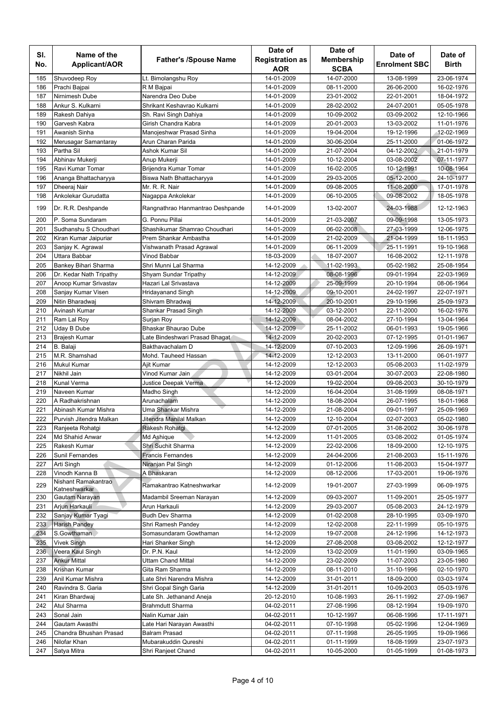|            |                                      |                                  | Date of                | Date of           |                                 |                         |
|------------|--------------------------------------|----------------------------------|------------------------|-------------------|---------------------------------|-------------------------|
| SI.<br>No. | Name of the<br>Applicant/AOR         | <b>Father's /Spouse Name</b>     | <b>Registration as</b> | <b>Membership</b> | Date of<br><b>Enrolment SBC</b> | Date of<br><b>Birth</b> |
|            |                                      |                                  | AOR                    | <b>SCBA</b>       |                                 |                         |
| 185        | Shuvodeep Roy                        | Lt. Bimolangshu Roy              | 14-01-2009             | 14-07-2000        | 13-08-1999                      | 23-06-1974              |
| 186        | Prachi Bajpai                        | R M Bajpai                       | 14-01-2009             | 08-11-2000        | 26-06-2000                      | 16-02-1976              |
| 187        | Nirnimesh Dube                       | Narendra Deo Dube                | 14-01-2009             | 23-01-2002        | 22-01-2001                      | 18-04-1972              |
| 188        | Ankur S. Kulkarni                    | Shrikant Keshavrao Kulkarni      | 14-01-2009             | 28-02-2002        | 24-07-2001                      | 05-05-1978              |
| 189        | Rakesh Dahiya                        | Sh. Ravi Singh Dahiya            | 14-01-2009             | 10-09-2002        | 03-09-2002                      | 12-10-1966              |
| 190        | Garvesh Kabra                        | Girish Chandra Kabra             | 14-01-2009             | 20-01-2003        | 13-03-2002                      | 11-01-1976              |
| 191        | Awanish Sinha                        | Manojeshwar Prasad Sinha         | 14-01-2009             | 19-04-2004        | 19-12-1996                      | 12-02-1969              |
| 192        | Merusagar Samantaray                 | Arun Charan Parida               | 14-01-2009             | 30-06-2004        | 25-11-2000                      | 01-06-1972              |
| 193        | Partha Sil                           | Ashok Kumar Sil                  | 14-01-2009             | 21-07-2004        | 04-12-2002                      | 21-01-1979              |
| 194        | Abhinav Mukerji                      | Anup Mukerji                     | 14-01-2009             | 10-12-2004        | 03-08-2002                      | 07-11-1977              |
| 195        | Ravi Kumar Tomar                     | Brijendra Kumar Tomar            | 14-01-2009             | 16-02-2005        | 10-12-1991                      | 10-08-1964              |
| 196        | Ananga Bhattacharyya                 | Biswa Nath Bhattacharyya         | 14-01-2009             | 29-03-2005        | 05-12-2000                      | 24-10-1977              |
| 197        | Dheeraj Nair                         | Mr. R. R. Nair                   | 14-01-2009             | 09-08-2005        | 11-08-2000                      | 17-01-1978              |
| 198        | Ankolekar Gurudatta                  | Nagappa Ankolekar                | 14-01-2009             | 06-10-2005        | 09-08-2002                      | 18-05-1978              |
| 199        | Dr. R.R. Deshpande                   | Rangnathrao Hanmantrao Deshpande | 14-01-2009             | 13-02-2007        | 24-03-1988                      | 12-12-1963              |
| 200        | P. Soma Sundaram                     | G. Ponnu Pillai                  | 14-01-2009             | 21-03-2007        | 09-09-1998                      | 13-05-1973              |
| 201        | Sudhanshu S Choudhari                | Shashikumar Shamrao Choudhari    | 14-01-2009             | 06-02-2008        | 27-03-1999                      | 12-06-1975              |
| 202        | Kiran Kumar Jaipuriar                | Prem Shankar Ambastha            | 14-01-2009             | 21-02-2009        | 21-04-1999                      | 18-11-1953              |
| 203        | Sanjay K. Agrawal                    | Vishwanath Prasad Agrawal        | 14-01-2009             | 06-11-2009        | 25-11-1991                      | 19-10-1968              |
| 204        | Uttara Babbar                        | Vinod Babbar                     | 18-03-2009             | 18-07-2007        | 16-08-2002                      | 12-11-1978              |
| 205        | Bankey Bihari Sharma                 | Shri Munni Lal Sharma            | 14-12-2009             | 11-02-1993        | 05-02-1982                      | 25-08-1954              |
| 206        | Dr. Kedar Nath Tripathy              | Shyam Sundar Tripathy            | 14-12-2009             | 08-08-1996        | 09-01-1994                      | 22-03-1969              |
| 207        | Anoop Kumar Srivastav                | Hazari Lal Srivastava            | 14-12-2009             | 25-09-1999        | 20-10-1994                      | 08-06-1964              |
| 208        | Sanjay Kumar Visen                   | <b>Hridayanand Singh</b>         | 14-12-2009             | 09-10-2001        | 24-02-1997                      | 22-07-1971              |
| 209        | Nitin Bharadwaj                      | Shivram Bhradwaj                 | 14-12-2009             | 20-10-2001        | 29-10-1996                      | 25-09-1973              |
| 210        | Avinash Kumar                        | Shankar Prasad Singh             | 14-12-2009             | 03-12-2001        | 22-11-2000                      | 16-02-1976              |
| 211        | Ram Lal Roy                          | Surjan Roy                       | 14-12-2009             | 08-04-2002        | 27-10-1994                      | 13-04-1964              |
| 212        | Uday B Dube                          | Bhaskar Bhaurao Dube             | 14-12-2009             | 25-11-2002        | 06-01-1993                      | 19-05-1966              |
| 213        | Brajesh Kumar                        | Late Bindeshwari Prasad Bhagat   | 14-12-2009             | 20-02-2003        | 07-12-1995                      | 01-01-1967              |
| 214        | <b>B.</b> Balaji                     | Bakthavachalam D                 | 14-12-2009             | 07-10-2003        | 12-09-1996                      | 26-09-1971              |
| 215        | M.R. Shamshad                        | Mohd. Tauheed Hassan             | 14-12-2009             | 12-12-2003        | 13-11-2000                      | 06-01-1977              |
| 216        | Mukul Kumar                          | Ajit Kumar                       | 14-12-2009             | 12-12-2003        | 05-08-2003                      | 11-02-1979              |
| 217        | Nikhil Jain                          | Vinod Kumar Jain                 | 14-12-2009             | 03-01-2004        | 30-07-2003                      | 22-08-1980              |
| 218        | Kunal Verma                          | Justice Deepak Verma             | 14-12-2009             | 19-02-2004        | 09-08-2003                      | 30-10-1979              |
| 219        | Naveen Kumar                         | Madho Singh                      | 14-12-2009             | 16-04-2004        | 31-08-1999                      | 08-08-1971              |
| 220        | A Radhakrishnan                      | Arunachalam                      | 14-12-2009             | 18-08-2004        | 26-07-1995                      | 18-01-1968              |
| 221        | Abinash Kumar Mishra                 | Uma Shankar Mishra               | 14-12-2009             | 21-08-2004        | 09-01-1997                      | 25-09-1969              |
| 222        | Purvish Jitendra Malkan              | Jitendra Manilal Malkan          | 14-12-2009             | 12-10-2004        | 02-07-2003                      | 05-02-1980              |
| 223        | Ranjeeta Rohatgi                     | Rakesh Rohatgi                   | 14-12-2009             | 07-01-2005        | 31-08-2002                      | 30-06-1978              |
| 224        | Md Shahid Anwar                      | Md Ashique                       | 14-12-2009             | 11-01-2005        | 03-08-2002                      | 01-05-1974              |
| 225        | Rakesh Kumar                         | Shri Suchit Sharma               | 14-12-2009             | 22-02-2006        | 18-09-2000                      | 12-10-1975              |
| 226        | Sunil Fernandes                      | <b>Francis Fernandes</b>         | 14-12-2009             | 24-04-2006        | 21-08-2003                      | 15-11-1976              |
| 227        | Arti Singh                           | Niranjan Pal Singh               | 14-12-2009             | 01-12-2006        | 11-08-2003                      | 15-04-1977              |
| 228        | Vinodh Kanna B                       | A Bhaskaran                      | 14-12-2009             | 08-12-2006        | 17-03-2001                      | 19-06-1976              |
| 229        | Nishant Ramakantrao<br>Katneshwarkar | Ramakantrao Katneshwarkar        | 14-12-2009             | 19-01-2007        | 27-03-1999                      | 06-09-1975              |
| 230        | Gautam Narayan                       | Madambil Sreeman Narayan         | 14-12-2009             | 09-03-2007        | 11-09-2001                      | 25-05-1977              |
| 231        | Arjun Harkauli                       | Arun Harkauli                    | 14-12-2009             | 29-03-2007        | 05-08-2003                      | 24-12-1979              |
| 232        | Sanjay Kumar Tyagi                   | <b>Budh Dev Sharma</b>           | 14-12-2009             | 01-02-2008        | 28-10-1995                      | 03-09-1970              |
| 233        | <b>Harish Pandey</b>                 | Shri Ramesh Pandey               | 14-12-2009             | 12-02-2008        | 22-11-1999                      | 05-10-1975              |
| 234        | S.Gowthaman                          | Somasundaram Gowthaman           | 14-12-2009             | 19-07-2008        | 24-12-1996                      | 14-12-1973              |
| 235        | <b>Vivek Singh</b>                   | Hari Shanker Singh               | 14-12-2009             | 27-08-2008        | 03-08-2002                      | 12-12-1977              |
| 236        | Veera Kaul Singh                     | Dr. P.N. Kaul                    | 14-12-2009             | 13-02-2009        | 11-01-1990                      | 03-09-1965              |
| 237        | <b>Ankur Mittal</b>                  | Uttam Chand Mittal               | 14-12-2009             | 23-02-2009        | 11-07-2003                      | 23-05-1980              |
| 238        | Krishan Kumar                        | Gita Ram Sharma                  | 14-12-2009             | 08-11-2010        | 31-10-1996                      | 02-10-1970              |
| 239        | Anil Kumar Mishra                    | Late Shri Narendra Mishra        | 14-12-2009             | 31-01-2011        | 18-09-2000                      | 03-03-1974              |
| 240        | Ravindra S. Garia                    | Shri Gopal Singh Garia           | 14-12-2009             | 31-01-2011        | 10-09-2003                      | 05-03-1976              |
| 241        | Kiran Bhardwaj                       | Late Sh. Jethanand Aneja         | 20-12-2010             | 10-08-1993        | 26-11-1992                      | 27-09-1967              |
| 242        | Atul Sharma                          | <b>Brahmdutt Sharma</b>          | 04-02-2011             | 27-08-1996        | 08-12-1994                      | 19-09-1970              |
| 243        | Sonal Jain                           | Nalin Kumar Jain                 | 04-02-2011             | 10-12-1997        | 06-08-1996                      | 17-11-1971              |
| 244        | Gautam Awasthi                       | Late Hari Narayan Awasthi        | 04-02-2011             | 07-10-1998        | 05-02-1996                      | 12-04-1969              |
|            | Chandra Bhushan Prasad               | <b>Balram Prasad</b>             |                        |                   |                                 |                         |
| 245<br>246 |                                      |                                  | 04-02-2011             | 07-11-1998        | 26-05-1995                      | 19-09-1966              |
|            | Nilofar Khan                         | Mubarakuddin Qureshi             | 04-02-2011             | 01-11-1999        | 18-08-1999                      | 23-07-1973              |
| 247        | Satya Mitra                          | Shri Ranjeet Chand               | 04-02-2011             | 10-05-2000        | 01-05-1999                      | 01-08-1973              |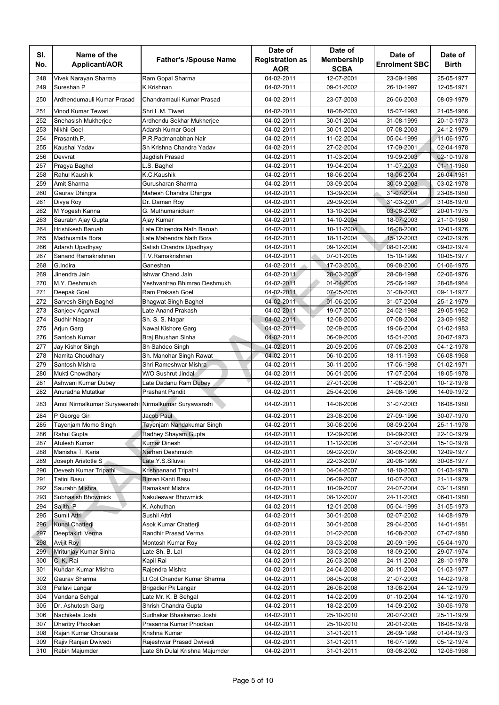| SI.        | Name of the                                          |                                                   | Date of                       | Date of                          | Date of                  | Date of                  |
|------------|------------------------------------------------------|---------------------------------------------------|-------------------------------|----------------------------------|--------------------------|--------------------------|
| No.        | Applicant/AOR                                        | <b>Father's /Spouse Name</b>                      | <b>Registration as</b><br>AOR | <b>Membership</b><br><b>SCBA</b> | <b>Enrolment SBC</b>     | <b>Birth</b>             |
| 248        | Vivek Narayan Sharma                                 | Ram Gopal Sharma                                  | 04-02-2011                    | 12-07-2001                       | 23-09-1999               | 25-05-1977               |
| 249        | Sureshan P                                           | K Krishnan                                        | 04-02-2011                    | 09-01-2002                       | 26-10-1997               | 12-05-1971               |
| 250        | Ardhendumauli Kumar Prasad                           | Chandramauli Kumar Prasad                         | 04-02-2011                    | 23-07-2003                       | 26-06-2003               | 08-09-1979               |
| 251        | Vinod Kumar Tewari                                   | Shri L.M. Tiwari                                  | 04-02-2011                    | 18-08-2003                       | 15-07-1993               | 21-05-1966               |
| 252        | Snehasish Mukherjee                                  | Ardhendu Sekhar Mukherjee                         | 04-02-2011                    | 30-01-2004                       | 31-08-1999               | 20-10-1973               |
| 253        | Nikhil Goel                                          | Adarsh Kumar Goel                                 | 04-02-2011                    | 30-01-2004                       | 07-08-2003               | 24-12-1979               |
| 254        | Prasanth.P.                                          | P.R.Padmanabhan Nair                              | 04-02-2011                    | 11-02-2004                       | 05-04-1999               | 11-06-1975               |
| 255        | Kaushal Yadav                                        | Sh Krishna Chandra Yadav                          | 04-02-2011                    | 27-02-2004                       | 17-09-2001               | 02-04-1978               |
| 256        | Devvrat                                              | Jagdish Prasad                                    | 04-02-2011                    | 11-03-2004                       | 19-09-2003               | 02-10-1978               |
| 257        | Pragya Baghel                                        | L.S. Baghel                                       | 04-02-2011                    | 19-04-2004                       | 11-07-2003               | 01-11-1980               |
| 258        | Rahul Kaushik                                        | K.C.Kaushik                                       | 04-02-2011                    | 18-06-2004                       | 18-06-2004               | 26-04-1981               |
| 259        | Amit Sharma                                          | Gurusharan Sharma                                 | 04-02-2011                    | 03-09-2004                       | 30-09-2003               | 03-02-1978               |
| 260        | Gaurav Dhingra                                       | Mahesh Chandra Dhingra                            | 04-02-2011                    | 13-09-2004                       | 31-07-2004               | 23-08-1980               |
| 261        | Divya Roy                                            | Dr. Daman Roy                                     | 04-02-2011                    | 29-09-2004                       | 31-03-2001               | 31-08-1970               |
| 262        | M Yogesh Kanna                                       | G. Muthumanickam                                  | 04-02-2011                    | 13-10-2004                       | 03-08-2002               | 20-01-1975               |
| 263        | Saurabh Ajay Gupta                                   | Ajay Kumar                                        | 04-02-2011                    | 14-10-2004                       | 18-07-2003               | 21-10-1980               |
| 264        | Hrishikesh Baruah                                    | Late Dhirendra Nath Baruah                        | 04-02-2011                    | 10-11-2004                       | 16-08-2000               | 12-01-1976               |
| 265        | Madhusmita Bora                                      | Late Mahendra Nath Bora                           | 04-02-2011                    | 18-11-2004                       | 15-12-2003               | 02-02-1976               |
| 266        | Adarsh Upadhyay                                      | Satish Chandra Upadhyay                           | 04-02-2011                    | 09-12-2004                       | 08-01-2000               | 09-02-1974               |
| 267        | Sanand Ramakrishnan                                  | T.V.Ramakrishnan                                  | 04-02-2011                    | 07-01-2005                       | 15-10-1999               | 10-05-1977               |
| 268        | G.Indira                                             | Ganeshan                                          | 04-02-2011                    | 17-03-2005                       | 09-08-2000               | 01-06-1975               |
| 269        | Jinendra Jain                                        | Ishwar Chand Jain                                 | 04-02-2011                    | 28-03-2005                       | 28-08-1998               | 02-06-1976               |
| 270        | M.Y. Deshmukh                                        | Yeshvantrao Bhimrao Deshmukh                      | 04-02-2011                    | 01-04-2005                       | 25-06-1992               | 28-08-1964               |
| 271        | Deepak Goel                                          | Ram Prakash Goel                                  | 04-02-2011                    | 07-05-2005                       | 31-08-2003               | 09-11-1977               |
| 272        | Sarvesh Singh Baghel                                 | <b>Bhagwat Singh Baghel</b>                       | 04-02-2011                    | 01-06-2005                       | 31-07-2004               | 25-12-1979               |
| 273        | Sanjeev Agarwal                                      | Late Anand Prakash                                | 04-02-2011                    | 19-07-2005                       | 24-02-1988               | 29-05-1962               |
| 274        | Sudhir Naagar                                        | Sh. S. S. Nagar                                   | 04-02-2011                    | 12-08-2005                       | 07-08-2004               | 23-09-1982               |
| 275        | Arjun Garg                                           | Nawal Kishore Garg                                | 04-02-2011                    | 02-09-2005                       | 19-06-2004               | 01-02-1983               |
| 276        | Santosh Kumar                                        | Braj Bhushan Sinha                                | 04-02-2011                    | 06-09-2005                       | 15-01-2005               | 20-07-1973               |
| 277        | Jay Kishor Singh                                     | Sh Sahdeo Singh                                   | 04-02-2011                    | 20-09-2005                       | 07-08-2003               | 04-12-1978               |
| 278        | Namita Choudhary                                     | Sh. Manohar Singh Rawat                           | 04-02-2011                    | 06-10-2005                       | 18-11-1993               | 06-08-1968               |
| 279        | Santosh Mishra                                       | Shri Rameshwar Mishra                             | 04-02-2011                    | 30-11-2005                       | 17-06-1998               | 01-02-1971               |
| 280        | Mukti Chowdhary                                      | W/O Sushrut Jindal                                | 04-02-2011                    | 06-01-2006                       | 17-07-2004               | 18-05-1978               |
| 281        | Ashwani Kumar Dubey                                  | Late Dadanu Ram Dubey                             | 04-02-2011                    | 27-01-2006                       | 11-08-2001               | 10-12-1978               |
| 282        | Anuradha Mutatkar                                    | <b>Prashant Pandit</b>                            | 04-02-2011                    | 25-04-2006                       | 24-08-1996               | 14-09-1972               |
| 283        | Amol Nirmalkumar Suryawanshi Nirmalkumar Suryawanshi |                                                   | 04-02-2011                    | 14-08-2006                       | 31-07-2003               | 16-08-1980               |
| 284        | P George Giri                                        | Jacob Paul                                        | 04-02-2011                    | 23-08-2006                       | 27-09-1996               | 30-07-1970               |
| 285        | Tayenjam Momo Singh                                  | Tayenjam Nandakumar Singh                         | 04-02-2011                    | 30-08-2006                       | 08-09-2004               | 25-11-1978               |
| 286        | Rahul Gupta                                          | Radhey Shayam Gupta                               | 04-02-2011                    | 12-09-2006                       | 04-09-2003               | 22-10-1979               |
| 287        | Atulesh Kumar                                        | <b>Kumar Dinesh</b>                               | 04-02-2011                    | 11-12-2006                       | 31-07-2004               | 15-10-1978               |
| 288        | Manisha T. Karia                                     | Narhari Deshmukh                                  | 04-02-2011                    | 09-02-2007                       | 30-06-2000               | 12-09-1977               |
| 289        | Joseph Aristotle S                                   | Late.Y.S.Siluvai                                  | 04-02-2011                    | 22-03-2007                       | 20-08-1999               | 30-08-1977               |
| 290        | Devesh Kumar Tripathi                                | Krishnanand Tripathi                              | 04-02-2011                    | 04-04-2007                       | 18-10-2003               | 01-03-1978               |
| 291        | Tatini Basu                                          | Biman Kanti Basu                                  | 04-02-2011                    | 06-09-2007                       | 10-07-2003               | 21-11-1979               |
| 292        | Saurabh Mishra                                       | Ramakant Mishra                                   | 04-02-2011                    | 10-09-2007                       | 24-07-2004               | 03-11-1980               |
| 293        | Subhasish Bhowmick                                   | Nakuleswar Bhowmick                               | 04-02-2011                    | 08-12-2007                       | 24-11-2003               | 06-01-1980               |
| 294        | Sajith. P                                            | K. Achuthan                                       | 04-02-2011                    | 12-01-2008                       | 05-04-1999               | 31-05-1973               |
| 295        | Sumit Attri                                          | Sushil Attri                                      | 04-02-2011                    | 30-01-2008                       | 02-07-2002               | 14-08-1979               |
| 296        | Kunal Chatterji                                      | Asok Kumar Chatterji                              | 04-02-2011                    | 30-01-2008                       | 29-04-2005               | 14-01-1981               |
| 297        | Deeptakirti Verma                                    | Randhir Prasad Verma                              | 04-02-2011                    | 01-02-2008                       | 16-08-2002               | 07-07-1980               |
| 298        | Avijit Roy                                           | Montosh Kumar Roy                                 | 04-02-2011                    | 03-03-2008                       | 20-09-1995               | 05-04-1970               |
| 299        | Mritunjay Kumar Sinha                                | Late Sh. B. Lal                                   | 04-02-2011                    | 03-03-2008                       | 18-09-2000               | 29-07-1974               |
| 300        | C. K. Rai                                            | Kapil Rai                                         | 04-02-2011                    | 26-03-2008                       | 24-11-2003               | 28-10-1978               |
| 301        | Kundan Kumar Mishra                                  | Rajendra Mishra                                   | 04-02-2011                    | 24-04-2008                       | 30-11-2004               | 01-03-1977               |
| 302        | Gaurav Sharma                                        | Lt Col Chander Kumar Sharma                       | 04-02-2011                    | 08-05-2008                       | 21-07-2003               | 14-02-1978               |
| 303<br>304 | Pallavi Langar                                       | Brigadier Pk Langar                               | 04-02-2011                    | 26-08-2008                       | 13-08-2004               | 24-12-1979               |
|            | Vandana Sehgal                                       | Late Mr. K. B Sehgal                              | 04-02-2011                    | 14-02-2009                       | 01-10-2004               | 14-12-1970               |
| 305        | Dr. Ashutosh Garg                                    | Shrish Chandra Gupta<br>Sudhakar Bhaskarrao Joshi | 04-02-2011                    | 18-02-2009                       | 14-09-2002               | 30-06-1978               |
| 306<br>307 | Nachiketa Joshi<br>Dharitry Phookan                  | Prasanna Kumar Phookan                            | 04-02-2011<br>04-02-2011      | 25-10-2010<br>25-10-2010         | 20-07-2003<br>20-01-2005 | 25-11-1979<br>16-08-1978 |
| 308        | Rajan Kumar Chourasia                                | Krishna Kumar                                     | 04-02-2011                    |                                  | 26-09-1998               | 01-04-1973               |
| 309        | Rajiv Ranjan Dwivedi                                 | Rajeshwar Prasad Dwivedi                          | 04-02-2011                    | 31-01-2011<br>31-01-2011         | 16-07-1999               | 05-12-1974               |
| 310        |                                                      | Late Sh Dulal Krishna Majumder                    | 04-02-2011                    |                                  | 03-08-2002               | 12-06-1968               |
|            | Rabin Majumder                                       |                                                   |                               | 31-01-2011                       |                          |                          |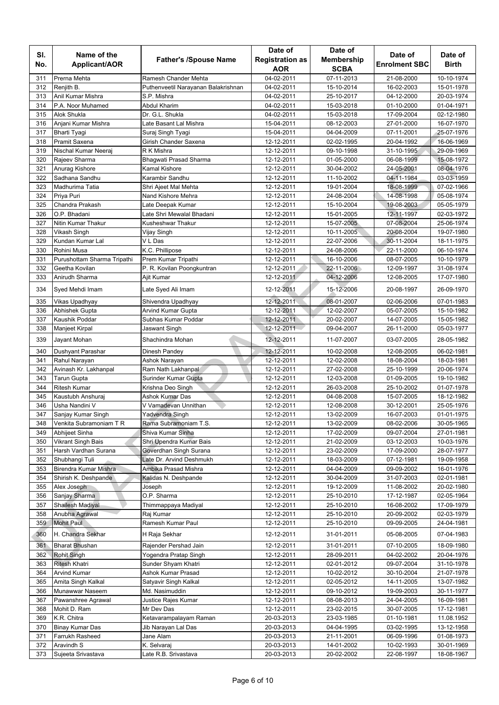|     |                             |                                     | Date of                | Date of           |                      |              |
|-----|-----------------------------|-------------------------------------|------------------------|-------------------|----------------------|--------------|
| SI. | Name of the                 | <b>Father's /Spouse Name</b>        | <b>Registration as</b> | <b>Membership</b> | Date of              | Date of      |
| No. | <b>Applicant/AOR</b>        |                                     | <b>AOR</b>             | <b>SCBA</b>       | <b>Enrolment SBC</b> | <b>Birth</b> |
| 311 | Prerna Mehta                | Ramesh Chander Mehta                | 04-02-2011             | 07-11-2013        | 21-08-2000           | 10-10-1974   |
| 312 | Reniith B.                  | Puthenveetil Narayanan Balakrishnan | 04-02-2011             | 15-10-2014        | 16-02-2003           | 15-01-1978   |
| 313 | Anil Kumar Mishra           | S.P. Mishra                         | 04-02-2011             | 25-10-2017        | 04-12-2000           | 20-03-1974   |
| 314 | P.A. Noor Muhamed           | Abdul Kharim                        | 04-02-2011             | 15-03-2018        | 01-10-2000           | 01-04-1971   |
| 315 | Alok Shukla                 | Dr. G.L. Shukla                     | 04-02-2011             | 15-03-2018        | 17-09-2004           | 02-12-1980   |
| 316 | Anjani Kumar Mishra         | Late Basant Lal Mishra              | 15-04-2011             | 08-12-2003        | 27-01-2000           | 16-07-1970   |
| 317 | Bharti Tyagi                | Suraj Singh Tyagi                   | 15-04-2011             | 04-04-2009        | 07-11-2001           | 25-07-1976   |
| 318 | Pramit Saxena               | Girish Chander Saxena               | 12-12-2011             | 02-02-1995        | 20-04-1992           | 16-06-1969   |
| 319 | Nischal Kumar Neeraj        | R K Mishra                          | 12-12-2011             | 09-10-1998        | 31-10-1995           | 29-09-1969   |
| 320 | Rajeev Sharma               | Bhagwati Prasad Sharma              | 12-12-2011             | 01-05-2000        | 06-08-1999           | 15-08-1972   |
| 321 | Anurag Kishore              | Kamal Kishore                       | 12-12-2011             | 30-04-2002        | 24-05-2001           | 08-04-1976   |
| 322 | Sadhana Sandhu              | Karambir Sandhu                     | 12-12-2011             | 11-10-2002        | 04-11-1984           | 03-03-1959   |
| 323 | Madhurima Tatia             | Shri Ajeet Mal Mehta                | 12-12-2011             | 19-01-2004        | 18-08-1999           | 07-02-1966   |
| 324 | Priya Puri                  | Nand Kishore Mehra                  | 12-12-2011             | 24-08-2004        | 14-08-1998           | 05-08-1974   |
| 325 | Chandra Prakash             | Late Deepak Kumar                   | 12-12-2011             | 15-10-2004        | 19-08-2003           | 05-05-1979   |
| 326 | O.P. Bhadani                | Late Shri Mewalal Bhadani           | 12-12-2011             | 15-01-2005        | 12-11-1997           | 02-03-1972   |
| 327 | Nitin Kumar Thakur          | Kusheshwar Thakur                   | 12-12-2011             | 15-07-2005        | 07-08-2004           | 25-06-1974   |
| 328 | Vikash Singh                | Vijay Singh                         | 12-12-2011             | 10-11-2005        | 20-08-2004           | 19-07-1980   |
| 329 | Kundan Kumar Lal            | V L Das                             | 12-12-2011             | 22-07-2006        | 30-11-2004           | 18-11-1975   |
| 330 | Rohini Musa                 | K.C. Phillipose                     | 12-12-2011             | 24-08-2006        | 22-11-2000           | 06-10-1974   |
| 331 | Purushottam Sharma Tripathi | Prem Kumar Tripathi                 | 12-12-2011             | 16-10-2006        | 08-07-2005           | 10-10-1979   |
| 332 | Geetha Kovilan              | P. R. Kovilan Poongkuntran          | 12-12-2011             | 22-11-2006        | 12-09-1997           | 31-08-1974   |
| 333 | Anirudh Sharma              | Ajit Kumar                          | 12-12-2011             | 04-12-2006        | 12-08-2005           | 17-07-1980   |
|     |                             |                                     |                        |                   |                      |              |
| 334 | Syed Mehdi Imam             | Late Syed Ali Imam                  | 12-12-2011             | 15-12-2006        | 20-08-1997           | 26-09-1970   |
| 335 | Vikas Upadhyay              | Shivendra Upadhyay                  | 12-12-2011             | 08-01-2007        | 02-06-2006           | 07-01-1983   |
| 336 | Abhishek Gupta              | Arvind Kumar Gupta                  | 12-12-2011             | 12-02-2007        | 05-07-2005           | 15-10-1982   |
| 337 | Kaushik Poddar              | Subhas Kumar Poddar                 | 12-12-2011             | 20-02-2007        | 14-07-2005           | 15-05-1982   |
| 338 | Manjeet Kirpal              | Jaswant Singh                       | 12-12-2011             | 09-04-2007        | 26-11-2000           | 05-03-1977   |
| 339 | Jayant Mohan                | Shachindra Mohan                    | 12-12-2011             | 11-07-2007        | 03-07-2005           | 28-05-1982   |
| 340 | Dushyant Parashar           | Dinesh Pandey                       | 12-12-2011             | 10-02-2008        | 12-08-2005           | 06-02-1981   |
| 341 | Rahul Narayan               | Ashok Narayan                       | 12-12-2011             | 12-02-2008        | 18-08-2004           | 18-03-1981   |
| 342 | Avinash Kr. Lakhanpal       | Ram Nath Lakhanpal                  | 12-12-2011             | 27-02-2008        | 25-10-1999           | 20-06-1974   |
| 343 | Tarun Gupta                 | Surinder Kumar Gupta                | 12-12-2011             | 12-03-2008        | 01-09-2005           | 19-10-1982   |
| 344 | <b>Ritesh Kumar</b>         | Krishna Deo Singh                   | 12-12-2011             | 26-03-2008        | 25-10-2002           | 01-07-1978   |
| 345 | Kaustubh Anshuraj           | Ashok Kumar Das                     | 12-12-2011             | 04-08-2008        | 15-07-2005           | 18-12-1982   |
| 346 | Usha Nandini V              | V Vamadevan Unnithan                | 12-12-2011             | 12-08-2008        | 30-12-2001           | 25-05-1976   |
| 347 | Sanjay Kumar Singh          | Yadvendra Singh                     | 12-12-2011             | 13-02-2009        | 16-07-2003           | 01-01-1975   |
| 348 | Venkita Subramoniam T R     | Rama Subramoniam T.S.               | 12-12-2011             | 13-02-2009        | 08-02-2006           | 30-05-1965   |
| 349 | Abhijeet Sinha              | Shiva Kumar Sinha                   | 12-12-2011             | 17-02-2009        | 09-07-2004           | 27-01-1981   |
| 350 | Vikrant Singh Bais          | Shri Upendra Kumar Bais             | 12-12-2011             | 21-02-2009        | 03-12-2003           | 10-03-1976   |
| 351 | Harsh Vardhan Surana        | Goverdhan Singh Surana              | 12-12-2011             | 23-02-2009        | 17-09-2000           | 28-07-1977   |
| 352 | Shubhangi Tuli              | Late Dr. Arvind Deshmukh            | 12-12-2011             | 18-03-2009        | 07-12-1981           | 19-09-1958   |
| 353 | Birendra Kumar Mishra       | Ambika Prasad Mishra                | 12-12-2011             | 04-04-2009        | 09-09-2002           | 16-01-1976   |
| 354 | Shirish K. Deshpande        | Kalidas N. Deshpande                | 12-12-2011             | 30-04-2009        | 31-07-2003           | 02-01-1981   |
| 355 | Alex Joseph                 | Joseph                              | 12-12-2011             | 19-12-2009        | 11-08-2002           | 20-02-1980   |
| 356 | Sanjay Sharma               | O.P. Sharma                         | 12-12-2011             | 25-10-2010        | 17-12-1987           | 02-05-1964   |
| 357 | Shailesh Madiyal            | Thimmappaya Madiyal                 | 12-12-2011             | 25-10-2010        | 16-08-2002           | 17-09-1979   |
| 358 | Anubha Agrawal              | Raj Kumar                           | 12-12-2011             | 25-10-2010        | 20-09-2002           | 02-03-1979   |
| 359 | <b>Mohit Paul</b>           | Ramesh Kumar Paul                   | 12-12-2011             | 25-10-2010        | 09-09-2005           | 24-04-1981   |
|     |                             |                                     |                        |                   |                      |              |
| 360 | H. Chandra Sekhar           | H Raja Sekhar                       | 12-12-2011             | 31-01-2011        | 05-08-2005           | 07-04-1983   |
| 361 | <b>Bharat Bhushan</b>       | Rajender Pershad Jain               | 12-12-2011             | 31-01-2011        | 07-10-2005           | 18-09-1980   |
| 362 | Rohit Singh                 | Yogendra Pratap Singh               | 12-12-2011             | 28-09-2011        | 04-02-2002           | 20-04-1976   |
| 363 | Ritesh Khatri               | Sunder Shyam Khatri                 | 12-12-2011             | 02-01-2012        | 09-07-2004           | 31-10-1978   |
| 364 | Arvind Kumar                | Ashok Kumar Prasad                  | 12-12-2011             | 10-02-2012        | 30-10-2004           | 21-07-1978   |
| 365 | Amita Singh Kalkal          | Satyavir Singh Kalkal               | 12-12-2011             | 02-05-2012        | 14-11-2005           | 13-07-1982   |
| 366 | Munawwar Naseem             | Md. Nasimuddin                      | 12-12-2011             | 09-10-2012        | 19-09-2003           | 30-11-1977   |
| 367 | Pawanshree Agrawal          | Justice Rajes Kumar                 | 12-12-2011             | 08-08-2013        | 24-04-2005           | 16-09-1981   |
| 368 | Mohit D. Ram                | Mr Dev Das                          | 12-12-2011             | 23-02-2015        | 30-07-2005           | 17-12-1981   |
| 369 | K.R. Chitra                 | Ketavarampalayam Raman              | 20-03-2013             | 23-03-1985        | 01-10-1981           | 11.08.1952   |
| 370 | Binay Kumar Das             | Jib Narayan Lal Das                 | 20-03-2013             | 04-04-1995        | 03-02-1995           | 13-12-1958   |
| 371 | Farrukh Rasheed             | Jane Alam                           | 20-03-2013             | 21-11-2001        | 06-09-1996           | 01-08-1973   |
| 372 | Aravindh S                  | K. Selvaraj                         | 20-03-2013             | 14-01-2002        | 10-02-1993           | 30-01-1969   |
| 373 | Sujeeta Srivastava          | Late R.B. Srivastava                | 20-03-2013             | 20-02-2002        | 22-08-1997           | 18-08-1967   |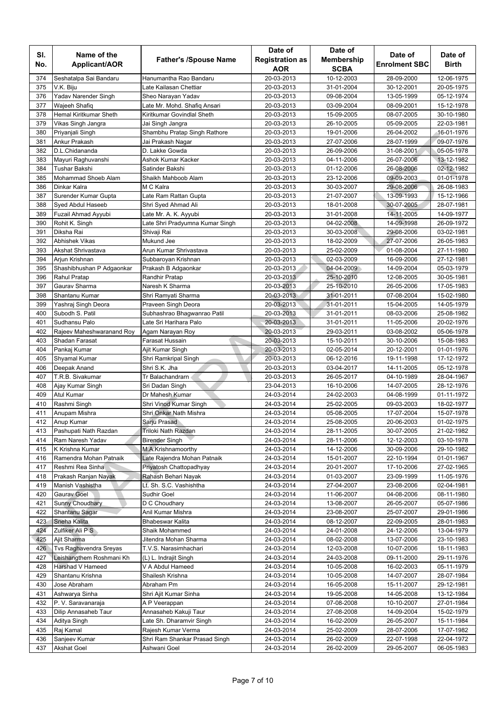|     |                           |                                            | Date of                | Date of           |                      |              |
|-----|---------------------------|--------------------------------------------|------------------------|-------------------|----------------------|--------------|
| SI. | Name of the               | <b>Father's /Spouse Name</b>               | <b>Registration as</b> | <b>Membership</b> | Date of              | Date of      |
| No. | Applicant/AOR             |                                            | <b>AOR</b>             | <b>SCBA</b>       | <b>Enrolment SBC</b> | <b>Birth</b> |
| 374 | Seshatalpa Sai Bandaru    | Hanumantha Rao Bandaru                     | 20-03-2013             | 10-12-2003        | 28-09-2000           | 12-06-1975   |
| 375 | V.K. Biju                 | Late Kailasan Chettiar                     | 20-03-2013             | 31-01-2004        | 30-12-2001           | 20-05-1975   |
| 376 | Yadav Narender Singh      | Sheo Narayan Yadav                         | 20-03-2013             | 09-08-2004        | 13-05-1999           | 05-12-1974   |
| 377 | Wajeeh Shafiq             | Late Mr. Mohd. Shafiq Ansari               | 20-03-2013             | 03-09-2004        | 08-09-2001           | 15-12-1978   |
| 378 | Hemal Kiritkumar Sheth    | Kiritkumar Govindlal Sheth                 | 20-03-2013             | 15-09-2005        | 08-07-2005           | 30-10-1980   |
| 379 | Vikas Singh Jangra        | Jai Singh Jangra                           | 20-03-2013             | 26-10-2005        | 05-09-2005           | 22-03-1981   |
| 380 | Priyanjali Singh          | Shambhu Pratap Singh Rathore               | 20-03-2013             | 19-01-2006        | 26-04-2002           | 16-01-1976   |
| 381 | Ankur Prakash             | Jai Prakash Nagar                          | 20-03-2013             | 27-07-2006        | 28-07-1999           | 09-07-1976   |
| 382 | D.L.Chidananda            | D. Lakke Gowda                             | 20-03-2013             | 26-09-2006        | 31-08-2001           | 05-05-1978   |
| 383 | Mayuri Raghuvanshi        | Ashok Kumar Kacker                         | 20-03-2013             | 04-11-2006        | 26-07-2006           | 13-12-1982   |
| 384 | Tushar Bakshi             | Satinder Bakshi                            | 20-03-2013             | 01-12-2006        | 26-08-2006           | 02-12-1982   |
| 385 | Mohammad Shoeb Alam       | Shaikh Mahboob Alam                        | 20-03-2013             | 23-12-2006        | 09-09-2003           | 01-01-1978   |
| 386 | Dinkar Kalra              | M C Kalra                                  | 20-03-2013             | 30-03-2007        | 29-08-2006           | 26-08-1983   |
| 387 | Surender Kumar Gupta      | Late Ram Rattan Gupta                      | 20-03-2013             | 21-07-2007        | 13-09-1993           | 15-12-1966   |
| 388 | Syed Abdul Haseeb         | Shri Syed Ahmad Ali                        | 20-03-2013             | 18-01-2008        | 30-07-2005           | 28-07-1981   |
| 389 | Fuzail Ahmad Ayyubi       | Late Mr. A. K. Ayyubi                      | 20-03-2013             | 31-01-2008        | 14-11-2005           | 14-09-1977   |
| 390 | Rohit K. Singh            | Late Shri Pradyumna Kumar Singh            | 20-03-2013             | 04-02-2008        | 14-09-1998           | 26-09-1972   |
| 391 | Diksha Rai                | Shivaji Rai                                | 20-03-2013             | 30-03-2008        | 29-08-2006           | 03-02-1981   |
| 392 | <b>Abhishek Vikas</b>     | Mukund Jee                                 | 20-03-2013             | 18-02-2009        | 27-07-2006           | 26-05-1983   |
| 393 | Akshat Shrivastava        | Arun Kumar Shrivastava                     | 20-03-2013             | 25-02-2009        | 01-08-2004           | 27-11-1980   |
| 394 | Arjun Krishnan            | Subbaroyan Krishnan                        | 20-03-2013             | 02-03-2009        | 16-09-2006           | 27-12-1981   |
| 395 | Shashibhushan P Adgaonkar | Prakash B Adgaonkar                        | 20-03-2013             | 04-04-2009        | 14-09-2004           | 05-03-1979   |
| 396 | Rahul Pratap              | Randhir Pratap                             | 20-03-2013             | 25-10-2010        | 12-08-2005           | 30-05-1981   |
| 397 | Gaurav Sharma             | Naresh K Sharma                            | 20-03-2013             | 25-10-2010        | 26-05-2006           | 17-05-1983   |
| 398 | Shantanu Kumar            |                                            | 20-03-2013             | 31-01-2011        | 07-08-2004           | 15-02-1980   |
| 399 |                           | Shri Ramyati Sharma<br>Praveen Singh Deora | 20-03-2013             | 31-01-2011        | 15-04-2005           | 14-05-1979   |
| 400 | Yashraj Singh Deora       |                                            |                        |                   |                      |              |
|     | Subodh S. Patil           | Subhashrao Bhagwanrao Patil                | 20-03-2013             | 31-01-2011        | 08-03-2006           | 25-08-1982   |
| 401 | Sudhansu Palo             | Late Sri Harihara Palo                     | 20-03-2013             | 31-01-2011        | 11-05-2006           | 20-02-1976   |
| 402 | Rajeev Maheshwaranand Roy | Agam Narayan Roy                           | 20-03-2013             | 29-03-2011        | 03-08-2002           | 05-06-1978   |
| 403 | Shadan Farasat            | Farasat Hussain                            | 20-03-2013             | 15-10-2011        | 30-10-2006           | 15-08-1983   |
| 404 | Pankaj Kumar              | Ajit Kumar Singh                           | 20-03-2013             | 02-05-2014        | 20-12-2001           | 01-01-1976   |
| 405 | Shyamal Kumar             | Shri Ramkripal Singh                       | 20-03-2013             | 06-12-2016        | 19-11-1998           | 17-12-1972   |
| 406 | Deepak Anand              | Shri S.K. Jha                              | 20-03-2013             | 03-04-2017        | 14-11-2005           | 05-12-1978   |
| 407 | T.R.B. Sivakumar          | Tr Balachandrarn                           | 20-03-2013             | 26-05-2017        | 04-10-1989           | 28-04-1967   |
| 408 | Ajay Kumar Singh          | Sri Dadan Singh                            | 23-04-2013             | 16-10-2006        | 14-07-2005           | 28-12-1976   |
| 409 | <b>Atul Kumar</b>         | Dr Mahesh Kumar                            | 24-03-2014             | 24-02-2003        | 04-08-1999           | 01-11-1972   |
| 410 | Rashmi Singh              | Shri Vinod Kumar Singh                     | 24-03-2014             | 25-02-2005        | 09-03-2003           | 18-02-1977   |
| 411 | Anupam Mishra             | Shri Onkar Nath Mishra                     | 24-03-2014             | 05-08-2005        | 17-07-2004           | 15-07-1978   |
| 412 | Anup Kumar                | Sarju Prasad                               | 24-03-2014             | 25-08-2005        | 20-06-2003           | 01-02-1975   |
| 413 | Pashupati Nath Razdan     | Triloki Nath Razdan                        | 24-03-2014             | 28-11-2005        | 30-07-2005           | 21-02-1982   |
| 414 | Ram Naresh Yadav          | Birender Singh                             | 24-03-2014             | 28-11-2006        | 12-12-2003           | 03-10-1978   |
| 415 | K Krishna Kumar           | M.A.Krishnamoorthy                         | 24-03-2014             | 14-12-2006        | 30-09-2006           | 29-10-1982   |
| 416 | Ramendra Mohan Patnaik    | Late Rajendra Mohan Patnaik                | 24-03-2014             | 15-01-2007        | 22-10-1994           | 01-01-1967   |
| 417 | Reshmi Rea Sinha          | Priyatosh Chattopadhyay                    | 24-03-2014             | 20-01-2007        | 17-10-2006           | 27-02-1965   |
| 418 | Prakash Ranjan Nayak      | Rahash Behari Nayak                        | 24-03-2014             | 01-03-2007        | 23-09-1999           | 11-05-1976   |
| 419 | Manish Vashistha          | Lt. Sh. S.C. Vashishtha                    | 24-03-2014             | 27-04-2007        | 23-08-2006           | 02-04-1981   |
| 420 | Gauray Goel               | Sudhir Goel                                | 24-03-2014             | 11-06-2007        | 04-08-2006           | 08-11-1980   |
| 421 | Sunny Choudhary           | D C Choudhary                              | 24-03-2014             | 13-08-2007        | 26-05-2007           | 05-07-1986   |
| 422 | Shantanu Sagar            | Anil Kumar Mishra                          | 24-03-2014             | 23-08-2007        | 25-07-2007           | 29-01-1986   |
| 423 | Sneha Kalita              | Bhabeswar Kalita                           | 24-03-2014             | 08-12-2007        | 22-09-2005           | 28-01-1983   |
| 424 | Zulfiker Ali P S          | Shaik Mohammed                             | 24-03-2014             | 24-01-2008        | 24-12-2006           | 13-04-1979   |
| 425 | Ajit Sharma               | Jitendra Mohan Sharma                      | 24-03-2014             | 08-02-2008        | 13-07-2006           | 23-10-1983   |
| 426 | Tvs Raghavendra Sreyas    | T.V.S. Narasimhachari                      | 24-03-2014             | 12-03-2008        | 10-07-2006           | 18-11-1983   |
| 427 | Leishangthem Roshmani Kh  | (L) L. Indrajit Singh                      | 24-03-2014             | 24-03-2008        | 09-11-2000           | 29-11-1976   |
| 428 | Harshad V Hameed          | V A Abdul Hameed                           | 24-03-2014             | 10-05-2008        | 16-02-2003           | 05-11-1979   |
| 429 | Shantanu Krishna          | Shailesh Krishna                           | 24-03-2014             | 10-05-2008        | 14-07-2007           | 28-07-1984   |
| 430 | Jose Abraham              | Abraham Pm                                 | 24-03-2014             | 16-05-2008        | 15-11-2007           | 29-12-1981   |
| 431 | Ashwarya Sinha            | Shri Ajit Kumar Sinha                      | 24-03-2014             | 19-05-2008        | 14-05-2008           | 13-12-1984   |
| 432 | P. V. Saravanaraja        | A P Veerappan                              | 24-03-2014             | 07-08-2008        | 10-10-2007           | 27-01-1984   |
| 433 | Dilip Annasaheb Taur      | Annasaheb Kakuji Taur                      | 24-03-2014             | 27-08-2008        | 14-09-2004           | 15-02-1979   |
| 434 | Aditya Singh              | Late Sh. Dharamvir Singh                   | 24-03-2014             | 16-02-2009        | 26-05-2007           | 15-11-1984   |
| 435 | Raj Kamal                 | Rajesh Kumar Verma                         | 24-03-2014             | 25-02-2009        | 28-07-2006           | 17-07-1982   |
| 436 | Sanjeev Kumar             | Shri Ram Shankar Prasad Singh              | 24-03-2014             | 26-02-2009        | 22-07-1998           | 22-04-1972   |
| 437 | <b>Akshat Goel</b>        | Ashwani Goel                               | 24-03-2014             | 26-02-2009        | 29-05-2007           | 06-05-1983   |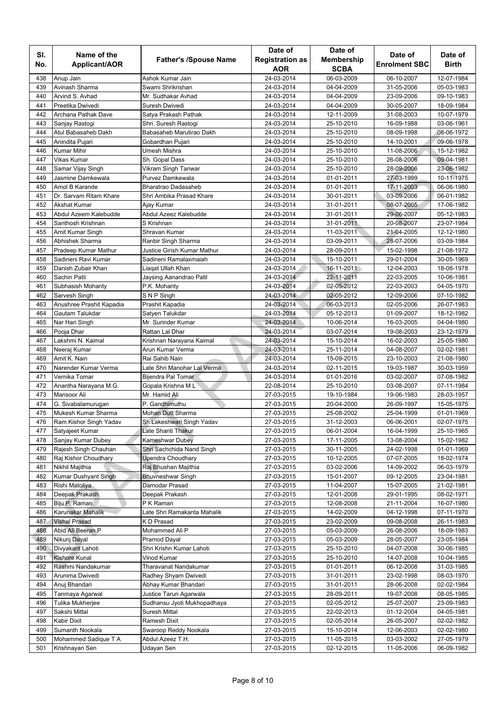|            |                          |                              | Date of                | Date of           |                      |              |
|------------|--------------------------|------------------------------|------------------------|-------------------|----------------------|--------------|
| SI.        | Name of the              | <b>Father's /Spouse Name</b> | <b>Registration as</b> | <b>Membership</b> | Date of              | Date of      |
| No.        | Applicant/AOR            |                              | <b>AOR</b>             | <b>SCBA</b>       | <b>Enrolment SBC</b> | <b>Birth</b> |
| 438        | Anup Jain                | Ashok Kumar Jain             | 24-03-2014             | 06-03-2009        | 06-10-2007           | 12-07-1984   |
| 439        | Avinash Sharma           | Swami Shrikrishan            | 24-03-2014             | 04-04-2009        | 31-05-2006           | 05-03-1983   |
| 440        | Arvind S. Avhad          | Mr. Sudhakar Avhad           | 24-03-2014             | 04-04-2009        | 23-09-2006           | 09-10-1983   |
| 441        | Preetika Dwivedi         | Suresh Dwivedi               | 24-03-2014             | 04-04-2009        | 30-05-2007           | 18-09-1984   |
| 442        | Archana Pathak Dave      | Satya Prakash Pathak         | 24-03-2014             | 12-11-2009        | 31-08-2003           | 10-07-1979   |
| 443        | Sanjay Rastogi           | Shri. Suresh Rastogi         | 24-03-2014             | 25-10-2010        | 16-09-1988           | 03-06-1961   |
| 444        | Atul Babasaheb Dakh      | Babasaheb Marutirao Dakh     | 24-03-2014             | 25-10-2010        | 08-09-1998           | 08-06-1972   |
| 445        | Anindita Pujari          | Gobardhan Pujari             | 24-03-2014             | 25-10-2010        | 14-10-2001           | 09-06-1978   |
| 446        | <b>Kumar Mihir</b>       | Umesh Mishra                 | 24-03-2014             | 25-10-2010        | 11-08-2006           | 15-12-1982   |
| 447        | Vikas Kumar              | Sh. Gopal Dass               | 24-03-2014             | 25-10-2010        | 26-08-2006           | 09-04-1981   |
| 448        | Samar Vijay Singh        | Vikram Singh Tanwar          | 24-03-2014             | 25-10-2010        | 28-09-2006           | 23-06-1982   |
| 449        | Jasmine Damkewala        | Purvez Damkewala             | 24-03-2014             | 01-01-2011        | 27-03-1999           | 10-11-1975   |
| 450        | Amol B Karande           | Bharatrao Dadasaheb          | 24-03-2014             | 01-01-2011        | 17-11-2003           | 06-06-1980   |
| 451        | Dr. Sarvam Ritam Khare   | Shri Ambika Prasad Khare     | 24-03-2014             | 30-01-2011        | 03-09-2006           | 06-01-1982   |
| 452        | <b>Akshat Kumar</b>      | Ajay Kumar                   | 24-03-2014             | 31-01-2011        | 08-07-2005           | 17-06-1982   |
| 453        | Abdul Azeem Kalebudde    | Abdul Azeez Kalebudde        | 24-03-2014             | 31-01-2011        | 29-06-2007           | 05-12-1983   |
| 454        | Santhosh Krishnan        | S Krishnan                   | 24-03-2014             | 31-01-2011        | 20-08-2007           | 23-07-1984   |
| 455        | Amit Kumar Singh         | Shravan Kumar                | 24-03-2014             | 11-03-2011        | 21-04-2005           | 12-12-1980   |
| 456        | <b>Abhishek Sharma</b>   | Ranbir Singh Sharma          | 24-03-2014             | 03-09-2011        | 28-07-2006           | 03-09-1984   |
| 457        | Pradeep Kumar Mathur     | Justice Girish Kumar Mathur  | 24-03-2014             | 28-09-2011        | 15-02-1998           | 21-08-1972   |
| 458        | Sadineni Ravi Kumar      | Sadineni Ramalaxmaiah        | 24-03-2014             | 15-10-2011        |                      | 30-05-1969   |
| 459        | Danish Zubair Khan       |                              |                        | 16-11-2011        | 29-01-2004           |              |
|            |                          | Liaqat Ullah Khan            | 24-03-2014             |                   | 12-04-2003           | 18-08-1978   |
| 460<br>461 | Sachin Patil             | Jaysing Aanandrao Patil      | 24-03-2014             | 22-11-2011        | 22-03-2005           | 10-06-1981   |
|            | Subhasish Mohanty        | P.K. Mohanty                 | 24-03-2014             | 02-05-2012        | 22-03-2003           | 04-05-1970   |
| 462        | Sarvesh Singh            | S N P Singh                  | 24-03-2014             | 02-05-2012        | 12-09-2006           | 07-10-1982   |
| 463        | Anushree Prashit Kapadia | Prashit Kapadia              | 24-03-2014             | 06-03-2013        | 02-05-2006           | 26-07-1983   |
| 464        | Gautam Talukdar          | Satyen Talukdar              | 24-03-2014             | 05-12-2013        | 01-09-2007           | 18-12-1982   |
| 465        | Nar Hari Singh           | Mr. Surinder Kumar           | 24-03-2014             | 10-06-2014        | 16-03-2005           | 04-04-1980   |
| 466        | Pooja Dhar               | Rattan Lal Dhar              | 24-03-2014             | 03-07-2014        | 19-08-2003           | 23-12-1979   |
| 467        | Lakshmi N. Kaimal        | Krishnan Narayana Kaimal     | 24-03-2014             | 15-10-2014        | 16-02-2003           | 25-05-1980   |
| 468        | Neeraj Kumar             | Arun Kumar Verma             | 24-03-2014             | 25-11-2014        | 04-08-2007           | 02-02-1981   |
| 469        | Amit K. Nain             | Rai Sahib Nain               | 24-03-2014             | 15-09-2015        | 23-10-2003           | 21-08-1980   |
| 470        | Narender Kumar Verma     | Late Shri Manohar Lal Verma  | 24-03-2014             | 02-11-2015        | 19-03-1987           | 30-03-1959   |
| 471        | Vernika Tomar            | <b>Bijendra Pal Tomar</b>    | 24-03-2014             | 01-01-2016        | 03-02-2007           | 07-08-1982   |
| 472        | Anantha Narayana M.G.    | Gopala Krishna ML            | 22-08-2014             | 25-10-2010        | 03-08-2007           | 07-11-1984   |
| 473        | Mansoor Ali              | Mr. Hamid Ali                | 27-03-2015             | 19-10-1984        | 19-06-1983           | 28-03-1957   |
| 474        | G. Sivabalamurugan       | P. Gandhimuthu               | 27-03-2015             | 20-04-2000        | 26-09-1997           | 15-05-1975   |
| 475        | Mukesh Kumar Sharma      | Mohan Dutt Sharma            | 27-03-2015             | 25-08-2002        | 25-04-1999           | 01-01-1969   |
| 476        | Ram Kishor Singh Yadav   | Sh Lakeshwari Singh Yadav    | 27-03-2015             | 31-12-2003        | 06-06-2001           | 02-07-1975   |
| 477        | Satyajeet Kumar          | Late Shanti Thakur           | 27-03-2015             | 06-01-2004        | 16-04-1999           | 25-10-1965   |
| 478        | Sanjay Kumar Dubey       | Kameshwar Dubey              | 27-03-2015             | 17-11-2005        | 13-08-2004           | 15-02-1982   |
| 479        | Rajesh Singh Chauhan     | Shri Sachchida Nand Singh    | 27-03-2015             | 30-11-2005        | 24-02-1998           | 01-01-1969   |
| 480        | Raj Kishor Choudhary     | <b>Upendra Choudhary</b>     | 27-03-2015             | 10-12-2005        | 07-07-2005           | 18-02-1974   |
| 481        | Nikhil Majithia          | Raj Bhushan Majithia         | 27-03-2015             | 03-02-2006        | 14-09-2002           | 06-03-1979   |
| 482        | Kumar Dushyant Singh     | <b>Bhuvneshwar Singh</b>     | 27-03-2015             | 15-01-2007        | 09-12-2005           | 23-04-1981   |
| 483        | Rishi Matoliya           | Damodar Prasad               | 27-03-2015             | 11-04-2007        | 15-07-2005           | 21-02-1981   |
| 484        | Deepak Prakash           | Deepak Prakash               | 27-03-2015             | 12-01-2008        | 29-01-1995           | 08-02-1971   |
| 485        | Biju P. Raman            | P K Raman                    | 27-03-2015             | 12-08-2008        | 21-11-2004           | 16-07-1980   |
| 486        | Karunakar Mahalik        | Late Shri Ramakanta Mahalik  | 27-03-2015             | 14-02-2009        | 04-12-1998           | 07-11-1970   |
| 487        | <b>Vishal Prasad</b>     | K D Prasad                   | 27-03-2015             | 23-02-2009        | 09-08-2008           | 26-11-1983   |
| 488        | Abid Ali Beeran P        | Mohammed Ali P               | 27-03-2015             | 05-03-2009        | 26-08-2006           | 18-09-1983   |
| 489        | Nikunj Dayal             | Pramod Dayal                 | 27-03-2015             | 05-03-2009        | 28-05-2007           | 23-05-1984   |
| 490        | Divyakant Lahoti         | Shri Krishn Kumar Lahoti     | 27-03-2015             | 25-10-2010        | 04-07-2008           | 30-06-1985   |
| 491        | <b>Kishore Kunal</b>     | Vinod Kumar                  | 27-03-2015             | 25-10-2010        | 14-07-2008           | 10-04-1985   |
| 492        | Rashmi Nandakumar        | Tharavanat Nandakumar        | 27-03-2015             | 01-01-2011        | 06-12-2008           | 31-03-1985   |
| 493        | Arunima Dwivedi          | Radhey Shyam Dwivedi         | 27-03-2015             | 31-01-2011        | 23-02-1998           | 08-03-1970   |
| 494        | Anuj Bhandari            | Abhay Kumar Bhandari         | 27-03-2015             | 31-01-2011        | 28-06-2008           | 02-02-1984   |
| 495        | Tanmaya Agarwal          | Justice Tarun Agarwala       | 27-03-2015             | 28-09-2011        | 19-07-2008           | 08-05-1985   |
| 496        | Tulika Mukherjee         | Sudhansu Jyoti Mukhopadhaya  | 27-03-2015             | 02-05-2012        | 25-07-2007           | 23-09-1983   |
| 497        | Sakshi Mittal            | Suresh Mittal                | 27-03-2015             | 22-02-2013        | 01-12-2004           | 04-05-1981   |
| 498        | Kabir Dixit              | Ramesh Dixit                 | 27-03-2015             | 02-05-2014        | 26-05-2007           | 02-02-1982   |
| 499        | Sumanth Nookala          | Swaroop Reddy Nookala        | 27-03-2015             | 15-10-2014        | 12-06-2003           | 02-02-1980   |
| 500        | Mohammed Sadique T A     | Abdul Azeez T.H.             | 27-03-2015             | 11-05-2015        | 03-03-2002           | 27-05-1979   |
| 501        | Krishnayan Sen           | Udayan Sen                   | 27-03-2015             | 02-12-2015        | 11-05-2006           | 06-09-1982   |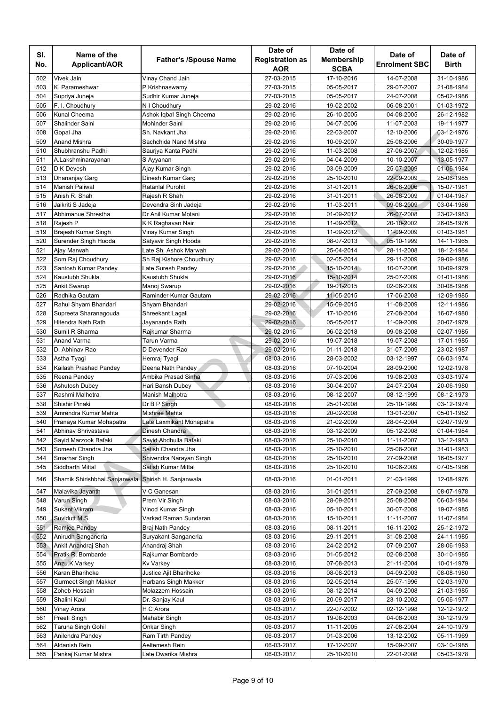|            |                                                     |                                        | Date of                  | Date of                  |                          |                          |
|------------|-----------------------------------------------------|----------------------------------------|--------------------------|--------------------------|--------------------------|--------------------------|
| SI.        | Name of the                                         | <b>Father's /Spouse Name</b>           | <b>Registration as</b>   | <b>Membership</b>        | Date of                  | Date of                  |
| No.        | Applicant/AOR                                       |                                        | <b>AOR</b>               | <b>SCBA</b>              | <b>Enrolment SBC</b>     | <b>Birth</b>             |
| 502        | Vivek Jain                                          | Vinay Chand Jain                       | 27-03-2015               | 17-10-2016               | 14-07-2008               | 31-10-1986               |
| 503        | K. Parameshwar                                      | P Krishnaswamy                         | 27-03-2015               | 05-05-2017               | 29-07-2007               | 21-08-1984               |
| 504        | Supriya Juneja                                      | Sudhir Kumar Juneja                    | 27-03-2015               | 05-05-2017               | 24-07-2008               | 05-02-1986               |
| 505        | F. I. Choudhury                                     | N I Choudhury                          | 29-02-2016               | 19-02-2002               | 06-08-2001               | 01-03-1972               |
| 506        | <b>Kunal Cheema</b>                                 | Ashok Iqbal Singh Cheema               | 29-02-2016               | 26-10-2005               | 04-08-2005               | 26-12-1982               |
| 507        | Shalinder Saini                                     | Mohinder Saini                         | 29-02-2016               | 04-07-2006               | 11-07-2003               | 19-11-1977               |
| 508        | Gopal Jha                                           | Sh. Navkant Jha                        | 29-02-2016               | 22-03-2007               | 12-10-2006               | 03-12-1976               |
| 509        | <b>Anand Mishra</b>                                 | Sachchida Nand Mishra                  | 29-02-2016               | 10-09-2007               | 25-08-2006               | 30-09-1977               |
| 510        | Shubhranshu Padhi                                   | Saurjya Kanta Padhi                    | 29-02-2016               | 11-03-2008               | 27-06-2007               | 12-02-1985               |
| 511        | A.Lakshminarayanan                                  | S Ayyanan                              | 29-02-2016               | 04-04-2009               | 10-10-2007               | 13-05-1977               |
| 512        | D K Devesh                                          | Ajay Kumar Singh                       | 29-02-2016               | 03-09-2009               | 25-07-2009               | 01-06-1984               |
| 513        | Dhananjay Garg                                      | Dinesh Kumar Garg                      | 29-02-2016               | 25-10-2010               | 22-09-2009               | 25-06-1985               |
| 514        | <b>Manish Paliwal</b>                               | Ratanlal Purohit                       | 29-02-2016               | 31-01-2011               | 26-08-2006               | 15-07-1981               |
| 515        | Anish R. Shah                                       | Rajesh R Shah                          | 29-02-2016               | 31-01-2011               | 26-06-2009               | 01-04-1987               |
| 516        | Jaikriti S Jadeja                                   | Devendra Sinh Jadeja                   | 29-02-2016               | 11-03-2011               | 09-08-2009               | 03-04-1986               |
| 517        | Abhimanue Shrestha                                  | Dr Anil Kumar Motani                   | 29-02-2016               | 01-09-2012               | 26-07-2008               | 23-02-1983               |
| 518<br>519 | Rajesh P<br>Brajesh Kumar Singh                     | K K Raghavan Nair<br>Vinay Kumar Singh | 29-02-2016<br>29-02-2016 | 11-09-2012<br>11-09-2012 | 20-10-2002<br>11-09-2009 | 26-05-1976<br>01-03-1981 |
| 520        | Surender Singh Hooda                                | Satyavir Singh Hooda                   | 29-02-2016               | 08-07-2013               | 05-10-1999               | 14-11-1965               |
| 521        | Ajay Marwah                                         | Late Sh. Ashok Marwah                  | 29-02-2016               | 25-04-2014               | 28-11-2008               | 18-12-1984               |
| 522        | Som Raj Choudhury                                   | Sh Raj Kishore Choudhury               | 29-02-2016               | 02-05-2014               | 29-11-2009               | 29-09-1986               |
| 523        | Santosh Kumar Pandey                                | Late Suresh Pandey                     | 29-02-2016               | 15-10-2014               | 10-07-2006               | 10-09-1979               |
| 524        | Kaustubh Shukla                                     | Kaustubh Shukla                        | 29-02-2016               | 15-10-2014               | 25-07-2009               | 01-01-1986               |
| 525        | <b>Ankit Swarup</b>                                 | Manoj Swarup                           | 29-02-2016               | 19-01-2015               | 02-06-2009               | 30-08-1986               |
| 526        | Radhika Gautam                                      | Raminder Kumar Gautam                  | 29-02-2016               | 11-05-2015               | 17-06-2008               | 12-09-1985               |
| 527        | Rahul Shyam Bhandari                                | Shyam Bhandari                         | 29-02-2016               | 15-09-2015               | 11-08-2009               | 12-11-1986               |
| 528        | Supreeta Sharanagouda                               | Shreekant Lagali                       | 29-02-2016               | 17-10-2016               | 27-08-2004               | 16-07-1980               |
| 529        | Hitendra Nath Rath                                  | Jayananda Rath                         | 29-02-2016               | 05-05-2017               | 11-09-2009               | 20-07-1979               |
| 530        | Sumit R Sharma                                      | Rajkumar Sharma                        | 29-02-2016               | 06-02-2018               | 09-08-2008               | 02-07-1985               |
| 531        | <b>Anand Varma</b>                                  | Tarun Varma                            | 29-02-2016               | 19-07-2018               | 19-07-2008               | 17-01-1985               |
| 532        | D. Abhinav Rao                                      | D Devender Rao                         | 29-02-2016               | 01-11-2018               | 31-07-2009               | 23-02-1987               |
| 533        | Astha Tyagi                                         | Hemraj Tyagi                           | 08-03-2016               | 28-03-2002               | 03-12-1997               | 06-03-1974               |
| 534        | Kailash Prashad Pandey                              | Deena Nath Pandey                      | 08-03-2016               | 07-10-2004               | 28-09-2000               | 12-02-1978               |
| 535        | Reena Pandey                                        | Ambika Prasad Sinha                    | 08-03-2016               | 07-03-2006               | 19-08-2003               | 03-03-1974               |
| 536        | Ashutosh Dubey                                      | Hari Bansh Dubey                       | 08-03-2016               | 30-04-2007               | 24-07-2004               | 20-06-1980               |
| 537        | Rashmi Malhotra                                     | Manish Malhotra                        | 08-03-2016               | 08-12-2007               | 08-12-1999               | 08-12-1973               |
| 538        | Shishir Pinaki                                      | Dr B P Singh                           | 08-03-2016               | 25-01-2008               | 25-10-1999               | 03-12-1974               |
| 539        | Amrendra Kumar Mehta                                | Mishree Mehta                          | 08-03-2016               | 20-02-2008               | 13-01-2007               | 05-01-1982               |
| 540        | Pranaya Kumar Mohapatra                             | Late Laxmikant Mohapatra               | 08-03-2016               | 21-02-2009               | 28-04-2004               | 02-07-1979               |
| 541        | Abhinav Shrivastava                                 | Dinesh Chandra                         | 08-03-2016               | 03-12-2009               | 05-12-2008               | 01-04-1984               |
| 542        | Sayid Marzook Bafaki                                | Sayid Abdhulla Bafaki                  | 08-03-2016               | 25-10-2010               | 11-11-2007               | 13-12-1983               |
| 543        | Somesh Chandra Jha                                  | Satish Chandra Jha                     | 08-03-2016               | 25-10-2010               | 25-08-2008               | 31-01-1983               |
| 544        | Smarhar Singh                                       | Shivendra Narayan Singh                | 08-03-2016               | 25-10-2010               | 27-09-2008               | 16-05-1977               |
| 545        | Siddharth Mittal                                    | Satish Kumar Mittal                    | 08-03-2016               | 25-10-2010               | 10-06-2009               | 07-05-1986               |
| 546        | Shamik Shirishbhai Sanjanwala Shirish H. Sanjanwala |                                        | 08-03-2016               | 01-01-2011               | 21-03-1999               | 12-08-1976               |
| 547        | Malavika Jayanth                                    | V C Ganesan                            | 08-03-2016               | 31-01-2011               | 27-09-2008               | 08-07-1978               |
| 548        | Varun Singh                                         | Prem Vir Singh                         | 08-03-2016               | 28-09-2011               | 25-08-2008               | 06-03-1984               |
| 549        | <b>Sukant Vikram</b>                                | Vinod Kumar Singh                      | 08-03-2016               | 05-10-2011               | 30-07-2009               | 19-07-1985               |
| 550        | Suvidutt M.S.                                       | Varkad Raman Sundaran                  | 08-03-2016               | 15-10-2011               | 11-11-2007               | 11-07-1984               |
| 551        | Ramjee Pandey                                       | Braj Nath Pandey                       | 08-03-2016               | 08-11-2011               | 16-11-2002               | 25-12-1972               |
| 552        | Anirudh Sanganeria                                  | Suryakant Sanganeria                   | 08-03-2016               | 29-11-2011               | 31-08-2008               | 24-11-1985               |
| 553        | Ankit Anandraj Shah                                 | Anandraj Shah                          | 08-03-2016               | 24-02-2012               | 07-09-2007               | 28-06-1983               |
| 554        | Pratik R. Bombarde                                  | Rajkumar Bombarde                      | 08-03-2016               | 01-05-2012               | 02-08-2008               | 30-10-1985               |
| 555        | Anzu.K.Varkey                                       | <b>Kv Varkey</b>                       | 08-03-2016               | 07-08-2013               | 21-11-2004               | 10-01-1979               |
| 556        | Karan Bharihoke                                     | Justice Ajit Bharihoke                 | 08-03-2016               | 08-08-2013               | 04-09-2003               | 08-08-1980               |
| 557        | <b>Gurmeet Singh Makker</b>                         | Harbans Singh Makker                   | 08-03-2016               | 02-05-2014               | 25-07-1996               | 02-03-1970               |
| 558        | Zoheb Hossain                                       | Molazzem Hossain                       | 08-03-2016               | 08-12-2014               | 04-09-2008               | 21-03-1985               |
| 559        | Shalini Kaul                                        | Dr. Sanjay Kaul                        | 08-03-2016               | 20-09-2017               | 23-10-2002               | 05-06-1977               |
| 560        | Vinay Arora                                         | H C Arora                              | 06-03-2017               | 22-07-2002               | 02-12-1998               | 12-12-1972               |
| 561        | Preeti Singh                                        | Mahabir Singh                          | 06-03-2017               | 19-08-2003               | 04-08-2003               | 30-12-1979               |
| 562        | Taruna Singh Gohil                                  | Onkar Singh                            | 06-03-2017               | 11-11-2005               | 27-08-2004               | 24-10-1979               |
| 563<br>564 | Anilendra Pandey<br>Aldanish Rein                   | Ram Tirth Pandey<br>Aeltemesh Rein     | 06-03-2017               | 01-03-2006               | 13-12-2002               | 05-11-1969               |
| 565        | Pankaj Kumar Mishra                                 | Late Dwarika Mishra                    | 06-03-2017<br>06-03-2017 | 17-12-2007<br>25-10-2010 | 15-09-2007<br>22-01-2008 | 03-10-1985<br>05-03-1978 |
|            |                                                     |                                        |                          |                          |                          |                          |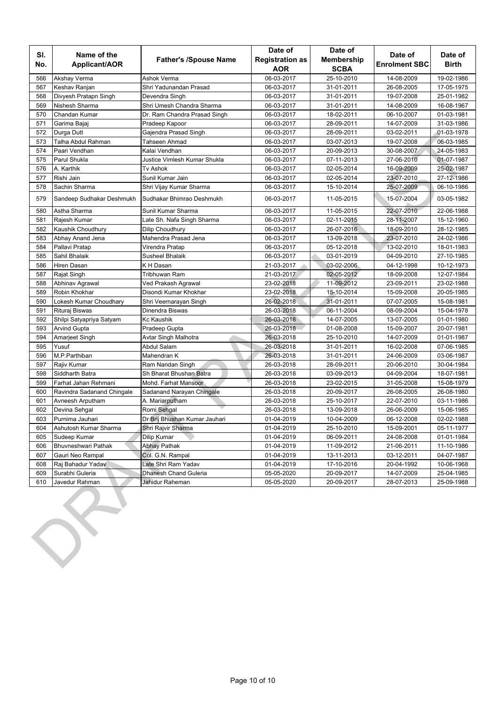| Name of the<br>Applicant/AOR | <b>Father's /Spouse Name</b>                                                                                                                                                                                                                                                                                                                                                                                                                                                                                                               | Date of<br><b>Registration as</b><br><b>AOR</b>                                                                                                                                                                                                                                                                                                                                                                                                                                                                                                                                     | Date of<br>Membership<br><b>SCBA</b>                                                                                                                                                                                                                                                                                                                                     | Date of<br><b>Enrolment SBC</b>                                                                                                                                                                                                                                                                                                                                                        | Date of<br><b>Birth</b>                                                                                                                                                                                                                                                                                                                                                                |
|------------------------------|--------------------------------------------------------------------------------------------------------------------------------------------------------------------------------------------------------------------------------------------------------------------------------------------------------------------------------------------------------------------------------------------------------------------------------------------------------------------------------------------------------------------------------------------|-------------------------------------------------------------------------------------------------------------------------------------------------------------------------------------------------------------------------------------------------------------------------------------------------------------------------------------------------------------------------------------------------------------------------------------------------------------------------------------------------------------------------------------------------------------------------------------|--------------------------------------------------------------------------------------------------------------------------------------------------------------------------------------------------------------------------------------------------------------------------------------------------------------------------------------------------------------------------|----------------------------------------------------------------------------------------------------------------------------------------------------------------------------------------------------------------------------------------------------------------------------------------------------------------------------------------------------------------------------------------|----------------------------------------------------------------------------------------------------------------------------------------------------------------------------------------------------------------------------------------------------------------------------------------------------------------------------------------------------------------------------------------|
| Akshay Verma                 | Ashok Verma                                                                                                                                                                                                                                                                                                                                                                                                                                                                                                                                | 06-03-2017                                                                                                                                                                                                                                                                                                                                                                                                                                                                                                                                                                          | 25-10-2010                                                                                                                                                                                                                                                                                                                                                               | 14-08-2009                                                                                                                                                                                                                                                                                                                                                                             | 19-02-1986                                                                                                                                                                                                                                                                                                                                                                             |
| Keshav Ranjan                | Shri Yadunandan Prasad                                                                                                                                                                                                                                                                                                                                                                                                                                                                                                                     | 06-03-2017                                                                                                                                                                                                                                                                                                                                                                                                                                                                                                                                                                          | 31-01-2011                                                                                                                                                                                                                                                                                                                                                               | 26-08-2005                                                                                                                                                                                                                                                                                                                                                                             | 17-05-1975                                                                                                                                                                                                                                                                                                                                                                             |
| Divyesh Pratapn Singh        | Devendra Singh                                                                                                                                                                                                                                                                                                                                                                                                                                                                                                                             | 06-03-2017                                                                                                                                                                                                                                                                                                                                                                                                                                                                                                                                                                          | 31-01-2011                                                                                                                                                                                                                                                                                                                                                               | 19-07-2008                                                                                                                                                                                                                                                                                                                                                                             | 25-01-1982                                                                                                                                                                                                                                                                                                                                                                             |
| Nishesh Sharma               | Shri Umesh Chandra Sharma                                                                                                                                                                                                                                                                                                                                                                                                                                                                                                                  | 06-03-2017                                                                                                                                                                                                                                                                                                                                                                                                                                                                                                                                                                          | 31-01-2011                                                                                                                                                                                                                                                                                                                                                               | 14-08-2009                                                                                                                                                                                                                                                                                                                                                                             | 16-08-1967                                                                                                                                                                                                                                                                                                                                                                             |
| Chandan Kumar                | Dr. Ram Chandra Prasad Singh                                                                                                                                                                                                                                                                                                                                                                                                                                                                                                               | 06-03-2017                                                                                                                                                                                                                                                                                                                                                                                                                                                                                                                                                                          | 18-02-2011                                                                                                                                                                                                                                                                                                                                                               | 06-10-2007                                                                                                                                                                                                                                                                                                                                                                             | 01-03-1981                                                                                                                                                                                                                                                                                                                                                                             |
| Garima Bajaj                 | Pradeep Kapoor                                                                                                                                                                                                                                                                                                                                                                                                                                                                                                                             | 06-03-2017                                                                                                                                                                                                                                                                                                                                                                                                                                                                                                                                                                          | 28-09-2011                                                                                                                                                                                                                                                                                                                                                               | 14-07-2009                                                                                                                                                                                                                                                                                                                                                                             | 31-03-1986                                                                                                                                                                                                                                                                                                                                                                             |
| Durga Dutt                   | Gajendra Prasad Singh                                                                                                                                                                                                                                                                                                                                                                                                                                                                                                                      | 06-03-2017                                                                                                                                                                                                                                                                                                                                                                                                                                                                                                                                                                          | 28-09-2011                                                                                                                                                                                                                                                                                                                                                               | 03-02-2011                                                                                                                                                                                                                                                                                                                                                                             | 01-03-1978                                                                                                                                                                                                                                                                                                                                                                             |
| Talha Abdul Rahman           | Tahseen Ahmad                                                                                                                                                                                                                                                                                                                                                                                                                                                                                                                              | 06-03-2017                                                                                                                                                                                                                                                                                                                                                                                                                                                                                                                                                                          | 03-07-2013                                                                                                                                                                                                                                                                                                                                                               | 19-07-2008                                                                                                                                                                                                                                                                                                                                                                             | 06-03-1985                                                                                                                                                                                                                                                                                                                                                                             |
| Paari Vendhan                | Kalai Vendhan                                                                                                                                                                                                                                                                                                                                                                                                                                                                                                                              | 06-03-2017                                                                                                                                                                                                                                                                                                                                                                                                                                                                                                                                                                          | 20-09-2013                                                                                                                                                                                                                                                                                                                                                               | 30-08-2007                                                                                                                                                                                                                                                                                                                                                                             | 24-05-1983                                                                                                                                                                                                                                                                                                                                                                             |
| Parul Shukla                 | Justice Vimlesh Kumar Shukla                                                                                                                                                                                                                                                                                                                                                                                                                                                                                                               | 06-03-2017                                                                                                                                                                                                                                                                                                                                                                                                                                                                                                                                                                          | 07-11-2013                                                                                                                                                                                                                                                                                                                                                               | 27-06-2010                                                                                                                                                                                                                                                                                                                                                                             | 01-07-1987                                                                                                                                                                                                                                                                                                                                                                             |
| A. Karthik                   | <b>Tv Ashok</b>                                                                                                                                                                                                                                                                                                                                                                                                                                                                                                                            | 06-03-2017                                                                                                                                                                                                                                                                                                                                                                                                                                                                                                                                                                          | 02-05-2014                                                                                                                                                                                                                                                                                                                                                               | 16-09-2009                                                                                                                                                                                                                                                                                                                                                                             | 25-02-1987                                                                                                                                                                                                                                                                                                                                                                             |
| Rishi Jain                   | Sunil Kumar Jain                                                                                                                                                                                                                                                                                                                                                                                                                                                                                                                           | 06-03-2017                                                                                                                                                                                                                                                                                                                                                                                                                                                                                                                                                                          | 02-05-2014                                                                                                                                                                                                                                                                                                                                                               | 23-07-2010                                                                                                                                                                                                                                                                                                                                                                             | 27-12-1986                                                                                                                                                                                                                                                                                                                                                                             |
| Sachin Sharma                | Shri Vijay Kumar Sharma                                                                                                                                                                                                                                                                                                                                                                                                                                                                                                                    | 06-03-2017                                                                                                                                                                                                                                                                                                                                                                                                                                                                                                                                                                          | 15-10-2014                                                                                                                                                                                                                                                                                                                                                               | 25-07-2009                                                                                                                                                                                                                                                                                                                                                                             | 06-10-1986                                                                                                                                                                                                                                                                                                                                                                             |
| Sandeep Sudhakar Deshmukh    | Sudhakar Bhimrao Deshmukh                                                                                                                                                                                                                                                                                                                                                                                                                                                                                                                  | 06-03-2017                                                                                                                                                                                                                                                                                                                                                                                                                                                                                                                                                                          | 11-05-2015                                                                                                                                                                                                                                                                                                                                                               | 15-07-2004                                                                                                                                                                                                                                                                                                                                                                             | 03-05-1982                                                                                                                                                                                                                                                                                                                                                                             |
| Astha Sharma                 | Sunil Kumar Sharma                                                                                                                                                                                                                                                                                                                                                                                                                                                                                                                         | 06-03-2017                                                                                                                                                                                                                                                                                                                                                                                                                                                                                                                                                                          | 11-05-2015                                                                                                                                                                                                                                                                                                                                                               | 22-07-2010                                                                                                                                                                                                                                                                                                                                                                             | 22-06-1988                                                                                                                                                                                                                                                                                                                                                                             |
| Rajesh Kumar                 | Late Sh. Nafa Singh Sharma                                                                                                                                                                                                                                                                                                                                                                                                                                                                                                                 | 06-03-2017                                                                                                                                                                                                                                                                                                                                                                                                                                                                                                                                                                          | 02-11-2015                                                                                                                                                                                                                                                                                                                                                               | 28-11-2007                                                                                                                                                                                                                                                                                                                                                                             | 15-12-1960                                                                                                                                                                                                                                                                                                                                                                             |
| Kaushik Choudhury            | Dilip Choudhury                                                                                                                                                                                                                                                                                                                                                                                                                                                                                                                            | 06-03-2017                                                                                                                                                                                                                                                                                                                                                                                                                                                                                                                                                                          | 26-07-2016                                                                                                                                                                                                                                                                                                                                                               | 18-09-2010                                                                                                                                                                                                                                                                                                                                                                             | 28-12-1985                                                                                                                                                                                                                                                                                                                                                                             |
| Abhay Anand Jena             | Mahendra Prasad Jena                                                                                                                                                                                                                                                                                                                                                                                                                                                                                                                       | 06-03-2017                                                                                                                                                                                                                                                                                                                                                                                                                                                                                                                                                                          | 13-09-2018                                                                                                                                                                                                                                                                                                                                                               | 23-07-2010                                                                                                                                                                                                                                                                                                                                                                             | 24-02-1986                                                                                                                                                                                                                                                                                                                                                                             |
|                              |                                                                                                                                                                                                                                                                                                                                                                                                                                                                                                                                            | 06-03-2017                                                                                                                                                                                                                                                                                                                                                                                                                                                                                                                                                                          |                                                                                                                                                                                                                                                                                                                                                                          |                                                                                                                                                                                                                                                                                                                                                                                        | 18-01-1983                                                                                                                                                                                                                                                                                                                                                                             |
|                              |                                                                                                                                                                                                                                                                                                                                                                                                                                                                                                                                            |                                                                                                                                                                                                                                                                                                                                                                                                                                                                                                                                                                                     |                                                                                                                                                                                                                                                                                                                                                                          |                                                                                                                                                                                                                                                                                                                                                                                        | 27-10-1985                                                                                                                                                                                                                                                                                                                                                                             |
|                              |                                                                                                                                                                                                                                                                                                                                                                                                                                                                                                                                            |                                                                                                                                                                                                                                                                                                                                                                                                                                                                                                                                                                                     |                                                                                                                                                                                                                                                                                                                                                                          |                                                                                                                                                                                                                                                                                                                                                                                        | 10-12-1973                                                                                                                                                                                                                                                                                                                                                                             |
|                              |                                                                                                                                                                                                                                                                                                                                                                                                                                                                                                                                            |                                                                                                                                                                                                                                                                                                                                                                                                                                                                                                                                                                                     |                                                                                                                                                                                                                                                                                                                                                                          |                                                                                                                                                                                                                                                                                                                                                                                        | 12-07-1984                                                                                                                                                                                                                                                                                                                                                                             |
|                              |                                                                                                                                                                                                                                                                                                                                                                                                                                                                                                                                            |                                                                                                                                                                                                                                                                                                                                                                                                                                                                                                                                                                                     |                                                                                                                                                                                                                                                                                                                                                                          |                                                                                                                                                                                                                                                                                                                                                                                        | 23-02-1988                                                                                                                                                                                                                                                                                                                                                                             |
|                              |                                                                                                                                                                                                                                                                                                                                                                                                                                                                                                                                            |                                                                                                                                                                                                                                                                                                                                                                                                                                                                                                                                                                                     |                                                                                                                                                                                                                                                                                                                                                                          |                                                                                                                                                                                                                                                                                                                                                                                        | 20-05-1985                                                                                                                                                                                                                                                                                                                                                                             |
|                              |                                                                                                                                                                                                                                                                                                                                                                                                                                                                                                                                            |                                                                                                                                                                                                                                                                                                                                                                                                                                                                                                                                                                                     |                                                                                                                                                                                                                                                                                                                                                                          |                                                                                                                                                                                                                                                                                                                                                                                        | 15-08-1981                                                                                                                                                                                                                                                                                                                                                                             |
|                              |                                                                                                                                                                                                                                                                                                                                                                                                                                                                                                                                            |                                                                                                                                                                                                                                                                                                                                                                                                                                                                                                                                                                                     |                                                                                                                                                                                                                                                                                                                                                                          |                                                                                                                                                                                                                                                                                                                                                                                        | 15-04-1978                                                                                                                                                                                                                                                                                                                                                                             |
|                              |                                                                                                                                                                                                                                                                                                                                                                                                                                                                                                                                            |                                                                                                                                                                                                                                                                                                                                                                                                                                                                                                                                                                                     |                                                                                                                                                                                                                                                                                                                                                                          |                                                                                                                                                                                                                                                                                                                                                                                        | 01-01-1980                                                                                                                                                                                                                                                                                                                                                                             |
|                              |                                                                                                                                                                                                                                                                                                                                                                                                                                                                                                                                            |                                                                                                                                                                                                                                                                                                                                                                                                                                                                                                                                                                                     |                                                                                                                                                                                                                                                                                                                                                                          |                                                                                                                                                                                                                                                                                                                                                                                        | 20-07-1981                                                                                                                                                                                                                                                                                                                                                                             |
|                              |                                                                                                                                                                                                                                                                                                                                                                                                                                                                                                                                            |                                                                                                                                                                                                                                                                                                                                                                                                                                                                                                                                                                                     |                                                                                                                                                                                                                                                                                                                                                                          |                                                                                                                                                                                                                                                                                                                                                                                        | 01-01-1987                                                                                                                                                                                                                                                                                                                                                                             |
|                              |                                                                                                                                                                                                                                                                                                                                                                                                                                                                                                                                            |                                                                                                                                                                                                                                                                                                                                                                                                                                                                                                                                                                                     |                                                                                                                                                                                                                                                                                                                                                                          |                                                                                                                                                                                                                                                                                                                                                                                        | 07-06-1985                                                                                                                                                                                                                                                                                                                                                                             |
|                              |                                                                                                                                                                                                                                                                                                                                                                                                                                                                                                                                            |                                                                                                                                                                                                                                                                                                                                                                                                                                                                                                                                                                                     |                                                                                                                                                                                                                                                                                                                                                                          |                                                                                                                                                                                                                                                                                                                                                                                        | 03-06-1987                                                                                                                                                                                                                                                                                                                                                                             |
|                              |                                                                                                                                                                                                                                                                                                                                                                                                                                                                                                                                            |                                                                                                                                                                                                                                                                                                                                                                                                                                                                                                                                                                                     |                                                                                                                                                                                                                                                                                                                                                                          |                                                                                                                                                                                                                                                                                                                                                                                        | 30-04-1984                                                                                                                                                                                                                                                                                                                                                                             |
|                              |                                                                                                                                                                                                                                                                                                                                                                                                                                                                                                                                            |                                                                                                                                                                                                                                                                                                                                                                                                                                                                                                                                                                                     |                                                                                                                                                                                                                                                                                                                                                                          |                                                                                                                                                                                                                                                                                                                                                                                        | 18-07-1981                                                                                                                                                                                                                                                                                                                                                                             |
|                              |                                                                                                                                                                                                                                                                                                                                                                                                                                                                                                                                            |                                                                                                                                                                                                                                                                                                                                                                                                                                                                                                                                                                                     |                                                                                                                                                                                                                                                                                                                                                                          |                                                                                                                                                                                                                                                                                                                                                                                        | 15-08-1979                                                                                                                                                                                                                                                                                                                                                                             |
|                              |                                                                                                                                                                                                                                                                                                                                                                                                                                                                                                                                            |                                                                                                                                                                                                                                                                                                                                                                                                                                                                                                                                                                                     |                                                                                                                                                                                                                                                                                                                                                                          |                                                                                                                                                                                                                                                                                                                                                                                        | 26-08-1980<br>03-11-1986                                                                                                                                                                                                                                                                                                                                                               |
|                              |                                                                                                                                                                                                                                                                                                                                                                                                                                                                                                                                            |                                                                                                                                                                                                                                                                                                                                                                                                                                                                                                                                                                                     |                                                                                                                                                                                                                                                                                                                                                                          |                                                                                                                                                                                                                                                                                                                                                                                        | 15-06-1985                                                                                                                                                                                                                                                                                                                                                                             |
|                              |                                                                                                                                                                                                                                                                                                                                                                                                                                                                                                                                            |                                                                                                                                                                                                                                                                                                                                                                                                                                                                                                                                                                                     |                                                                                                                                                                                                                                                                                                                                                                          |                                                                                                                                                                                                                                                                                                                                                                                        | 02-02-1988                                                                                                                                                                                                                                                                                                                                                                             |
|                              |                                                                                                                                                                                                                                                                                                                                                                                                                                                                                                                                            |                                                                                                                                                                                                                                                                                                                                                                                                                                                                                                                                                                                     |                                                                                                                                                                                                                                                                                                                                                                          |                                                                                                                                                                                                                                                                                                                                                                                        | 05-11-1977                                                                                                                                                                                                                                                                                                                                                                             |
|                              |                                                                                                                                                                                                                                                                                                                                                                                                                                                                                                                                            |                                                                                                                                                                                                                                                                                                                                                                                                                                                                                                                                                                                     |                                                                                                                                                                                                                                                                                                                                                                          |                                                                                                                                                                                                                                                                                                                                                                                        | 01-01-1984                                                                                                                                                                                                                                                                                                                                                                             |
|                              |                                                                                                                                                                                                                                                                                                                                                                                                                                                                                                                                            |                                                                                                                                                                                                                                                                                                                                                                                                                                                                                                                                                                                     |                                                                                                                                                                                                                                                                                                                                                                          |                                                                                                                                                                                                                                                                                                                                                                                        | 11-10-1986                                                                                                                                                                                                                                                                                                                                                                             |
|                              |                                                                                                                                                                                                                                                                                                                                                                                                                                                                                                                                            |                                                                                                                                                                                                                                                                                                                                                                                                                                                                                                                                                                                     |                                                                                                                                                                                                                                                                                                                                                                          |                                                                                                                                                                                                                                                                                                                                                                                        | 04-07-1987                                                                                                                                                                                                                                                                                                                                                                             |
|                              |                                                                                                                                                                                                                                                                                                                                                                                                                                                                                                                                            |                                                                                                                                                                                                                                                                                                                                                                                                                                                                                                                                                                                     |                                                                                                                                                                                                                                                                                                                                                                          |                                                                                                                                                                                                                                                                                                                                                                                        | 10-06-1968                                                                                                                                                                                                                                                                                                                                                                             |
|                              |                                                                                                                                                                                                                                                                                                                                                                                                                                                                                                                                            |                                                                                                                                                                                                                                                                                                                                                                                                                                                                                                                                                                                     |                                                                                                                                                                                                                                                                                                                                                                          |                                                                                                                                                                                                                                                                                                                                                                                        | 25-04-1985                                                                                                                                                                                                                                                                                                                                                                             |
|                              |                                                                                                                                                                                                                                                                                                                                                                                                                                                                                                                                            |                                                                                                                                                                                                                                                                                                                                                                                                                                                                                                                                                                                     |                                                                                                                                                                                                                                                                                                                                                                          |                                                                                                                                                                                                                                                                                                                                                                                        | 25-09-1988                                                                                                                                                                                                                                                                                                                                                                             |
|                              |                                                                                                                                                                                                                                                                                                                                                                                                                                                                                                                                            |                                                                                                                                                                                                                                                                                                                                                                                                                                                                                                                                                                                     |                                                                                                                                                                                                                                                                                                                                                                          |                                                                                                                                                                                                                                                                                                                                                                                        |                                                                                                                                                                                                                                                                                                                                                                                        |
|                              | Pallavi Pratap<br>Sahil Bhalaik<br>Hiren Dasan<br>Rajat Singh<br>Abhinav Agrawal<br>Robin Khokhar<br>Lokesh Kumar Choudhary<br>Rituraj Biswas<br>Shilpi Satyapriya Satyam<br><b>Arvind Gupta</b><br>Amarjeet Singh<br>Yusuf<br>M.P.Parthiban<br>Rajiv Kumar<br>Siddharth Batra<br>Farhat Jahan Rehmani<br>Ravindra Sadanand Chingale<br>Avneesh Arputham<br>Devina Sehgal<br>Purnima Jauhari<br>Ashutosh Kumar Sharma<br>Sudeep Kumar<br>Bhuvneshwari Pathak<br>Gauri Neo Rampal<br>Raj Bahadur Yadav<br>Surabhi Guleria<br>Javedur Rahman | Virendra Pratap<br>Susheel Bhalaik<br>K H Dasan<br>Tribhuwan Ram<br>Ved Prakash Agrawal<br>Disondi Kumar Khokhar<br>Shri Veernarayan Singh<br>Dinendra Biswas<br><b>Kc Kaushik</b><br>Pradeep Gupta<br>Avtar Singh Malhotra<br>Abdul Salam<br>Mahendran K<br>Ram Nandan Singh<br>Sh Bharat Bhushan Batra<br>Mohd. Farhat Mansoor<br>Sadanand Narayan Chingale<br>A. Mariarputham<br>Romi Sehgal<br>Dr Brij Bhushan Kumar Jauhari<br>Shri Rajvir Sharma<br>Dilip Kumar<br><b>Abhay Pathak</b><br>Col. G.N. Rampal<br>Late Shri Ram Yadav<br>Dhanesh Chand Guleria<br>Jahidur Raheman | 06-03-2017<br>21-03-2017<br>21-03-2017<br>23-02-2018<br>23-02-2018<br>26-02-2018<br>26-03-2018<br>26-03-2018<br>26-03-2018<br>26-03-2018<br>26-03-2018<br>26-03-2018<br>26-03-2018<br>26-03-2018<br>26-03-2018<br>26-03-2018<br>26-03-2018<br>26-03-2018<br>01-04-2019<br>01-04-2019<br>01-04-2019<br>01-04-2019<br>01-04-2019<br>01-04-2019<br>05-05-2020<br>05-05-2020 | 05-12-2018<br>03-01-2019<br>03-02-2006<br>02-05-2012<br>11-09-2012<br>15-10-2014<br>31-01-2011<br>06-11-2004<br>14-07-2005<br>01-08-2008<br>25-10-2010<br>31-01-2011<br>31-01-2011<br>28-09-2011<br>03-09-2013<br>23-02-2015<br>20-09-2017<br>25-10-2017<br>13-09-2018<br>10-04-2009<br>25-10-2010<br>06-09-2011<br>11-09-2012<br>13-11-2013<br>17-10-2016<br>20-09-2017<br>20-09-2017 | 13-02-2010<br>04-09-2010<br>04-12-1998<br>18-09-2008<br>23-09-2011<br>15-09-2008<br>07-07-2005<br>08-09-2004<br>13-07-2005<br>15-09-2007<br>14-07-2009<br>16-02-2008<br>24-06-2009<br>20-06-2010<br>04-09-2004<br>31-05-2008<br>26-08-2005<br>22-07-2010<br>26-06-2009<br>06-12-2008<br>15-09-2001<br>24-08-2008<br>21-06-2011<br>03-12-2011<br>20-04-1992<br>14-07-2009<br>28-07-2013 |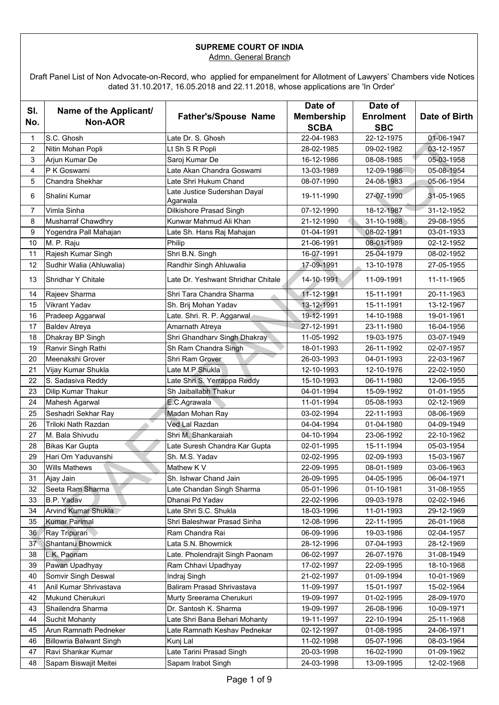### **SUPREME COURT OF INDIA** Admn. General Branch

Draft Panel List of Non Advocate-on-Record, who applied for empanelment for Allotment of Lawyers' Chambers vide Notices dated 31.10.2017, 16.05.2018 and 22.11.2018, whose applications are 'In Order'

|                |                                          |                                          | Date of                          | Date of                        |               |
|----------------|------------------------------------------|------------------------------------------|----------------------------------|--------------------------------|---------------|
| SI.<br>No.     | Name of the Applicant/<br><b>Non-AOR</b> | <b>Father's/Spouse Name</b>              | <b>Membership</b><br><b>SCBA</b> | <b>Enrolment</b><br><b>SBC</b> | Date of Birth |
| 1              | S.C. Ghosh                               | Late Dr. S. Ghosh                        | 22-04-1983                       | 22-12-1975                     | 01-06-1947    |
| $\overline{c}$ | Nitin Mohan Popli                        | Lt Sh S R Popli                          | 28-02-1985                       | 09-02-1982                     | 03-12-1957    |
| 3              | Arjun Kumar De                           | Saroj Kumar De                           | 16-12-1986                       | 08-08-1985                     | 05-03-1958    |
| 4              | P K Goswami                              | Late Akan Chandra Goswami                | 13-03-1989                       | 12-09-1986                     | 05-08-1954    |
| 5              | Chandra Shekhar                          | Late Shri Hukum Chand                    | 08-07-1990                       | 24-08-1983                     | 05-06-1954    |
| 6              | Shalini Kumar                            | Late Justice Sudershan Dayal<br>Agarwala | 19-11-1990                       | 27-07-1990                     | 31-05-1965    |
| $\overline{7}$ | Vimla Sinha                              | Dilkishore Prasad Singh                  | 07-12-1990                       | 18-12-1987                     | 31-12-1952    |
| 8              | <b>Musharraf Chawdhry</b>                | Kunwar Mahmud Ali Khan                   | 21-12-1990                       | 31-10-1988                     | 29-08-1955    |
| 9              | Yogendra Pall Mahajan                    | Late Sh. Hans Raj Mahajan                | 01-04-1991                       | 08-02-1991                     | 03-01-1933    |
| 10             | M. P. Raju                               | Philip                                   | 21-06-1991                       | 08-01-1989                     | 02-12-1952    |
| 11             | Rajesh Kumar Singh                       | Shri B.N. Singh                          | 16-07-1991                       | 25-04-1979                     | 08-02-1952    |
| 12             | Sudhir Walia (Ahluwalia)                 | Randhir Singh Ahluwalia                  | 17-09-1991                       | 13-10-1978                     | 27-05-1955    |
| 13             | Shridhar Y Chitale                       | Late Dr. Yeshwant Shridhar Chitale       | 14-10-1991                       | 11-09-1991                     | 11-11-1965    |
| 14             | Rajeev Sharma                            | Shri Tara Chandra Sharma                 | 11-12-1991                       | 15-11-1991                     | 20-11-1963    |
| 15             | <b>Vikrant Yadav</b>                     | Sh. Brij Mohan Yadav                     | 13-12-1991                       | 15-11-1991                     | 13-12-1967    |
| 16             | Pradeep Aggarwal                         | Late. Shri. R. P. Aggarwal               | 19-12-1991                       | 14-10-1988                     | 19-01-1961    |
| 17             | <b>Baldev Atreya</b>                     | Amarnath Atreya                          | 27-12-1991                       | 23-11-1980                     | 16-04-1956    |
| 18             | Dhakray BP Singh                         | Shri Ghandharv Singh Dhakray             | 11-05-1992                       | 19-03-1975                     | 03-07-1949    |
| 19             | Ranvir Singh Rathi                       | Sh Ram Chandra Singh                     | 18-01-1993                       | 26-11-1992                     | 02-07-1957    |
| 20             | Meenakshi Grover                         | Shri Ram Grover                          | 26-03-1993                       | 04-01-1993                     | 22-03-1967    |
| 21             | Vijay Kumar Shukla                       | Late M.P Shukla                          | 12-10-1993                       | 12-10-1976                     | 22-02-1950    |
| 22             | S. Sadasiva Reddy                        | Late Shri S. Yerrappa Reddy              | 15-10-1993                       | 06-11-1980                     | 12-06-1955    |
| 23             | Dilip Kumar Thakur                       | Sh Jaiballabh Thakur                     | 04-01-1994                       | 15-09-1992                     | 01-01-1955    |
| 24             | Mahesh Agarwal                           | E.C.Agrawala                             | 11-01-1994                       | 05-08-1993                     | 02-12-1969    |
| 25             | Seshadri Sekhar Ray                      | Madan Mohan Ray                          | 03-02-1994                       | 22-11-1993                     | 08-06-1969    |
| 26             | Triloki Nath Razdan                      | Ved Lal Razdan                           | 04-04-1994                       | 01-04-1980                     | 04-09-1949    |
| 27             | M. Bala Shivudu                          | Shri M. Shankaraiah                      | 04-10-1994                       | 23-06-1992                     | 22-10-1962    |
| 28             | <b>Bikas Kar Gupta</b>                   | Late Suresh Chandra Kar Gupta            | 02-01-1995                       | 15-11-1994                     | 05-03-1954    |
| 29             | Hari Om Yaduvanshi                       | Sh. M.S. Yadav                           | 02-02-1995                       | 02-09-1993                     | 15-03-1967    |
| 30             | <b>Wills Mathews</b>                     | Mathew K V                               | 22-09-1995                       | 08-01-1989                     | 03-06-1963    |
| 31             | Ajay Jain                                | Sh. Ishwar Chand Jain                    | 26-09-1995                       | 04-05-1995                     | 06-04-1971    |
| 32             | Seeta Ram Sharma                         | Late Chandan Singh Sharma                | 05-01-1996                       | 01-10-1981                     | 31-08-1955    |
| 33             | <b>B.P. Yadav</b>                        | Dhanai Pd Yadav                          | 22-02-1996                       | 09-03-1978                     | 02-02-1946    |
| 34             | <b>Arvind Kumar Shukla</b>               | Late Shri S.C. Shukla                    | 18-03-1996                       | 11-01-1993                     | 29-12-1969    |
| 35             | <b>Kumar Parimal</b>                     | Shri Baleshwar Prasad Sinha              | 12-08-1996                       | 22-11-1995                     | 26-01-1968    |
| 36             | Ray Tripurari                            | Ram Chandra Rai                          | 06-09-1996                       | 19-03-1986                     | 02-04-1957    |
| 37             | Shantanu Bhowmick                        | Lata S.N. Bhowmick                       | 28-12-1996                       | 07-04-1993                     | 28-12-1969    |
| 38             | L.K. Paonam                              | Late. Pholendrajit Singh Paonam          | 06-02-1997                       | 26-07-1976                     | 31-08-1949    |
| 39             | Pawan Upadhyay                           | Ram Chhavi Upadhyay                      | 17-02-1997                       | 22-09-1995                     | 18-10-1968    |
| 40             | Somvir Singh Deswal                      | Indraj Singh                             | 21-02-1997                       | 01-09-1994                     | 10-01-1969    |
| 41             | Anil Kumar Shrivastava                   | Baliram Prasad Shrivastava               | 11-09-1997                       | 15-01-1997                     | 15-02-1964    |
| 42             | Mukund Cherukuri                         | Murty Sreerama Cherukuri                 | 19-09-1997                       | 01-02-1995                     | 28-09-1970    |
| 43             | Shailendra Sharma                        | Dr. Santosh K. Sharma                    | 19-09-1997                       | 26-08-1996                     | 10-09-1971    |
| 44             | <b>Suchit Mohanty</b>                    | Late Shri Bana Behari Mohanty            | 19-11-1997                       | 22-10-1994                     | 25-11-1968    |
| 45             | Arun Ramnath Pedneker                    | Late Ramnath Keshav Pednekar             | 02-12-1997                       | 01-08-1995                     | 24-06-1971    |
| 46             | <b>Billowria Balwant Singh</b>           | Kunj Lal                                 | 11-02-1998                       | 05-07-1996                     | 08-03-1964    |
| 47             | Ravi Shankar Kumar                       | Late Tarini Prasad Singh                 | 20-03-1998                       | 16-02-1990                     | 01-09-1962    |
| 48             | Sapam Biswajit Meitei                    | Sapam Irabot Singh                       | 24-03-1998                       | 13-09-1995                     | 12-02-1968    |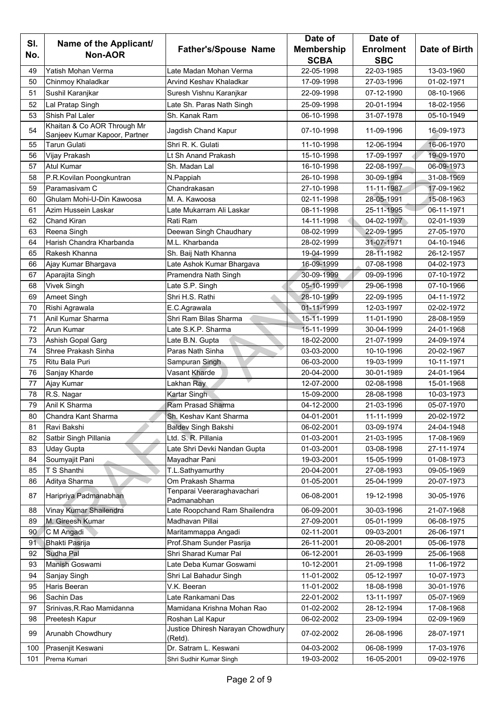|            |                                          |                                              | Date of                          | Date of                        |               |
|------------|------------------------------------------|----------------------------------------------|----------------------------------|--------------------------------|---------------|
| SI.<br>No. | Name of the Applicant/<br><b>Non-AOR</b> | <b>Father's/Spouse Name</b>                  | <b>Membership</b><br><b>SCBA</b> | <b>Enrolment</b><br><b>SBC</b> | Date of Birth |
| 49         | Yatish Mohan Verma                       | Late Madan Mohan Verma                       | 22-05-1998                       | 22-03-1985                     | 13-03-1960    |
| 50         | Chinmoy Khaladkar                        | <b>Arvind Keshav Khaladkar</b>               | 17-09-1998                       | 27-03-1996                     | 01-02-1971    |
| 51         | Sushil Karanjkar                         | Suresh Vishnu Karanjkar                      | 22-09-1998                       | 07-12-1990                     | 08-10-1966    |
| 52         | Lal Pratap Singh                         | Late Sh. Paras Nath Singh                    | 25-09-1998                       | 20-01-1994                     | 18-02-1956    |
| 53         | Shish Pal Laler                          | Sh. Kanak Ram                                | 06-10-1998                       | 31-07-1978                     | 05-10-1949    |
|            | Khaitan & Co AOR Through Mr              |                                              |                                  |                                |               |
| 54         | Sanjeev Kumar Kapoor, Partner            | Jagdish Chand Kapur                          | 07-10-1998                       | 11-09-1996                     | 16-09-1973    |
| 55         | <b>Tarun Gulati</b>                      | Shri R. K. Gulati                            | 11-10-1998                       | 12-06-1994                     | 16-06-1970    |
| 56         | Vijay Prakash                            | Lt Sh Anand Prakash                          | 15-10-1998                       | 17-09-1997                     | 19-09-1970    |
| 57         | <b>Atul Kumar</b>                        | Sh. Madan Lal                                | 16-10-1998                       | 22-08-1997                     | 06-09-1973    |
| 58         | P.R.Kovilan Poongkuntran                 | N.Pappiah                                    | 26-10-1998                       | 30-09-1994                     | 31-08-1969    |
| 59         | Paramasivam C                            | Chandrakasan                                 | 27-10-1998                       | 11-11-1987                     | 17-09-1962    |
| 60         | Ghulam Mohi-U-Din Kawoosa                | M. A. Kawoosa                                | 02-11-1998                       | 28-05-1991                     | 15-08-1963    |
| 61         | Azim Hussein Laskar                      | Late Mukarram Ali Laskar                     | 08-11-1998                       | 25-11-1995                     | 06-11-1971    |
| 62         | <b>Chand Kiran</b>                       | Rati Ram                                     | 14-11-1998                       | 04-02-1997                     | 02-01-1939    |
| 63         | Reena Singh                              | Deewan Singh Chaudhary                       | 08-02-1999                       | 22-09-1995                     | 27-05-1970    |
| 64         | Harish Chandra Kharbanda                 | M.L. Kharbanda                               | 28-02-1999                       | 31-07-1971                     | 04-10-1946    |
| 65         | Rakesh Khanna                            | Sh. Baij Nath Khanna                         | 19-04-1999                       | 28-11-1982                     | 26-12-1957    |
| 66         | Ajay Kumar Bhargava                      | Late Ashok Kumar Bhargava                    | 16-09-1999                       | 07-08-1998                     | 04-02-1973    |
| 67         | Aparajita Singh                          | Pramendra Nath Singh                         | 30-09-1999                       | 09-09-1996                     | 07-10-1972    |
| 68         | <b>Vivek Singh</b>                       | Late S.P. Singh                              | 05-10-1999                       | 29-06-1998                     | 07-10-1966    |
| 69         | Ameet Singh                              | Shri H.S. Rathi                              | 28-10-1999                       | 22-09-1995                     | 04-11-1972    |
| 70         | Rishi Agrawala                           | E.C.Agrawala                                 | 01-11-1999                       | 12-03-1997                     | 02-02-1972    |
| 71         | Anil Kumar Sharma                        | Shri Ram Bilas Sharma                        | 15-11-1999                       | 11-01-1990                     | 28-08-1959    |
| 72         | <b>Arun Kumar</b>                        | Late S.K.P. Sharma                           | 15-11-1999                       | 30-04-1999                     | 24-01-1968    |
| 73         | Ashish Gopal Garg                        | Late B.N. Gupta                              | 18-02-2000                       | 21-07-1999                     | 24-09-1974    |
| 74         | Shree Prakash Sinha                      | Paras Nath Sinha                             | 03-03-2000                       | 10-10-1996                     | 20-02-1967    |
| 75         | Ritu Bala Puri                           | Sampuran Singh                               | 06-03-2000                       | 19-03-1999                     | 10-11-1971    |
| 76         | Sanjay Kharde                            | Vasant Kharde                                | 20-04-2000                       | 30-01-1989                     | 24-01-1964    |
| 77         | Ajay Kumar                               | Lakhan Ray                                   | 12-07-2000                       | 02-08-1998                     | 15-01-1968    |
| 78         | R.S. Nagar                               | Kartar Singh                                 | 15-09-2000                       | 28-08-1998                     | 10-03-1973    |
| 79         | Anil K Sharma                            | Ram Prasad Sharma                            | 04-12-2000                       | 21-03-1996                     | 05-07-1970    |
| 80         | Chandra Kant Sharma                      | Sh. Keshav Kant Sharma                       | 04-01-2001                       | 11-11-1999                     | 20-02-1972    |
| 81         | Ravi Bakshi                              | <b>Baldev Singh Bakshi</b>                   | 06-02-2001                       | 03-09-1974                     | 24-04-1948    |
| 82         | Satbir Singh Pillania                    | Ltd. S. R. Pillania                          | 01-03-2001                       | 21-03-1995                     | 17-08-1969    |
| 83         | <b>Uday Gupta</b>                        | Late Shri Devki Nandan Gupta                 | 01-03-2001                       | 03-08-1998                     | 27-11-1974    |
| 84         | Soumyajit Pani                           | Mayadhar Pani                                | 19-03-2001                       | 15-05-1999                     | 01-08-1973    |
| 85         | T S Shanthi                              | T.L.Sathyamurthy                             | 20-04-2001                       | 27-08-1993                     | 09-05-1969    |
| 86         | Aditya Sharma                            | Om Prakash Sharma                            | 01-05-2001                       | 25-04-1999                     | 20-07-1973    |
| 87         | Haripriya Padmanabhan                    | Tenparai Veeraraghavachari<br>Padmanabhan    | 06-08-2001                       | 19-12-1998                     | 30-05-1976    |
| 88         | Vinay Kumar Shailendra                   | Late Roopchand Ram Shailendra                | 06-09-2001                       | 30-03-1996                     | 21-07-1968    |
| 89         | M. Gireesh Kumar                         | Madhavan Pillai                              | 27-09-2001                       | 05-01-1999                     | 06-08-1975    |
| 90         | C M Angadi                               | Maritammappa Angadi                          | 02-11-2001                       | 09-03-2001                     | 26-06-1971    |
| 91         | <b>Bhakti Pasrija</b>                    | Prof.Sham Sunder Pasrija                     | 26-11-2001                       | 20-08-2001                     | 05-06-1978    |
| 92         | Sudha Pal                                | Shri Sharad Kumar Pal                        | 06-12-2001                       | 26-03-1999                     | 25-06-1968    |
| 93         | Manish Goswami                           | Late Deba Kumar Goswami                      | 10-12-2001                       | 21-09-1998                     | 11-06-1972    |
| 94         | Sanjay Singh                             | Shri Lal Bahadur Singh                       | 11-01-2002                       | 05-12-1997                     | 10-07-1973    |
| 95         | Haris Beeran                             | V.K. Beeran                                  | 11-01-2002                       | 18-08-1998                     | 30-01-1976    |
| 96         | Sachin Das                               | Late Rankamani Das                           | 22-01-2002                       | 13-11-1997                     | 05-07-1969    |
| 97         | Srinivas, R. Rao Mamidanna               | Mamidana Krishna Mohan Rao                   | 01-02-2002                       | 28-12-1994                     | 17-08-1968    |
| 98         | Preetesh Kapur                           | Roshan Lal Kapur                             | 06-02-2002                       | 23-09-1994                     | 02-09-1969    |
| 99         | Arunabh Chowdhury                        | Justice Dhiresh Narayan Chowdhury<br>(Retd). | 07-02-2002                       | 26-08-1996                     | 28-07-1971    |
| 100        | Prasenjit Keswani                        | Dr. Satram L. Keswani                        | 04-03-2002                       | 06-08-1999                     | 17-03-1976    |
| 101        | Prerna Kumari                            | Shri Sudhir Kumar Singh                      | 19-03-2002                       | 16-05-2001                     | 09-02-1976    |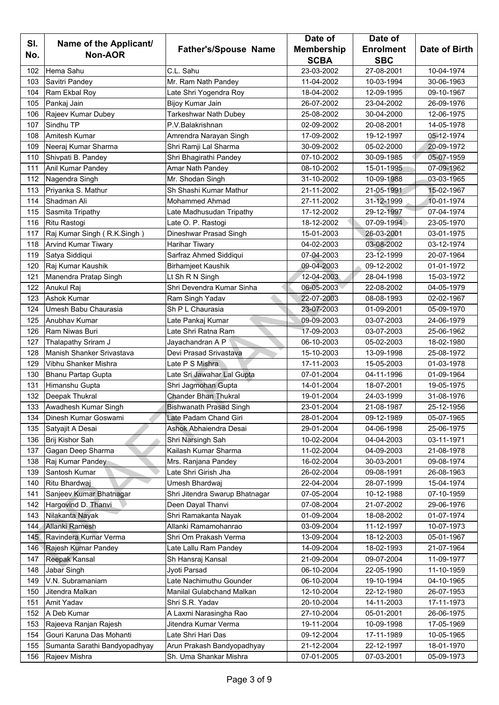|     |                               |                                | Date of           | Date of          |               |
|-----|-------------------------------|--------------------------------|-------------------|------------------|---------------|
| SI. | Name of the Applicant/        | <b>Father's/Spouse Name</b>    | <b>Membership</b> | <b>Enrolment</b> | Date of Birth |
| No. | <b>Non-AOR</b>                |                                | <b>SCBA</b>       | <b>SBC</b>       |               |
| 102 | Hema Sahu                     | C.L. Sahu                      | 23-03-2002        | 27-08-2001       | 10-04-1974    |
| 103 | Savitri Pandey                | Mr. Ram Nath Pandey            | 11-04-2002        | 10-03-1994       | 30-06-1963    |
| 104 | Ram Ekbal Roy                 | Late Shri Yogendra Roy         | 18-04-2002        | 12-09-1995       | 09-10-1967    |
| 105 | Pankaj Jain                   | Bijoy Kumar Jain               | 26-07-2002        | 23-04-2002       | 26-09-1976    |
| 106 | Rajeev Kumar Dubey            | Tarkeshwar Nath Dubey          | 25-08-2002        | 30-04-2000       | 12-06-1975    |
| 107 | Sindhu TP                     | P.V.Balakrishnan               | 02-09-2002        | 20-08-2001       | 14-05-1978    |
| 108 | Amitesh Kumar                 | Amrendra Narayan Singh         | 17-09-2002        | 19-12-1997       | 05-12-1974    |
| 109 | Neeraj Kumar Sharma           | Shri Ramji Lal Sharma          | 30-09-2002        | 05-02-2000       | 20-09-1972    |
| 110 | Shivpati B. Pandey            | Shri Bhagirathi Pandey         | 07-10-2002        | 30-09-1985       | 05-07-1959    |
| 111 | Anil Kumar Pandey             | Amar Nath Pandey               | 08-10-2002        | 15-01-1995       | 07-09-1962    |
| 112 | Nagendra Singh                | Mr. Shodan Singh               | 31-10-2002        | 10-09-1988       | 03-03-1965    |
| 113 | Priyanka S. Mathur            | Sh Shashi Kumar Mathur         | 21-11-2002        | 21-05-1991       | 15-02-1967    |
| 114 | Shadman Ali                   | <b>Mohammed Ahmad</b>          | 27-11-2002        | 31-12-1999       | 10-01-1974    |
| 115 | Sasmita Tripathy              | Late Madhusudan Tripathy       | 17-12-2002        | 29-12-1997       | 07-04-1974    |
| 116 | Ritu Rastogi                  | Late O. P. Rastogi             | 18-12-2002        | 07-09-1994       | 23-05-1970    |
| 117 | Raj Kumar Singh (R.K.Singh)   | Dineshwar Prasad Singh         | 15-01-2003        | 26-03-2001       | 03-01-1975    |
| 118 | <b>Arvind Kumar Tiwary</b>    | Harihar Tiwary                 | 04-02-2003        | 03-08-2002       | 03-12-1974    |
| 119 | Satya Siddiqui                | Sarfraz Ahmed Siddiqui         | 07-04-2003        | 23-12-1999       | 20-07-1964    |
| 120 | Raj Kumar Kaushik             | <b>Birhamjeet Kaushik</b>      | 09-04-2003        | 09-12-2002       | 01-01-1972    |
| 121 | Manendra Pratap Singh         | Lt Sh R N Singh                | 12-04-2003        | 28-04-1998       | 15-03-1972    |
| 122 | Anukul Raj                    | Shri Devendra Kumar Sinha      | 06-05-2003        | 22-08-2002       | 04-05-1979    |
| 123 | <b>Ashok Kumar</b>            | Ram Singh Yadav                | 22-07-2003        | 08-08-1993       | 02-02-1967    |
| 124 | Umesh Babu Chaurasia          | Sh P L Chaurasia               | 23-07-2003        | 01-09-2001       | 05-09-1970    |
| 125 | Anubhay Kumar                 | Late Pankaj Kumar              | 09-09-2003        | 03-07-2003       | 24-06-1979    |
| 126 | Ram Niwas Buri                | Late Shri Ratna Ram            | 17-09-2003        | 03-07-2003       | 25-06-1962    |
| 127 | Thalapathy Sriram J           | Jayachandran A P               | 06-10-2003        | 05-02-2003       | 18-02-1980    |
| 128 | Manish Shanker Srivastava     | Devi Prasad Srivastava         | 15-10-2003        | 13-09-1998       | 25-08-1972    |
| 129 | Vibhu Shanker Mishra          | Late P S Mishra                | 17-11-2003        | 15-05-2003       | 01-03-1978    |
| 130 | Bhanu Partap Gupta            | Late Sri Jawahar Lal Gupta     | 07-01-2004        | 04-11-1996       | 01-09-1964    |
| 131 | Himanshu Gupta                | Shri Jagmohan Gupta            | 14-01-2004        | 18-07-2001       | 19-05-1975    |
| 132 | Deepak Thukral                | <b>Chander Bhan Thukral</b>    | 19-01-2004        | 24-03-1999       | 31-08-1976    |
| 133 | Awadhesh Kumar Singh          | <b>Bishwanath Prasad Singh</b> | 23-01-2004        | 21-08-1987       | 25-12-1956    |
| 134 | Dinesh Kumar Goswami          | Late Padam Chand Giri          | 28-01-2004        | 09-12-1989       | 05-07-1965    |
| 135 | Satyajit A Desai              | Ashok Abhaiendra Desai         | 29-01-2004        | 04-06-1998       | 25-06-1975    |
| 136 | Brij Kishor Sah               | Shri Narsingh Sah              | 10-02-2004        | 04-04-2003       | 03-11-1971    |
| 137 | Gagan Deep Sharma             | Kailash Kumar Sharma           | 11-02-2004        | 04-09-2003       | 21-08-1978    |
| 138 | Raj Kumar Pandey              | Mrs. Ranjana Pandey            | 16-02-2004        | 30-03-2001       | 09-08-1974    |
| 139 | Santosh Kumar                 | Late Shri Girish Jha           | 26-02-2004        | 09-08-1991       | 26-08-1963    |
| 140 | Ritu Bhardwaj                 | Umesh Bhardwaj                 | 22-04-2004        | 28-07-1999       | 15-04-1974    |
| 141 | Sanjeev Kumar Bhatnagar       | Shri Jitendra Swarup Bhatnagar | 07-05-2004        | 10-12-1988       | 07-10-1959    |
| 142 | Hargovind D. Thanvi           | Deen Dayal Thanvi              | 07-08-2004        | 21-07-2002       | 29-06-1976    |
| 143 | Nilakanta Nayak               | Shri Ramakanta Nayak           | 01-09-2004        | 18-08-2002       | 01-07-1974    |
| 144 | Allanki Ramesh                | Allanki Ramamohanrao           | 03-09-2004        | 11-12-1997       | 10-07-1973    |
| 145 | Ravindera Kumar Verma         | Shri Om Prakash Verma          | 13-09-2004        | 18-12-2003       | 05-01-1967    |
| 146 | Rajesh Kumar Pandey           | Late Lallu Ram Pandey          | 14-09-2004        | 18-02-1993       | 21-07-1964    |
| 147 | Reepak Kansal                 | Sh Hansraj Kansal              | 21-09-2004        | 09-07-2004       | 11-09-1977    |
| 148 | Jabar Singh                   | Jyoti Parsad                   | 06-10-2004        | 22-05-1990       | 11-10-1959    |
| 149 | V.N. Subramaniam              | Late Nachimuthu Gounder        | 06-10-2004        | 19-10-1994       | 04-10-1965    |
| 150 | Jitendra Malkan               | Manilal Gulabchand Malkan      | 12-10-2004        | 22-12-1980       | 26-07-1953    |
| 151 | Amit Yadav                    | Shri S.R. Yadav                | 20-10-2004        | 14-11-2003       | 17-11-1973    |
| 152 | A Deb Kumar                   | A Laxmi Narasingha Rao         | 27-10-2004        | 05-01-2001       | 26-06-1975    |
| 153 | Rajeeva Ranjan Rajesh         | Jitendra Kumar Verma           | 19-11-2004        | 10-09-1998       | 17-05-1969    |
| 154 | Gouri Karuna Das Mohanti      | Late Shri Hari Das             | 09-12-2004        | 17-11-1989       | 10-05-1965    |
| 155 | Sumanta Sarathi Bandyopadhyay | Arun Prakash Bandyopadhyay     | 21-12-2004        | 22-12-1997       | 18-01-1970    |
| 156 | Rajeev Mishra                 | Sh. Uma Shankar Mishra         | 07-01-2005        | 07-03-2001       | 05-09-1973    |
|     |                               |                                |                   |                  |               |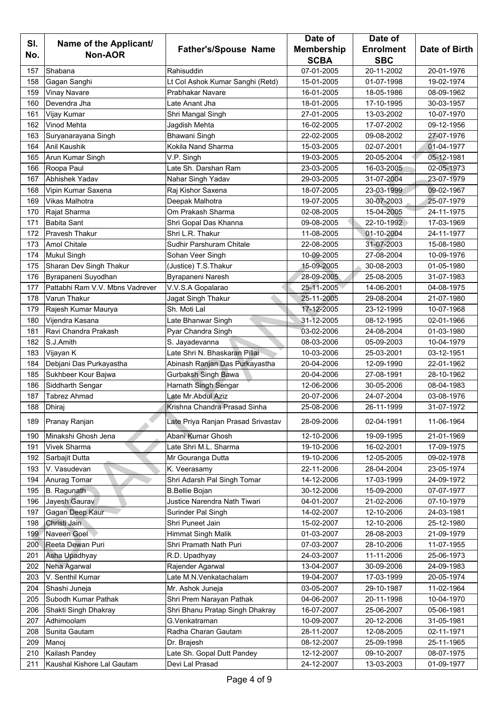|     |                                 |                                    | Date of           | Date of          |               |
|-----|---------------------------------|------------------------------------|-------------------|------------------|---------------|
| SI. | Name of the Applicant/          | <b>Father's/Spouse Name</b>        | <b>Membership</b> | <b>Enrolment</b> | Date of Birth |
| No. | <b>Non-AOR</b>                  |                                    | <b>SCBA</b>       | <b>SBC</b>       |               |
| 157 | Shabana                         | Rahisuddin                         | 07-01-2005        | 20-11-2002       | 20-01-1976    |
| 158 | Gagan Sanghi                    | Lt Col Ashok Kumar Sanghi (Retd)   | 15-01-2005        | 01-07-1998       | 19-02-1974    |
| 159 | <b>Vinay Navare</b>             | Prabhakar Navare                   | 16-01-2005        | 18-05-1986       | 08-09-1962    |
| 160 | Devendra Jha                    | Late Anant Jha                     | 18-01-2005        | 17-10-1995       | 30-03-1957    |
| 161 | Vijay Kumar                     | Shri Mangal Singh                  | 27-01-2005        | 13-03-2002       | 10-07-1970    |
| 162 | <b>Vinod Mehta</b>              | Jagdish Mehta                      | 16-02-2005        | 17-07-2002       | 09-12-1956    |
| 163 | Suryanarayana Singh             | Bhawani Singh                      | 22-02-2005        | 09-08-2002       | 27-07-1976    |
| 164 | <b>Anil Kaushik</b>             | Kokila Nand Sharma                 | 15-03-2005        | 02-07-2001       | 01-04-1977    |
| 165 | Arun Kumar Singh                | V.P. Singh                         | 19-03-2005        | 20-05-2004       | 05-12-1981    |
| 166 | Roopa Paul                      | Late Sh. Darshan Ram               | 23-03-2005        | 16-03-2005       | 02-05-1973    |
| 167 | Abhishek Yadav                  | Nahar Singh Yadav                  | 29-03-2005        | 31-07-2004       | 23-07-1979    |
| 168 | Vipin Kumar Saxena              | Raj Kishor Saxena                  | 18-07-2005        | 23-03-1999       | 09-02-1967    |
| 169 | Vikas Malhotra                  | Deepak Malhotra                    | 19-07-2005        | 30-07-2003       | 25-07-1979    |
| 170 | Rajat Sharma                    | Om Prakash Sharma                  | 02-08-2005        | 15-04-2005       | 24-11-1975    |
| 171 | <b>Babita Sant</b>              | Shri Gopal Das Khanna              | 09-08-2005        | 22-10-1992       | 17-03-1969    |
| 172 | <b>Pravesh Thakur</b>           | Shri L.R. Thakur                   | 11-08-2005        | 01-10-2004       | 24-11-1977    |
| 173 | <b>Amol Chitale</b>             | Sudhir Parshuram Chitale           | 22-08-2005        | 31-07-2003       | 15-08-1980    |
| 174 | <b>Mukul Singh</b>              | Sohan Veer Singh                   | 10-09-2005        | 27-08-2004       | 10-09-1976    |
| 175 | Sharan Dev Singh Thakur         | (Justice) T.S. Thakur              | 15-09-2005        | 30-08-2003       | 01-05-1980    |
|     |                                 |                                    |                   |                  |               |
| 176 | Byrapaneni Suyodhan             | Byrapaneni Naresh                  | 28-09-2005        | 25-08-2005       | 31-07-1983    |
| 177 | Pattabhi Ram V.V. Mbns Vadrever | V.V.S.A Gopalarao                  | 25-11-2005        | 14-06-2001       | 04-08-1975    |
| 178 | Varun Thakur                    | Jagat Singh Thakur                 | 25-11-2005        | 29-08-2004       | 21-07-1980    |
| 179 | Rajesh Kumar Maurya             | Sh. Moti Lal                       | 17-12-2005        | 23-12-1999       | 10-07-1968    |
| 180 | Vijendra Kasana                 | Late Bhanwar Singh                 | 31-12-2005        | 08-12-1995       | 02-01-1966    |
| 181 | Ravi Chandra Prakash            | Pyar Chandra Singh                 | 03-02-2006        | 24-08-2004       | 01-03-1980    |
| 182 | S.J.Amith                       | S. Jayadevanna                     | 08-03-2006        | 05-09-2003       | 10-04-1979    |
| 183 | Vijayan K                       | Late Shri N. Bhaskaran Pillai      | 10-03-2006        | 25-03-2001       | 03-12-1951    |
| 184 | Debjani Das Purkayastha         | Abinash Ranjan Das Purkayastha     | 20-04-2006        | 12-09-1990       | 22-01-1962    |
| 185 | Sukhbeer Kour Bajwa             | Gurbaksh Singh Bawa                | 20-04-2006        | 27-08-1991       | 28-10-1962    |
| 186 | Siddharth Sengar                | Harnath Singh Sengar               | 12-06-2006        | 30-05-2006       | 08-04-1983    |
| 187 | <b>Tabrez Ahmad</b>             | Late Mr.Abdul Aziz                 | 20-07-2006        | 24-07-2004       | 03-08-1976    |
| 188 | Dhiraj                          | Krishna Chandra Prasad Sinha       | 25-08-2006        | 26-11-1999       | 31-07-1972    |
| 189 | Pranay Ranjan                   | Late Priya Ranjan Prasad Srivastav | 28-09-2006        | 02-04-1991       | 11-06-1964    |
| 190 | Minakshi Ghosh Jena             | Abani Kumar Ghosh                  | 12-10-2006        | 19-09-1995       | 21-01-1969    |
| 191 | <b>Vivek Sharma</b>             | Late Shri M.L. Sharma              | 19-10-2006        | 16-02-2001       | 17-09-1975    |
| 192 | Sarbajit Dutta                  | Mr Gouranga Dutta                  | 19-10-2006        | 12-05-2005       | 09-02-1978    |
| 193 | V. Vasudevan                    | K. Veerasamy                       | 22-11-2006        | 28-04-2004       | 23-05-1974    |
| 194 | Anurag Tomar                    | Shri Adarsh Pal Singh Tomar        | 14-12-2006        | 17-03-1999       | 24-09-1972    |
| 195 | B. Ragunath                     | <b>B.Bellie Bojan</b>              | 30-12-2006        | 15-09-2000       | 07-07-1977    |
| 196 | Jayesh Gaurav                   | Justice Narendra Nath Tiwari       | 04-01-2007        | 21-02-2006       | 07-10-1979    |
| 197 | Gagan Deep Kaur                 | Surinder Pal Singh                 | 14-02-2007        | 12-10-2006       | 24-03-1981    |
| 198 | Christi Jain                    | Shri Puneet Jain                   | 15-02-2007        | 12-10-2006       | 25-12-1980    |
| 199 | Naveen Goel                     | <b>Himmat Singh Malik</b>          | 01-03-2007        | 28-08-2003       | 21-09-1979    |
| 200 | Reeta Dewan Puri                | Shri Pramath Nath Puri             | 07-03-2007        | 28-10-2006       | 11-07-1955    |
| 201 | Asha Upadhyay                   | R.D. Upadhyay                      | 24-03-2007        | 11-11-2006       | 25-06-1973    |
| 202 | Neha Agarwal                    | Rajender Agarwal                   | 13-04-2007        | 30-09-2006       | 24-09-1983    |
| 203 | V. Senthil Kumar                | Late M.N.Venkatachalam             | 19-04-2007        | 17-03-1999       | 20-05-1974    |
| 204 | Shashi Juneja                   | Mr. Ashok Juneja                   | 03-05-2007        | 29-10-1987       | 11-02-1964    |
| 205 | Subodh Kumar Pathak             | Shri Prem Narayan Pathak           | 04-06-2007        | 20-11-1998       | 10-04-1970    |
| 206 | Shakti Singh Dhakray            | Shri Bhanu Pratap Singh Dhakray    | 16-07-2007        | 25-06-2007       | 05-06-1981    |
| 207 | Adhimoolam                      | G.Venkatraman                      | 10-09-2007        | 20-12-2006       | 31-05-1981    |
| 208 | Sunita Gautam                   | Radha Charan Gautam                | 28-11-2007        | 12-08-2005       | 02-11-1971    |
| 209 | Manoj                           | Dr. Brajesh                        | 08-12-2007        | 25-09-1998       | 25-11-1965    |
| 210 | Kailash Pandey                  | Late Sh. Gopal Dutt Pandey         | 12-12-2007        | 09-10-2007       | 08-07-1975    |
| 211 | Kaushal Kishore Lal Gautam      | Devi Lal Prasad                    | 24-12-2007        | 13-03-2003       | 01-09-1977    |
|     |                                 |                                    |                   |                  |               |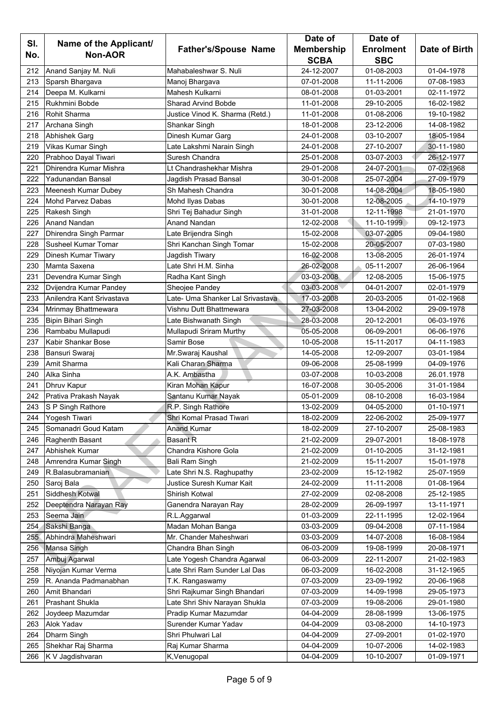|     |                            |                                  | Date of           | Date of          |               |
|-----|----------------------------|----------------------------------|-------------------|------------------|---------------|
| SI. | Name of the Applicant/     | <b>Father's/Spouse Name</b>      | <b>Membership</b> | <b>Enrolment</b> | Date of Birth |
| No. | <b>Non-AOR</b>             |                                  | <b>SCBA</b>       | <b>SBC</b>       |               |
| 212 | Anand Sanjay M. Nuli       | Mahabaleshwar S. Nuli            | 24-12-2007        | 01-08-2003       | 01-04-1978    |
| 213 | Sparsh Bhargava            | Manoj Bhargava                   | 07-01-2008        | 11-11-2006       | 07-08-1983    |
| 214 | Deepa M. Kulkarni          | Mahesh Kulkarni                  | 08-01-2008        | 01-03-2001       | 02-11-1972    |
| 215 | Rukhmini Bobde             | <b>Sharad Arvind Bobde</b>       | 11-01-2008        | 29-10-2005       | 16-02-1982    |
| 216 | <b>Rohit Sharma</b>        | Justice Vinod K. Sharma (Retd.)  | 11-01-2008        | 01-08-2006       | 19-10-1982    |
| 217 | Archana Singh              | Shankar Singh                    | 18-01-2008        | 23-12-2006       | 14-08-1982    |
| 218 | Abhishek Garg              | Dinesh Kumar Garg                | 24-01-2008        | 03-10-2007       | 18-05-1984    |
| 219 | <b>Vikas Kumar Singh</b>   | Late Lakshmi Narain Singh        | 24-01-2008        | 27-10-2007       | 30-11-1980    |
| 220 | Prabhoo Dayal Tiwari       | Suresh Chandra                   | 25-01-2008        | 03-07-2003       | 26-12-1977    |
| 221 | Dhirendra Kumar Mishra     | Lt Chandrashekhar Mishra         | 29-01-2008        | 24-07-2001       | 07-02-1968    |
| 222 | Yadunandan Bansal          | Jagdish Prasad Bansal            | 30-01-2008        | 25-07-2004       | 27-09-1979    |
| 223 | Meenesh Kumar Dubey        | Sh Mahesh Chandra                | 30-01-2008        | 14-08-2004       | 18-05-1980    |
| 224 | Mohd Parvez Dabas          | Mohd Ilyas Dabas                 | 30-01-2008        | 12-08-2005       | 14-10-1979    |
| 225 | Rakesh Singh               | Shri Tej Bahadur Singh           | 31-01-2008        | 12-11-1998       | 21-01-1970    |
| 226 | Anand Nandan               | <b>Anand Nandan</b>              | 12-02-2008        | 11-10-1999       | 09-12-1973    |
| 227 | Dhirendra Singh Parmar     | Late Brijendra Singh             | 15-02-2008        | 03-07-2005       | 09-04-1980    |
| 228 | <b>Susheel Kumar Tomar</b> | Shri Kanchan Singh Tomar         | 15-02-2008        | 20-05-2007       | 07-03-1980    |
| 229 | Dinesh Kumar Tiwary        | Jagdish Tiwary                   | 16-02-2008        | 13-08-2005       | 26-01-1974    |
| 230 | Mamta Saxena               | Late Shri H.M. Sinha             | 26-02-2008        | 05-11-2007       | 26-06-1964    |
| 231 | Devendra Kumar Singh       | Radha Kant Singh                 | 03-03-2008        | 12-08-2005       | 15-06-1975    |
| 232 | Dvijendra Kumar Pandey     | Sheojee Pandey                   | 03-03-2008        | 04-01-2007       | 02-01-1979    |
| 233 | Anilendra Kant Srivastava  | Late- Uma Shanker Lal Srivastava | 17-03-2008        | 20-03-2005       | 01-02-1968    |
| 234 | Mrinmay Bhattmewara        | Vishnu Dutt Bhattmewara          | 27-03-2008        | 13-04-2002       | 29-09-1978    |
| 235 | Bipin Bihari Singh         | Late Bishwanath Singh            | 28-03-2008        | 20-12-2001       | 06-03-1976    |
| 236 | Rambabu Mullapudi          | Mullapudi Sriram Murthy          | 05-05-2008        | 06-09-2001       | 06-06-1976    |
| 237 | Kabir Shankar Bose         | Samir Bose                       | 10-05-2008        | 15-11-2017       | 04-11-1983    |
| 238 | Bansuri Swaraj             | Mr.Swaraj Kaushal                | 14-05-2008        | 12-09-2007       | 03-01-1984    |
| 239 | Amit Sharma                | Kali Charan Sharma               | 09-06-2008        | 25-08-1999       | 04-09-1976    |
| 240 | Alka Sinha                 | A.K. Ambastha                    | 03-07-2008        | 10-03-2008       | 26.01.1978    |
| 241 | Dhruv Kapur                | Kiran Mohan Kapur                | 16-07-2008        | 30-05-2006       | 31-01-1984    |
| 242 | Prativa Prakash Nayak      | Santanu Kumar Nayak              | 05-01-2009        | 08-10-2008       | 16-03-1984    |
| 243 | S P Singh Rathore          | R.P. Singh Rathore               | 13-02-2009        | 04-05-2000       | 01-10-1971    |
| 244 | Yogesh Tiwari              | Shri Komal Prasad Tiwari         | 18-02-2009        | 22-06-2002       | 25-09-1977    |
| 245 | Somanadri Goud Katam       | <b>Anand Kumar</b>               | 18-02-2009        | 27-10-2007       | 25-08-1983    |
| 246 | Raghenth Basant            | <b>Basant R</b>                  | 21-02-2009        | 29-07-2001       | 18-08-1978    |
| 247 | <b>Abhishek Kumar</b>      | Chandra Kishore Gola             | 21-02-2009        | 01-10-2005       | 31-12-1981    |
| 248 | Amrendra Kumar Singh       | Bali Ram Singh                   | 21-02-2009        | 15-11-2007       | 15-01-1978    |
| 249 | R.Balasubramanian          | Late Shri N.S. Raghupathy        | 23-02-2009        | 15-12-1982       | 25-07-1959    |
| 250 | Saroj Bala                 | Justice Suresh Kumar Kait        | 24-02-2009        | 11-11-2008       | 01-08-1964    |
| 251 | Siddhesh Kotwal            | Shirish Kotwal                   | 27-02-2009        | 02-08-2008       | 25-12-1985    |
| 252 | Deeptendra Narayan Ray     | Ganendra Narayan Ray             | 28-02-2009        | 26-09-1997       | 13-11-1971    |
| 253 | Seema Jain                 | R.L.Aggarwal                     | 01-03-2009        | 22-11-1995       | 12-02-1964    |
| 254 | Sakshi Banga               | Madan Mohan Banga                | 03-03-2009        | 09-04-2008       | 07-11-1984    |
| 255 | Abhindra Maheshwari        | Mr. Chander Maheshwari           | 03-03-2009        | 14-07-2008       | 16-08-1984    |
| 256 | Mansa Singh                | Chandra Bhan Singh               | 06-03-2009        | 19-08-1999       | 20-08-1971    |
| 257 | Ambuj Agarwal              | Late Yogesh Chandra Agarwal      | 06-03-2009        | 22-11-2007       | 21-02-1983    |
| 258 | Niyojan Kumar Verma        | Late Shri Ram Sunder Lal Das     | 06-03-2009        | 16-02-2008       | 31-12-1965    |
| 259 | R. Ananda Padmanabhan      | T.K. Rangaswamy                  | 07-03-2009        | 23-09-1992       | 20-06-1968    |
| 260 | Amit Bhandari              | Shri Rajkumar Singh Bhandari     | 07-03-2009        | 14-09-1998       | 29-05-1973    |
| 261 | <b>Prashant Shukla</b>     | Late Shri Shiv Narayan Shukla    | 07-03-2009        | 19-08-2006       | 29-01-1980    |
| 262 | Joydeep Mazumdar           | Pradip Kumar Mazumdar            | 04-04-2009        | 28-08-1999       | 13-06-1975    |
| 263 | Alok Yadav                 | Surender Kumar Yadav             | 04-04-2009        | 03-08-2000       | 14-10-1973    |
| 264 | Dharm Singh                | Shri Phulwari Lal                | 04-04-2009        | 27-09-2001       | 01-02-1970    |
| 265 | Shekhar Raj Sharma         | Raj Kumar Sharma                 | 04-04-2009        | 10-07-2006       | 14-02-1983    |
| 266 | K V Jagdishvaran           | K, Venugopal                     | 04-04-2009        | 10-10-2007       | 01-09-1971    |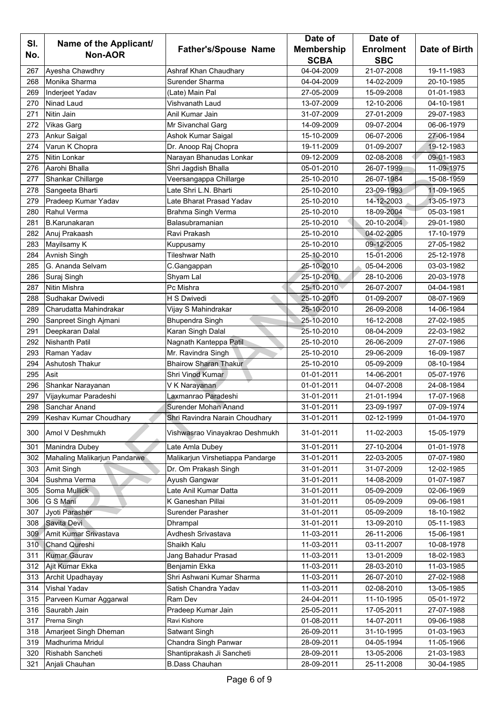|     |                                       |                                  | Date of           | Date of                  |               |
|-----|---------------------------------------|----------------------------------|-------------------|--------------------------|---------------|
| SI. | Name of the Applicant/                | <b>Father's/Spouse Name</b>      | <b>Membership</b> | <b>Enrolment</b>         | Date of Birth |
| No. | <b>Non-AOR</b>                        |                                  | <b>SCBA</b>       | <b>SBC</b>               |               |
| 267 | Ayesha Chawdhry                       | Ashraf Khan Chaudhary            | 04-04-2009        | 21-07-2008               | 19-11-1983    |
| 268 | Monika Sharma                         | Surender Sharma                  | 04-04-2009        | 14-02-2009               | 20-10-1985    |
| 269 | Inderjeet Yadav                       | (Late) Main Pal                  | 27-05-2009        | 15-09-2008               | 01-01-1983    |
| 270 | Ninad Laud                            | Vishvanath Laud                  | 13-07-2009        | 12-10-2006               | 04-10-1981    |
| 271 | Nitin Jain                            | Anil Kumar Jain                  | 31-07-2009        | 27-01-2009               | 29-07-1983    |
| 272 | <b>Vikas Garg</b>                     | Mr Sivanchal Garg                | 14-09-2009        | 09-07-2004               | 06-06-1979    |
| 273 | Ankur Saigal                          | Ashok Kumar Saigal               | 15-10-2009        | 06-07-2006               | 27-06-1984    |
| 274 | Varun K Chopra                        | Dr. Anoop Raj Chopra             | 19-11-2009        | 01-09-2007               | 19-12-1983    |
| 275 | <b>Nitin Lonkar</b>                   | Narayan Bhanudas Lonkar          | 09-12-2009        | 02-08-2008               | 09-01-1983    |
| 276 | Aarohi Bhalla                         | Shri Jagdish Bhalla              | 05-01-2010        | 26-07-1999               | 11-09-1975    |
| 277 | Shankar Chillarge                     | Veersangappa Chillarge           | 25-10-2010        | 26-07-1984               | 15-08-1959    |
| 278 | Sangeeta Bharti                       | Late Shri L.N. Bharti            | 25-10-2010        | 23-09-1993               | 11-09-1965    |
| 279 | Pradeep Kumar Yadav                   | Late Bharat Prasad Yadav         | 25-10-2010        | 14-12-2003               | 13-05-1973    |
| 280 | <b>Rahul Verma</b>                    | Brahma Singh Verma               | 25-10-2010        | 18-09-2004               | 05-03-1981    |
| 281 | <b>B.Karunakaran</b>                  | Balasubramanian                  | 25-10-2010        | 20-10-2004               | 29-01-1980    |
| 282 | Anuj Prakaash                         | Ravi Prakash                     | 25-10-2010        | 04-02-2005               | 17-10-1979    |
| 283 | Mayilsamy K                           | Kuppusamy                        | 25-10-2010        | 09-12-2005               | 27-05-1982    |
| 284 | Avnish Singh                          | <b>Tileshwar Nath</b>            | 25-10-2010        | 15-01-2006               | 25-12-1978    |
| 285 | G. Ananda Selvam                      | C.Gangappan                      | 25-10-2010        | 05-04-2006               | 03-03-1982    |
| 286 | Suraj Singh                           | Shyam Lal                        | 25-10-2010        | 28-10-2006               | 20-03-1978    |
| 287 | <b>Nitin Mishra</b>                   | Pc Mishra                        | 25-10-2010        | 26-07-2007               | 04-04-1981    |
| 288 | Sudhakar Dwivedi                      | H S Dwivedi                      | 25-10-2010        | 01-09-2007               | 08-07-1969    |
| 289 | Charudatta Mahindrakar                |                                  | 25-10-2010        | 26-09-2008               | 14-06-1984    |
| 290 |                                       | Vijay S Mahindrakar              | 25-10-2010        | 16-12-2008               | 27-02-1985    |
| 291 | Sanpreet Singh Ajmani                 | <b>Bhupendra Singh</b>           | 25-10-2010        | 08-04-2009               | 22-03-1982    |
|     | Deepkaran Dalal                       | Karan Singh Dalal                |                   |                          |               |
| 292 | <b>Nishanth Patil</b>                 | Nagnath Kanteppa Patil           | 25-10-2010        | 26-06-2009               | 27-07-1986    |
| 293 | Raman Yadav<br><b>Ashutosh Thakur</b> | Mr. Ravindra Singh               | 25-10-2010        | 29-06-2009<br>05-09-2009 | 16-09-1987    |
| 294 |                                       | <b>Bhairow Sharan Thakur</b>     | 25-10-2010        |                          | 08-10-1984    |
| 295 | Asit                                  | Shri Vinod Kumar                 | 01-01-2011        | 14-06-2001               | 05-07-1976    |
| 296 | Shankar Narayanan                     | V K Narayanan                    | 01-01-2011        | 04-07-2008               | 24-08-1984    |
| 297 | Vijaykumar Paradeshi<br>Sanchar Anand | Laxmanrao Paradeshi              | 31-01-2011        | 21-01-1994               | 17-07-1968    |
| 298 |                                       | Surender Mohan Anand             | 31-01-2011        | 23-09-1997               | 07-09-1974    |
| 299 | Keshav Kumar Choudhary                | Shri Ravindra Narain Choudhary   | 31-01-2011        | 02-12-1999               | 01-04-1970    |
| 300 | Amol V Deshmukh                       | Vishwasrao Vinayakrao Deshmukh   | 31-01-2011        | 11-02-2003               | 15-05-1979    |
| 301 | Manindra Dubey                        | Late Amla Dubey                  | 31-01-2011        | 27-10-2004               | 01-01-1978    |
| 302 | Mahaling Malikarjun Pandarwe          | Malikarjun Virshetiappa Pandarge | 31-01-2011        | 22-03-2005               | 07-07-1980    |
| 303 | Amit Singh                            | Dr. Om Prakash Singh             | 31-01-2011        | 31-07-2009               | 12-02-1985    |
| 304 | Sushma Verma                          | Ayush Gangwar                    | 31-01-2011        | 14-08-2009               | 01-07-1987    |
| 305 | Soma Mullick                          | Late Anil Kumar Datta            | 31-01-2011        | 05-09-2009               | 02-06-1969    |
| 306 | G S Mani                              | K Ganeshan Pillai                | 31-01-2011        | 05-09-2009               | 09-06-1981    |
| 307 | Jyoti Parasher                        | Surender Parasher                | 31-01-2011        | 05-09-2009               | 18-10-1982    |
| 308 | Savita Devi                           | Dhrampal                         | 31-01-2011        | 13-09-2010               | 05-11-1983    |
| 309 | Amit Kumar Srivastava                 | Avdhesh Srivastava               | 11-03-2011        | 26-11-2006               | 15-06-1981    |
| 310 | Chand Qureshi                         | Shaikh Kalu                      | 11-03-2011        | 03-11-2007               | 10-08-1978    |
| 311 | <b>Kumar Gaurav</b>                   | Jang Bahadur Prasad              | 11-03-2011        | 13-01-2009               | 18-02-1983    |
| 312 | Ajit Kumar Ekka                       | Benjamin Ekka                    | 11-03-2011        | 28-03-2010               | 11-03-1985    |
| 313 | Archit Upadhayay                      | Shri Ashwani Kumar Sharma        | 11-03-2011        | 26-07-2010               | 27-02-1988    |
| 314 | Vishal Yadav                          | Satish Chandra Yadav             | 11-03-2011        | 02-08-2010               | 13-05-1985    |
| 315 | Parveen Kumar Aggarwal                | Ram Dev                          | 24-04-2011        | 11-10-1995               | 05-01-1972    |
| 316 | Saurabh Jain                          | Pradeep Kumar Jain               | 25-05-2011        | 17-05-2011               | 27-07-1988    |
| 317 | Prerna Singh                          | Ravi Kishore                     | 01-08-2011        | 14-07-2011               | 09-06-1988    |
| 318 | Amarjeet Singh Dheman                 | Satwant Singh                    | 26-09-2011        | 31-10-1995               | 01-03-1963    |
| 319 | Madhurima Mridul                      | Chandra Singh Panwar             | 28-09-2011        | 04-05-1994               | 11-05-1966    |
| 320 | Rishabh Sancheti                      | Shantiprakash Ji Sancheti        | 28-09-2011        | 13-05-2006               | 21-03-1983    |
| 321 | Anjali Chauhan                        | <b>B.Dass Chauhan</b>            | 28-09-2011        | 25-11-2008               | 30-04-1985    |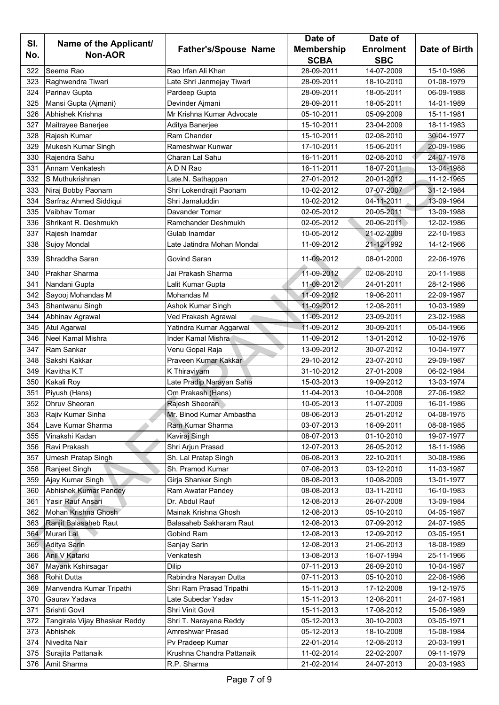|            |                                          |                                     | Date of                  | Date of                  |                          |
|------------|------------------------------------------|-------------------------------------|--------------------------|--------------------------|--------------------------|
| SI.        | Name of the Applicant/                   | <b>Father's/Spouse Name</b>         | <b>Membership</b>        | <b>Enrolment</b>         | Date of Birth            |
| No.        | <b>Non-AOR</b>                           |                                     | <b>SCBA</b>              | <b>SBC</b>               |                          |
| 322        | Seema Rao                                | Rao Irfan Ali Khan                  | 28-09-2011               | 14-07-2009               | 15-10-1986               |
| 323        | Raghwendra Tiwari                        | Late Shri Janmejay Tiwari           | 28-09-2011               | 18-10-2010               | 01-08-1979               |
| 324        | Parinav Gupta                            | Pardeep Gupta                       | 28-09-2011               | 18-05-2011               | 06-09-1988               |
| 325        | Mansi Gupta (Ajmani)                     | Devinder Ajmani                     | 28-09-2011               | 18-05-2011               | 14-01-1989               |
| 326        | Abhishek Krishna                         | Mr Krishna Kumar Advocate           | 05-10-2011               | 05-09-2009               | 15-11-1981               |
| 327        | Maitrayee Banerjee                       | Aditya Banerjee                     | 15-10-2011               | 23-04-2009               | 18-11-1983               |
| 328        | Rajesh Kumar                             | Ram Chander                         | 15-10-2011               | 02-08-2010               | 30-04-1977               |
| 329        | Mukesh Kumar Singh                       | Rameshwar Kunwar                    | 17-10-2011               | 15-06-2011               | 20-09-1986               |
| 330        | Rajendra Sahu                            | Charan Lal Sahu                     | 16-11-2011               | 02-08-2010               | 24-07-1978               |
| 331        | Annam Venkatesh                          | A D N Rao                           | 16-11-2011               | 18-07-2011               | 13-04-1988               |
| 332        | S Muthukrishnan                          | Late.N. Sathappan                   | 27-01-2012               | 20-01-2012               | 11-12-1965               |
| 333        | Niraj Bobby Paonam                       | Shri Lokendrajit Paonam             | 10-02-2012               | 07-07-2007               | 31-12-1984               |
| 334        | Sarfraz Ahmed Siddiqui                   | Shri Jamaluddin                     | 10-02-2012               | 04-11-2011               | 13-09-1964               |
| 335        | <b>Vaibhav Tomar</b>                     | Davander Tomar                      | 02-05-2012               | 20-05-2011               | 13-09-1988               |
| 336        | Shrikant R. Deshmukh                     | Ramchander Deshmukh                 | 02-05-2012               | 20-06-2011               | 12-02-1986               |
| 337        | Rajesh Inamdar                           | Gulab Inamdar                       | 10-05-2012               | 21-02-2009               | 22-10-1983               |
| 338        | Sujoy Mondal                             | Late Jatindra Mohan Mondal          | 11-09-2012               | 21-12-1992               | 14-12-1966               |
| 339        | Shraddha Saran                           | Govind Saran                        | 11-09-2012               | 08-01-2000               | 22-06-1976               |
| 340        | Prakhar Sharma                           | Jai Prakash Sharma                  | 11-09-2012               | 02-08-2010               | 20-11-1988               |
| 341        | Nandani Gupta                            | Lalit Kumar Gupta                   | 11-09-2012               | 24-01-2011               | 28-12-1986               |
| 342        | Sayooj Mohandas M                        | Mohandas M                          | 11-09-2012               | 19-06-2011               | 22-09-1987               |
| 343        | Shantwanu Singh                          | Ashok Kumar Singh                   | 11-09-2012               | 12-08-2011               | 10-03-1989               |
| 344        | Abhinav Agrawal                          | Ved Prakash Agrawal                 | 11-09-2012               | 23-09-2011               | 23-02-1988               |
| 345        | Atul Agarwal                             | Yatindra Kumar Aggarwal             | 11-09-2012               | 30-09-2011               | 05-04-1966               |
| 346        | <b>Neel Kamal Mishra</b>                 | Inder Kamal Mishra                  | 11-09-2012               | 13-01-2012               | 10-02-1976               |
| 347        | <b>Ram Sankar</b>                        | Venu Gopal Raja                     | 13-09-2012               | 30-07-2012               | 10-04-1977               |
| 348        | Sakshi Kakkar                            | Praveen Kumar Kakkar                | 29-10-2012               | 23-07-2010               | 29-09-1987               |
| 349        | Kavitha K.T                              | K Thiraviyam                        | 31-10-2012               | 27-01-2009               | 06-02-1984               |
| 350        | Kakali Roy                               | Late Pradip Narayan Saha            | 15-03-2013               | 19-09-2012               | 13-03-1974               |
| 351        | Piyush (Hans)                            | Om Prakash (Hans)                   | 11-04-2013               | 10-04-2008               | 27-06-1982               |
| 352        | <b>Dhruv Sheoran</b>                     | Rajesh Sheoran                      | 10-05-2013               | 11-07-2009               | 16-01-1986               |
| 353        | Rajiv Kumar Sinha                        | Mr. Binod Kumar Ambastha            | 08-06-2013               | 25-01-2012               | 04-08-1975               |
| 354        | Lave Kumar Sharma                        | Ram Kumar Sharma                    | 03-07-2013               | 16-09-2011               | 08-08-1985               |
| 355        | Vinakshi Kadan                           | Kaviraj Singh                       | 08-07-2013               | 01-10-2010               | 19-07-1977               |
| 356        | Ravi Prakash                             | Shri Arjun Prasad                   | 12-07-2013               | 26-05-2012               | 18-11-1986               |
| 357        | <b>Umesh Pratap Singh</b>                | Sh. Lal Pratap Singh                | 06-08-2013               | 22-10-2011               | 30-08-1986               |
| 358        |                                          | Sh. Pramod Kumar                    |                          |                          |                          |
| 359        | Ranjeet Singh<br>Ajay Kumar Singh        | Girja Shanker Singh                 | 07-08-2013<br>08-08-2013 | 03-12-2010<br>10-08-2009 | 11-03-1987<br>13-01-1977 |
|            |                                          |                                     |                          |                          |                          |
| 360        | Abhishek Kumar Pandey                    | Ram Awatar Pandey<br>Dr. Abdul Rauf | 08-08-2013               | 03-11-2010               | 16-10-1983               |
| 361<br>362 | Yasir Rauf Ansari<br>Mohan Krishna Ghosh | Mainak Krishna Ghosh                | 12-08-2013<br>12-08-2013 | 26-07-2008<br>05-10-2010 | 13-09-1984<br>04-05-1987 |
|            |                                          |                                     |                          |                          |                          |
| 363        | Ranjit Balasaheb Raut                    | Balasaheb Sakharam Raut             | 12-08-2013               | 07-09-2012               | 24-07-1985               |
| 364        | Murari Lal                               | Gobind Ram                          | 12-08-2013               | 12-09-2012               | 03-05-1951               |
| 365        | Aditya Sarin                             | Sanjay Sarin                        | 12-08-2013               | 21-06-2013               | 18-08-1989               |
| 366        | Anil V Katarki                           | Venkatesh                           | 13-08-2013               | 16-07-1994               | 25-11-1966               |
| 367        | Mayank Kshirsagar                        | <b>Dilip</b>                        | 07-11-2013               | 26-09-2010               | 10-04-1987               |
| 368        | <b>Rohit Dutta</b>                       | Rabindra Narayan Dutta              | 07-11-2013               | 05-10-2010               | 22-06-1986               |
| 369        | Manvendra Kumar Tripathi                 | Shri Ram Prasad Tripathi            | 15-11-2013               | 17-12-2008               | 19-12-1975               |
| 370        | Gaurav Yadava                            | Late Subedar Yadav                  | 15-11-2013               | 12-08-2011               | 24-07-1981               |
| 371        | Srishti Govil                            | Shri Vinit Govil                    | 15-11-2013               | 17-08-2012               | 15-06-1989               |
| 372        | Tangirala Vijay Bhaskar Reddy            | Shri T. Narayana Reddy              | 05-12-2013               | 30-10-2003               | 03-05-1971               |
| 373        | Abhishek                                 | Amreshwar Prasad                    | 05-12-2013               | 18-10-2008               | 15-08-1984               |
| 374        | Nivedita Nair                            | Pv Pradeep Kumar                    | 22-01-2014               | 12-08-2013               | 20-03-1991               |
| 375        | Surajita Pattanaik                       | Krushna Chandra Pattanaik           | 11-02-2014               | 22-02-2007               | 09-11-1979               |
| 376        | Amit Sharma                              | R.P. Sharma                         | 21-02-2014               | 24-07-2013               | 20-03-1983               |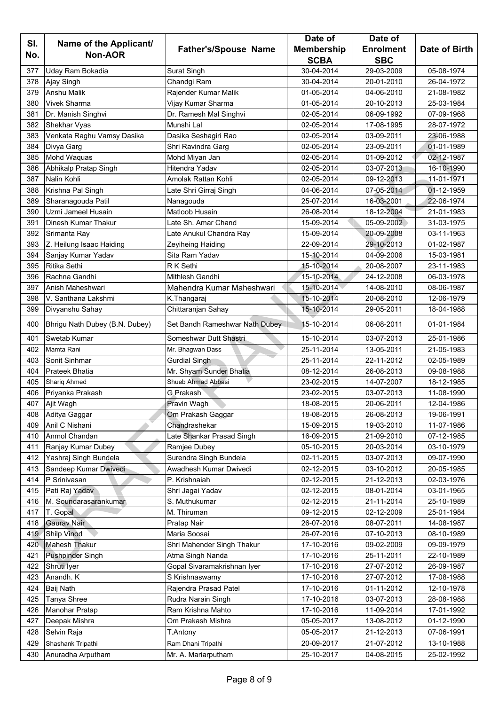|            |                                          |                                | Date of           | Date of          |               |  |
|------------|------------------------------------------|--------------------------------|-------------------|------------------|---------------|--|
| SI.<br>No. | Name of the Applicant/<br><b>Non-AOR</b> | <b>Father's/Spouse Name</b>    | <b>Membership</b> | <b>Enrolment</b> | Date of Birth |  |
|            |                                          |                                | <b>SCBA</b>       | <b>SBC</b>       |               |  |
| 377        | Uday Ram Bokadia                         | Surat Singh                    | 30-04-2014        | 29-03-2009       | 05-08-1974    |  |
| 378        | Ajay Singh                               | Chandgi Ram                    | 30-04-2014        | 20-01-2010       | 26-04-1972    |  |
| 379        | <b>Anshu Malik</b>                       | Rajender Kumar Malik           | 01-05-2014        | 04-06-2010       | 21-08-1982    |  |
| 380        | Vivek Sharma                             | Vijay Kumar Sharma             | 01-05-2014        | 20-10-2013       | 25-03-1984    |  |
| 381        | Dr. Manish Singhvi                       | Dr. Ramesh Mal Singhvi         | 02-05-2014        | 06-09-1992       | 07-09-1968    |  |
| 382        | Shekhar Vyas                             | Munshi Lal                     | 02-05-2014        | 17-08-1995       | 28-07-1972    |  |
| 383        | Venkata Raghu Vamsy Dasika               | Dasika Seshagiri Rao           | 02-05-2014        | 03-09-2011       | 23-06-1988    |  |
| 384        | Divya Garg                               | Shri Ravindra Garg             | 02-05-2014        | 23-09-2011       | 01-01-1989    |  |
| 385        | Mohd Waquas                              | Mohd Miyan Jan                 | 02-05-2014        | 01-09-2012       | 02-12-1987    |  |
| 386        | Abhikalp Pratap Singh                    | Hitendra Yadav                 | 02-05-2014        | 03-07-2013       | 16-10-1990    |  |
| 387        | Nalin Kohli                              | Amolak Rattan Kohli            | 02-05-2014        | 09-12-2013       | 11-01-1971    |  |
| 388        | Krishna Pal Singh                        | Late Shri Girraj Singh         | 04-06-2014        | 07-05-2014       | 01-12-1959    |  |
| 389        | Sharanagouda Patil                       | Nanagouda                      | 25-07-2014        | 16-03-2001       | 22-06-1974    |  |
| 390        | Uzmi Jameel Husain                       | Matloob Husain                 | 26-08-2014        | 18-12-2004       | 21-01-1983    |  |
| 391        | <b>Dinesh Kumar Thakur</b>               | Late Sh. Amar Chand            | 15-09-2014        | 05-09-2002       | 31-03-1975    |  |
| 392        | Srimanta Ray                             | Late Anukul Chandra Ray        | 15-09-2014        | 20-09-2008       | 03-11-1963    |  |
| 393        | Z. Heilung Isaac Haiding                 | Zeyiheing Haiding              | 22-09-2014        | 29-10-2013       | 01-02-1987    |  |
| 394        | Sanjay Kumar Yadav                       | Sita Ram Yadav                 | 15-10-2014        | 04-09-2006       | 15-03-1981    |  |
| 395        | Ritika Sethi                             | R K Sethi                      | 15-10-2014        | 20-08-2007       | 23-11-1983    |  |
| 396        | Rachna Gandhi                            | Mithlesh Gandhi                | 15-10-2014        | 24-12-2008       | 06-03-1978    |  |
| 397        | Anish Maheshwari                         | Mahendra Kumar Maheshwari      | 15-10-2014        | 14-08-2010       | 08-06-1987    |  |
| 398        | V. Santhana Lakshmi                      | K.Thangaraj                    | 15-10-2014        | 20-08-2010       | 12-06-1979    |  |
| 399        | Divyanshu Sahay                          | Chittaranjan Sahay             | 15-10-2014        | 29-05-2011       | 18-04-1988    |  |
| 400        | Bhrigu Nath Dubey (B.N. Dubey)           | Set Bandh Rameshwar Nath Dubey | 15-10-2014        | 06-08-2011       | 01-01-1984    |  |
| 401        | Swetab Kumar                             | Someshwar Dutt Shastri         | 15-10-2014        | 03-07-2013       | 25-01-1986    |  |
| 402        | Mamta Rani                               | Mr. Bhagwan Dass               | 25-11-2014        | 13-05-2011       | 21-05-1983    |  |
| 403        | Sonit Sinhmar                            | <b>Gurdial Singh</b>           | 25-11-2014        | 22-11-2012       | 02-05-1989    |  |
| 404        | <b>Prateek Bhatia</b>                    | Mr. Shyam Sunder Bhatia        | 08-12-2014        | 26-08-2013       | 09-08-1988    |  |
| 405        | <b>Shariq Ahmed</b>                      | Shueb Ahmad Abbasi             | 23-02-2015        | 14-07-2007       | 18-12-1985    |  |
| 406        | Priyanka Prakash                         | G.Prakash                      | 23-02-2015        | 03-07-2013       | 11-08-1990    |  |
| 407        | Ajit Wagh                                | Pravin Wagh                    | 18-08-2015        | 20-06-2011       | 12-04-1986    |  |
| 408        | Aditya Gaggar                            | Om Prakash Gaggar              | 18-08-2015        | 26-08-2013       | 19-06-1991    |  |
| 409        | Anil C Nishani                           | Chandrashekar                  | 15-09-2015        | 19-03-2010       | 11-07-1986    |  |
| 410        | Anmol Chandan                            | Late Shankar Prasad Singh      | 16-09-2015        | 21-09-2010       | 07-12-1985    |  |
| 411        | Ranjay Kumar Dubey                       | Ramjee Dubey                   | 05-10-2015        | 20-03-2014       | 03-10-1979    |  |
| 412        | Yashraj Singh Bundela                    | Surendra Singh Bundela         | 02-11-2015        | 03-07-2013       | 09-07-1990    |  |
| 413        | Sandeep Kumar Dwivedi                    | Awadhesh Kumar Dwivedi         | 02-12-2015        | 03-10-2012       | 20-05-1985    |  |
| 414        | P Srinivasan                             | P. Krishnaiah                  | 02-12-2015        | 21-12-2013       | 02-03-1976    |  |
| 415        | Pati Raj Yadav                           | Shri Jagai Yadav               | 02-12-2015        | 08-01-2014       | 03-01-1965    |  |
| 416        | M. Soundarasarankumar                    | S. Muthukumar                  | 02-12-2015        | 21-11-2014       | 25-10-1989    |  |
| 417        | T. Gopal                                 | M. Thiruman                    | 09-12-2015        | 02-12-2009       | 25-01-1984    |  |
| 418        | Gaurav Nair                              | Pratap Nair                    | 26-07-2016        | 08-07-2011       | 14-08-1987    |  |
| 419        | Shilp Vinod                              | Maria Soosai                   | 26-07-2016        | 07-10-2013       | 08-10-1989    |  |
| 420        | Mahesh Thakur                            | Shri Mahender Singh Thakur     | 17-10-2016        | 09-02-2009       | 09-09-1979    |  |
| 421        | <b>Pushpinder Singh</b>                  | Atma Singh Nanda               | 17-10-2016        | 25-11-2011       | 22-10-1989    |  |
| 422        | Shruti Iyer                              | Gopal Sivaramakrishnan Iyer    | 17-10-2016        | 27-07-2012       | 26-09-1987    |  |
| 423        | Anandh. K                                | S Krishnaswamy                 | 17-10-2016        | 27-07-2012       | 17-08-1988    |  |
| 424        | Baij Nath                                | Rajendra Prasad Patel          | 17-10-2016        | 01-11-2012       | 12-10-1978    |  |
| 425        | Tanya Shree                              | Rudra Narain Singh             | 17-10-2016        | 03-07-2013       | 28-08-1988    |  |
| 426        | Manohar Pratap                           | Ram Krishna Mahto              | 17-10-2016        | 11-09-2014       | 17-01-1992    |  |
| 427        | Deepak Mishra                            | Om Prakash Mishra              | 05-05-2017        | 13-08-2012       | 01-12-1990    |  |
| 428        | Selvin Raja                              | T.Antony                       | 05-05-2017        | 21-12-2013       | 07-06-1991    |  |
| 429        | Shashank Tripathi                        | Ram Dhani Tripathi             | 20-09-2017        | 21-07-2012       | 13-10-1988    |  |
| 430        | Anuradha Arputham                        | Mr. A. Mariarputham            | 25-10-2017        | 04-08-2015       | 25-02-1992    |  |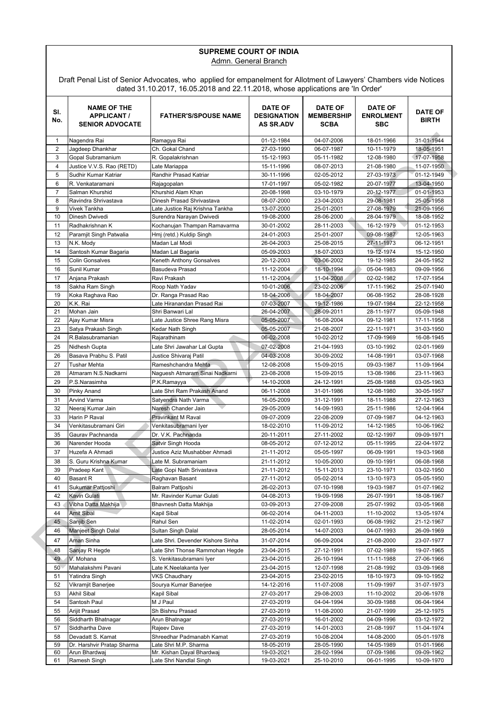#### **SUPREME COURT OF INDIA** Admn. General Branch

Draft Penal List of Senior Advocates, who applied for empanelment for Allotment of Lawyers' Chambers vide Notices dated 31.10.2017, 16.05.2018 and 22.11.2018, whose applications are 'In Order'

| SI.<br>No.     | <b>NAME OF THE</b><br><b>APPLICANT /</b><br><b>SENIOR ADVOCATE</b> | <b>FATHER'S/SPOUSE NAME</b>                        | <b>DATE OF</b><br><b>DESIGNATION</b><br><b>AS SR.ADV</b> | <b>DATE OF</b><br><b>MEMBERSHIP</b><br><b>SCBA</b> | <b>DATE OF</b><br><b>ENROLMENT</b><br><b>SBC</b> | <b>DATE OF</b><br><b>BIRTH</b> |
|----------------|--------------------------------------------------------------------|----------------------------------------------------|----------------------------------------------------------|----------------------------------------------------|--------------------------------------------------|--------------------------------|
| 1              | Nagendra Rai                                                       | Ramagya Rai                                        | 01-12-1984                                               | 04-07-2006                                         | 18-01-1966                                       | 31-01-1944                     |
| $\overline{2}$ | Jagdeep Dhankhar                                                   | Ch. Gokal Chand                                    | 27-03-1990                                               | 06-07-1987                                         | 10-11-1979                                       | 18-05-1951                     |
| 3              | Gopal Subramanium                                                  | R. Gopalakrishnan                                  | 15-12-1993                                               | 05-11-1982                                         | 12-08-1980                                       | 17-07-1958                     |
| 4              | Justice V.V.S. Rao (RETD)                                          | Late Mariappa                                      | 15-11-1996                                               | 08-07-2013                                         | 21-08-1980                                       | 11-07-1950                     |
| 5              | Sudhir Kumar Katriar                                               | Randhir Prasad Katriar                             | 30-11-1996                                               | 02-05-2012                                         | 27-03-1973                                       | 01-12-1949                     |
| 6              | R. Venkataramani                                                   | Rajagopalan                                        | 17-01-1997                                               | 05-02-1982                                         | 20-07-1977                                       | 13-04-1950                     |
| $\overline{7}$ | Salman Khurshid                                                    | Khurshid Alam Khan                                 | 20-08-1998                                               | 03-10-1979                                         | 20-12-1977                                       | 01-01-1953                     |
| 8              | Ravindra Shrivastava                                               | Dinesh Prasad Shrivastava                          | 08-07-2000                                               | 23-04-2003                                         | 29-08-1981                                       | 25-05-1958                     |
| 9              | Vivek Tankha                                                       | Late Justice Raj Krishna Tankha                    | 13-07-2000                                               | 25-01-2001                                         | 27-08-1979                                       | 21-09-1956                     |
| 10             | Dinesh Dwivedi                                                     | Surendra Narayan Dwivedi                           | 19-08-2000                                               | 28-06-2000                                         | 28-04-1979                                       | 18-08-1952                     |
| 11             | Radhakrishnan K                                                    | Kochanujan Thampan Ramavarma                       | 30-01-2002                                               | 28-11-2003                                         | 16-12-1979                                       | 01-12-1953                     |
| 12             | Paramjit Singh Patwalia                                            | Hmj (retd.) Kuldip Singh                           | 24-01-2003                                               | 25-01-2007                                         | 09-08-1987                                       | 12-05-1963                     |
| 13             | N.K. Mody                                                          | Madan Lal Modi                                     | 26-04-2003                                               | 25-08-2015                                         | 27-11-1973                                       | 06-12-1951                     |
| 14             | Santosh Kumar Bagaria                                              | Madan Lal Bagaria                                  | 05-09-2003                                               | 18-07-2003                                         | 19-12-1974                                       | 15-12-1950                     |
| 15             | <b>Colin Gonsalves</b>                                             | Keneth Anthony Gonsalves                           | 20-12-2003                                               | 03-06-2002                                         | 19-12-1985                                       | 24-05-1952                     |
|                |                                                                    |                                                    |                                                          |                                                    |                                                  |                                |
| 16             | Sunil Kumar                                                        | Basudeva Prasad                                    | 11-12-2004                                               | 18-10-1994                                         | 05-04-1983                                       | 09-09-1956                     |
| 17             | Anjana Prakash                                                     | Ravi Prakash                                       | 11-12-2004                                               | 11-04-2008                                         | 02-02-1982                                       | 17-07-1954                     |
| 18             | Sakha Ram Singh                                                    | Roop Nath Yadav                                    | 10-01-2006                                               | 23-02-2006                                         | 17-11-1962                                       | 25-07-1940                     |
| 19             | Koka Raghava Rao                                                   | Dr. Ranga Prasad Rao                               | 18-04-2006                                               | 18-04-2007                                         | 06-08-1952                                       | 28-08-1928                     |
| 20             | K.K. Rai                                                           | Late Hiranandan Prasad Rai                         | 07-03-2007                                               | 19-12-1986                                         | 19-07-1984                                       | 22-12-1958                     |
| 21             | Mohan Jain                                                         | Shri Banwari Lal                                   | 26-04-2007                                               | 28-09-2011                                         | 28-11-1977                                       | 05-09-1948                     |
| 22             | Ajay Kumar Misra                                                   | Late Justice Shree Rang Misra                      | 05-05-2007                                               | 16-08-2004                                         | 09-12-1981                                       | 17-11-1958                     |
| 23             | Satya Prakash Singh                                                | Kedar Nath Singh                                   | 05-05-2007                                               | 21-08-2007                                         | 22-11-1971                                       | 31-03-1950                     |
| 24             | R.Balasubramanian                                                  | Rajarathinam                                       | 06-02-2008                                               | 10-02-2012                                         | 17-09-1969                                       | 16-08-1945                     |
| 25             | Nidhesh Gupta                                                      | Late Shri Jawahar Lal Gupta                        | 07-02-2008                                               | 21-04-1993                                         | 03-10-1992                                       | 02-01-1969                     |
| 26             | Basava Prabhu S. Patil                                             | Justice Shivaraj Patil                             | 04-03-2008                                               | 30-09-2002                                         | 14-08-1991                                       | 03-07-1968                     |
| 27             | <b>Tushar Mehta</b>                                                | Rameshchandra Mehta                                | 12-08-2008                                               | 15-09-2015                                         | 09-03-1987                                       | 11-09-1964                     |
| 28             | Atmaram N.S.Nadkarni                                               | Naguesh Atmaram Sinai Nadkarni                     | 23-08-2008                                               | 15-09-2015                                         | 13-08-1986                                       | 23-11-1963                     |
| 29             | P.S.Narasimha                                                      | P.K.Ramayya                                        | 14-10-2008                                               | 24-12-1991                                         | 25-08-1988                                       | 03-05-1963                     |
| 30             | <b>Pinky Anand</b>                                                 | Late Shri Ram Prakash Anand                        | 06-11-2008                                               | 31-01-1986                                         | 12-08-1980                                       | 30-05-1957                     |
| 31             | Arvind Varma                                                       | Satyendra Nath Varma                               | 16-05-2009                                               | 31-12-1991                                         | 18-11-1988                                       | 27-12-1963                     |
| 32             | Neeraj Kumar Jain                                                  | Naresh Chander Jain                                | 29-05-2009                                               | 14-09-1993                                         | 25-11-1986                                       | 12-04-1964                     |
| 33             | Harin P Raval                                                      | Pravinkant M Raval                                 | 09-07-2009                                               | 22-08-2009                                         | 07-09-1987                                       | 04-12-1963                     |
| 34             | Venkitasubramani Giri                                              | Venkitasubramani Iyer                              | 18-02-2010                                               | 11-09-2012                                         | 14-12-1985                                       | 10-06-1962                     |
| 35             | Gaurav Pachnanda                                                   | Dr. V.K. Pachnanda                                 | 20-11-2011                                               | 27-11-2002                                         | 02-12-1997                                       | 09-09-1971                     |
| 36             | Narender Hooda                                                     | Satvir Singh Hooda                                 | 08-05-2012                                               | 07-12-2012                                         | 05-11-1995                                       | 22-04-1972                     |
| 37             | Huzefa A Ahmadi                                                    | Justice Aziz Mushabber Ahmadi                      | 21-11-2012                                               | 05-05-1997                                         | 06-09-1991                                       | 19-03-1968                     |
| 38             |                                                                    | Late M. Subramaniam                                |                                                          |                                                    |                                                  |                                |
|                | S. Guru Krishna Kumar                                              |                                                    | 21-11-2012                                               | 10-05-2000                                         | 09-10-1991                                       | 06-08-1968                     |
| 39             | Pradeep Kant                                                       | Late Gopi Nath Srivastava                          | 21-11-2012                                               | 15-11-2013                                         | 23-10-1971                                       | 03-02-1950                     |
| 40             | Basant R                                                           | Raghavan Basant                                    | 27-11-2012                                               | 05-02-2014                                         | 13-10-1973                                       | 05-05-1950                     |
| 41             | Sukumar Pattjoshi                                                  | Balram Pattioshi                                   | 26-02-2013                                               | 07-10-1998                                         | 19-03-1987                                       | 01-07-1962                     |
| 42             | Kavin Gulati                                                       | Mr. Ravinder Kumar Gulati                          | 04-08-2013                                               | 19-09-1998                                         | 26-07-1991                                       | 18-08-1967                     |
| 43             | Vibha Datta Makhija                                                | Bhavnesh Datta Makhija                             | 03-09-2013                                               | 27-09-2008                                         | 25-07-1992                                       | 03-05-1968                     |
| 44             | <b>Amit Sibal</b>                                                  | Kapil Sibal                                        | 06-02-2014                                               | 04-11-2003                                         | 11-10-2002                                       | 13-05-1974                     |
| 45             | Sanjib Sen                                                         | Rahul Sen                                          | 11-02-2014                                               | 02-01-1993                                         | 06-08-1992                                       | 21-12-1967                     |
| 46             | Manjeet Singh Dalal                                                | Sultan Singh Dalal                                 | 28-05-2014                                               | 14-07-2003                                         | 04-07-1993                                       | 26-09-1969                     |
| 47             | Aman Sinha                                                         | Late Shri. Devender Kishore Sinha                  | 31-07-2014                                               | 06-09-2004                                         | 21-08-2000                                       | 23-07-1977                     |
| 48             | Sanjay R Hegde                                                     | Late Shri Thonse Rammohan Hegde                    | 23-04-2015                                               | 27-12-1991                                         | 07-02-1989                                       | 19-07-1965                     |
| 49             | V. Mohana                                                          | S. Venkitasubramani Iyer                           | 23-04-2015                                               | 26-10-1994                                         | 11-11-1988                                       | 27-06-1966                     |
| 50             | Mahalakshmi Pavani                                                 | Late K.Neelakanta Iyer                             | 23-04-2015                                               | 12-07-1998                                         | 21-08-1992                                       | 03-09-1968                     |
| 51             | Yatindra Singh                                                     | VKS Chaudhary                                      | 23-04-2015                                               | 23-02-2015                                         | 18-10-1973                                       | 09-10-1952                     |
| 52             | Vikramjit Banerjee                                                 | Sourya Kumar Banerjee                              | 14-12-2016                                               | 11-07-2008                                         | 11-09-1997                                       | 31-07-1973                     |
| 53             | Akhil Sibal                                                        | Kapil Sibal                                        | 27-03-2017                                               | 29-08-2003                                         | 11-10-2002                                       | 20-06-1978                     |
| 54             | Santosh Paul                                                       | M J Paul                                           | 27-03-2019                                               | 04-04-1994                                         | 30-09-1988                                       | 06-04-1964                     |
|                | Arijit Prasad                                                      | Sh Bishnu Prasad                                   |                                                          |                                                    |                                                  |                                |
| 55             |                                                                    |                                                    | 27-03-2019                                               | 11-08-2000                                         | 21-07-1999                                       | 25-12-1975                     |
| 56             | Siddharth Bhatnagar                                                | Arun Bhatnagar                                     | 27-03-2019                                               | 16-01-2002                                         | 04-09-1996                                       | 03-12-1972                     |
| 57             | Siddhartha Dave                                                    | Rajeev Dave                                        | 27-03-2019                                               | 14-01-2003                                         | 21-08-1997                                       | 11-04-1974                     |
| 58             | Devadatt S. Kamat                                                  | Shreedhar Padmanabh Kamat                          | 27-03-2019                                               | 10-08-2004                                         | 14-08-2000                                       | 05-01-1978                     |
| 59<br>60       | Dr. Harshvir Pratap Sharma<br>Arun Bhardwaj                        | Late Shri M.P. Sharma<br>Mr. Kishan Dayal Bhardwaj | 18-05-2019<br>19-03-2021                                 | 28-05-1990<br>28-02-1994                           | 14-05-1989<br>07-09-1986                         | 01-01-1966<br>09-09-1962       |
| 61             | Ramesh Singh                                                       | Late Shri Nandlal Singh                            | 19-03-2021                                               | 25-10-2010                                         | 06-01-1995                                       | 10-09-1970                     |
|                |                                                                    |                                                    |                                                          |                                                    |                                                  |                                |